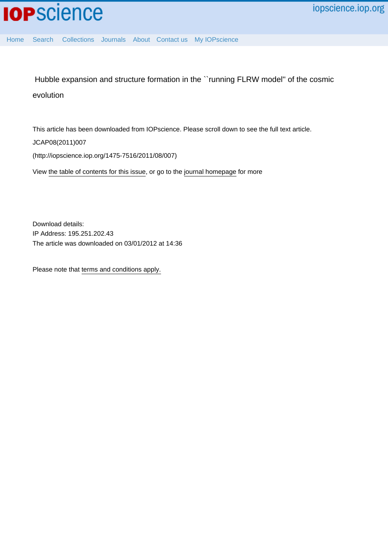

[Home](http://iopscience.iop.org/) [Search](http://iopscience.iop.org/search) [Collections](http://iopscience.iop.org/collections) [Journals](http://iopscience.iop.org/journals) [About](http://iopscience.iop.org/page/aboutioppublishing) [Contact us](http://iopscience.iop.org/contact) [My IOPscience](http://iopscience.iop.org/myiopscience)

 Hubble expansion and structure formation in the ``running FLRW model'' of the cosmic evolution

This article has been downloaded from IOPscience. Please scroll down to see the full text article.

JCAP08(2011)007

(http://iopscience.iop.org/1475-7516/2011/08/007)

View [the table of contents for this issue](http://iopscience.iop.org/1475-7516/2011/08), or go to the [journal homepage](http://iopscience.iop.org/1475-7516) for more

Download details: IP Address: 195.251.202.43 The article was downloaded on 03/01/2012 at 14:36

Please note that [terms and conditions apply.](http://iopscience.iop.org/page/terms)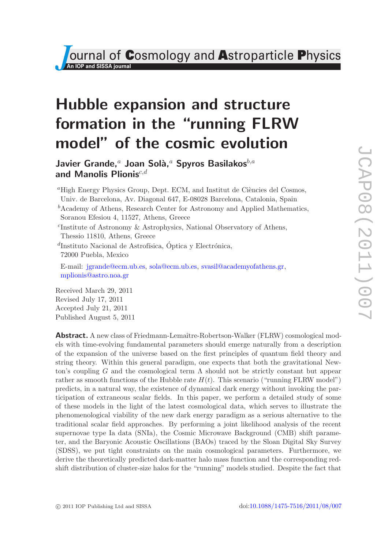# Hubble expansion and structure formation in the "running FLRW model" of the cosmic evolution

Javier Grande,<sup>a</sup> Joan Solà,<sup>a</sup> Spyros Basilakos<sup>b,a</sup> and Manolis Plionis $^{c,d}$ 

 ${}^a$ High Energy Physics Group, Dept. ECM, and Institut de Ciències del Cosmos, Univ. de Barcelona, Av. Diagonal 647, E-08028 Barcelona, Catalonia, Spain  ${}^b$ Academy of Athens, Research Center for Astronomy and Applied Mathematics, Soranou Efesiou 4, 11527, Athens, Greece c Institute of Astronomy & Astrophysics, National Observatory of Athens, Thessio 11810, Athens, Greece  ${}^{d}$ Instituto Nacional de Astrofísica, Óptica y Electrónica, 72000 Puebla, Mexico E-mail: [jgrande@ecm.ub.es,](mailto:jgrande@ecm.ub.es) [sola@ecm.ub.es,](mailto:sola@ecm.ub.es) [svasil@academyofathens.gr,](mailto:svasil@academyofathens.gr) [mplionis@astro.noa.gr](mailto:mplionis@astro.noa.gr) Received March 29, 2011

Revised July 17, 2011 Accepted July 21, 2011 Published August 5, 2011

Abstract. A new class of Friedmann-Lemaître-Robertson-Walker (FLRW) cosmological models with time-evolving fundamental parameters should emerge naturally from a description of the expansion of the universe based on the first principles of quantum field theory and string theory. Within this general paradigm, one expects that both the gravitational Newton's coupling G and the cosmological term  $\Lambda$  should not be strictly constant but appear rather as smooth functions of the Hubble rate  $H(t)$ . This scenario ("running FLRW model") predicts, in a natural way, the existence of dynamical dark energy without invoking the participation of extraneous scalar fields. In this paper, we perform a detailed study of some of these models in the light of the latest cosmological data, which serves to illustrate the phenomenological viability of the new dark energy paradigm as a serious alternative to the traditional scalar field approaches. By performing a joint likelihood analysis of the recent supernovae type Ia data (SNIa), the Cosmic Microwave Background (CMB) shift parameter, and the Baryonic Acoustic Oscillations (BAOs) traced by the Sloan Digital Sky Survey (SDSS), we put tight constraints on the main cosmological parameters. Furthermore, we derive the theoretically predicted dark-matter halo mass function and the corresponding redshift distribution of cluster-size halos for the "running" models studied. Despite the fact that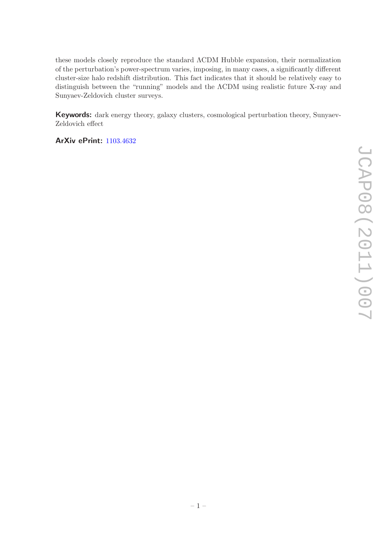these models closely reproduce the standard ΛCDM Hubble expansion, their normalization of the perturbation's power-spectrum varies, imposing, in many cases, a significantly different cluster-size halo redshift distribution. This fact indicates that it should be relatively easy to distinguish between the "running" models and the ΛCDM using realistic future X-ray and Sunyaev-Zeldovich cluster surveys.

Keywords: dark energy theory, galaxy clusters, cosmological perturbation theory, Sunyaev-Zeldovich effect

ArXiv ePrint: [1103.4632](http://arxiv.org/abs/1103.4632)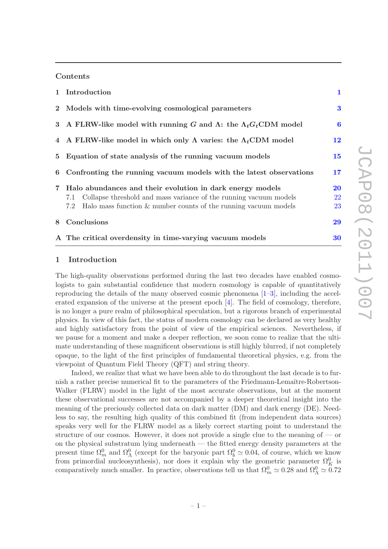### Contents

|   | 1 Introduction                                                                   | $\mathbf{1}$ |  |  |  |  |  |  |  |
|---|----------------------------------------------------------------------------------|--------------|--|--|--|--|--|--|--|
|   | 2 Models with time-evolving cosmological parameters                              |              |  |  |  |  |  |  |  |
|   | 3 A FLRW-like model with running G and $\Lambda$ : the $\Lambda_t G_t$ CDM model | $\bf{6}$     |  |  |  |  |  |  |  |
|   | 4 A FLRW-like model in which only $\Lambda$ varies: the $\Lambda_t$ CDM model    | 12           |  |  |  |  |  |  |  |
|   | 5 Equation of state analysis of the running vacuum models                        |              |  |  |  |  |  |  |  |
|   | 6 Confronting the running vacuum models with the latest observations             |              |  |  |  |  |  |  |  |
|   | 7 Halo abundances and their evolution in dark energy models                      | <b>20</b>    |  |  |  |  |  |  |  |
|   | Collapse threshold and mass variance of the running vacuum models<br>7.1         | <b>22</b>    |  |  |  |  |  |  |  |
|   | Halo mass function $\&$ number counts of the running vacuum models<br>7.2        | 23           |  |  |  |  |  |  |  |
| 8 | Conclusions                                                                      | 29           |  |  |  |  |  |  |  |
|   | A The critical overdensity in time-varying vacuum models                         | 30           |  |  |  |  |  |  |  |

#### <span id="page-3-0"></span>1 Introduction

The high-quality observations performed during the last two decades have enabled cosmologists to gain substantial confidence that modern cosmology is capable of quantitatively reproducing the details of the many observed cosmic phenomena [\[1](#page-36-0)[–3\]](#page-36-1), including the accelerated expansion of the universe at the present epoch [\[4](#page-37-0)]. The field of cosmology, therefore, is no longer a pure realm of philosophical speculation, but a rigorous branch of experimental physics. In view of this fact, the status of modern cosmology can be declared as very healthy and highly satisfactory from the point of view of the empirical sciences. Nevertheless, if we pause for a moment and make a deeper reflection, we soon come to realize that the ultimate understanding of these magnificent observations is still highly blurred, if not completely opaque, to the light of the first principles of fundamental theoretical physics, e.g. from the viewpoint of Quantum Field Theory (QFT) and string theory.

Indeed, we realize that what we have been able to do throughout the last decade is to furnish a rather precise numerical fit to the parameters of the Friedmann-Lemaître-Robertson-Walker (FLRW) model in the light of the most accurate observations, but at the moment these observational successes are not accompanied by a deeper theoretical insight into the meaning of the preciously collected data on dark matter (DM) and dark energy (DE). Needless to say, the resulting high quality of this combined fit (from independent data sources) speaks very well for the FLRW model as a likely correct starting point to understand the structure of our cosmos. However, it does not provide a single clue to the meaning of — or on the physical substratum lying underneath — the fitted energy density parameters at the present time  $\Omega_m^0$  and  $\Omega_\Lambda^0$  (except for the baryonic part  $\Omega_b^0 \simeq 0.04$ , of course, which we know from primordial nucleosynthesis), nor does it explain why the geometric parameter  $\Omega_K^0$  is comparatively much smaller. In practice, observations tell us that  $\Omega_m^0 \simeq 0.28$  and  $\Omega_\Lambda^0 \simeq 0.72$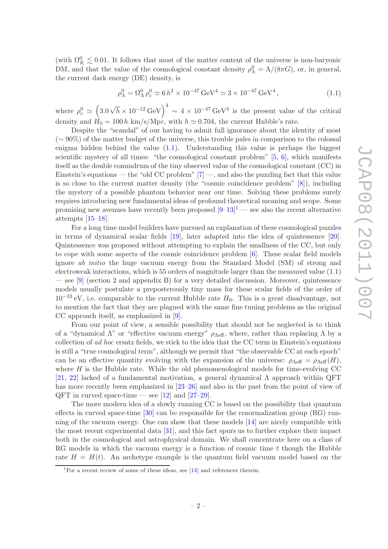(with  $\Omega_K^0 \lesssim 0.01$ . It follows that most of the matter content of the universe is non-baryonic DM, and that the value of the cosmological constant density  $\rho_{\Lambda}^0 = \Lambda/(8\pi G)$ , or, in general, the current dark energy (DE) density, is

<span id="page-4-0"></span>
$$
\rho_{\Lambda}^{0} = \Omega_{\Lambda}^{0} \rho_{c}^{0} \simeq 6 h^{2} \times 10^{-47} \,\text{GeV}^{4} \simeq 3 \times 10^{-47} \,\text{GeV}^{4},\tag{1.1}
$$

where  $\rho_c^0 \simeq (3.0 \sqrt{h} \times 10^{-12} \text{ GeV})^4 \sim 4 \times 10^{-47} \text{ GeV}^4$  is the present value of the critical density and  $H_0 = 100 h \text{ km/s/Mpc}$ , with  $h \approx 0.704$ , the current Hubble's rate.

Despite the "scandal" of our having to admit full ignorance about the identity of most  $({\sim 90\%})$  of the matter budget of the universe, this trouble pales in comparison to the colossal enigma hidden behind the value  $(1.1)$ . Understanding this value is perhaps the biggest scientific mystery of all times: "the cosmological constant problem" [\[5](#page-37-1), [6\]](#page-37-2), which manifests itself as the double conundrum of the tiny observed value of the cosmological constant (CC) in Einstein's equations — the "old CC problem"  $[7]$  —, and also the puzzling fact that this value is so close to the current matter density (the "cosmic coincidence problem" [\[8\]](#page-37-4)), including the mystery of a possible phantom behavior near our time. Solving these problems surely requires introducing new fundamental ideas of profound theoretical meaning and scope. Some promising new avenues have recently been proposed  $[9-13]^1$  $[9-13]^1$  $[9-13]^1$  — see also the recent alternative attempts [\[15](#page-38-0)[–18](#page-38-1)].

For a long time model builders have pursued an explanation of these cosmological puzzles in terms of dynamical scalar fields [\[19\]](#page-38-2), later adapted into the idea of quintessence [\[20](#page-39-0)]. Quintessence was proposed without attempting to explain the smallness of the CC, but only to cope with some aspects of the cosmic coincidence problem [\[6](#page-37-2)]. These scalar field models ignore ab initio the huge vacuum energy from the Standard Model (SM) of strong and electroweak interactions, which is 55 orders of magnitude larger than the measured value [\(1.1\)](#page-4-0) — see [\[9\]](#page-37-5) (section 2 and appendix B) for a very detailed discussion. Moreover, quintessence models usually postulate a preposterously tiny mass for these scalar fields of the order of  $10^{-33}$  eV, i.e. comparable to the current Hubble rate  $H_0$ . This is a great disadvantage, not to mention the fact that they are plagued with the same fine tuning problems as the original CC approach itself, as emphasized in [\[9\]](#page-37-5).

From our point of view, a sensible possibility that should not be neglected is to think of a "dynamical  $\Lambda$ " or "effective vacuum energy"  $\rho_{\text{Aeff}}$ , where, rather than replacing  $\Lambda$  by a collection of ad hoc ersatz fields, we stick to the idea that the CC term in Einstein's equations is still a "true cosmological term", although we permit that "the observable CC at each epoch" can be an effective quantity evolving with the expansion of the universe:  $\rho_{\text{Aeff}} = \rho_{\text{Aeff}}(H)$ , where  $H$  is the Hubble rate. While the old phenomenological models for time-evolving CC [\[21,](#page-39-1) [22](#page-39-2)] lacked of a fundamental motivation, a general dynamical  $\Lambda$  approach within QFT has more recently been emphasized in  $[23-26]$  and also in the past from the point of view of QFT in curved space-time — see  $[12]$  and  $[27-29]$ .

The more modern idea of a slowly running CC is based on the possibility that quantum effects in curved space-time  $[30]$  can be responsible for the renormalization group  $(RG)$  running of the vacuum energy. One can show that these models [\[14](#page-38-3)] are nicely compatible with the most recent experimental data [\[31](#page-40-3)], and this fact spurs us to further explore their impact both in the cosmological and astrophysical domain. We shall concentrate here on a class of RG models in which the vacuum energy is a function of cosmic time  $t$  though the Hubble rate  $H = H(t)$ . An archetype example is the quantum field vacuum model based on the

<span id="page-4-1"></span><sup>&</sup>lt;sup>1</sup>For a recent review of some of these ideas, see [\[14](#page-38-3)] and references therein.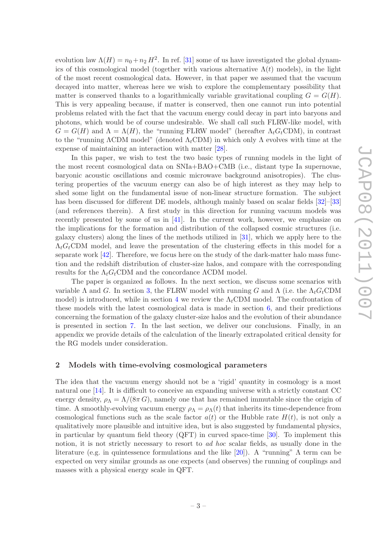evolution law  $\Lambda(H) = n_0 + n_2 H^2$ . In ref. [\[31\]](#page-40-3) some of us have investigated the global dynamics of this cosmological model (together with various alternative  $\Lambda(t)$  models), in the light of the most recent cosmological data. However, in that paper we assumed that the vacuum decayed into matter, whereas here we wish to explore the complementary possibility that matter is conserved thanks to a logarithmically variable gravitational coupling  $G = G(H)$ . This is very appealing because, if matter is conserved, then one cannot run into potential problems related with the fact that the vacuum energy could decay in part into baryons and photons, which would be of course undesirable. We shall call such FLRW-like model, with  $G = G(H)$  and  $\Lambda = \Lambda(H)$ , the "running FLRW model" (hereafter  $\Lambda_t G_t$ CDM), in contrast to the "running  $\Lambda$ CDM model" (denoted  $\Lambda_t$ CDM) in which only  $\Lambda$  evolves with time at the expense of maintaining an interaction with matter [\[28\]](#page-40-4).

In this paper, we wish to test the two basic types of running models in the light of the most recent cosmological data on SNIa+BAO+CMB (i.e., distant type Ia supernovae, baryonic acoustic oscillations and cosmic microwave background anisotropies). The clustering properties of the vacuum energy can also be of high interest as they may help to shed some light on the fundamental issue of non-linear structure formation. The subject has been discussed for different DE models, although mainly based on scalar fields [\[32\]](#page-40-5)–[\[33](#page-40-6)] (and references therein). A first study in this direction for running vacuum models was recently presented by some of us in [\[41](#page-41-0)]. In the current work, however, we emphasize on the implications for the formation and distribution of the collapsed cosmic structures (i.e. galaxy clusters) along the lines of the methods utilized in [\[31](#page-40-3)], which we apply here to the  $\Lambda_t G_t$ CDM model, and leave the presentation of the clustering effects in this model for a separate work  $[42]$ . Therefore, we focus here on the study of the dark-matter halo mass function and the redshift distribution of cluster-size halos, and compare with the corresponding results for the  $\Lambda_t G_t$ CDM and the concordance  $\Lambda$ CDM model.

The paper is organized as follows. In the next section, we discuss some scenarios with variable  $\Lambda$  and G. In section [3,](#page-8-0) the FLRW model with running G and  $\Lambda$  (i.e. the  $\Lambda_t G_t$ CDM model) is introduced, while in section [4](#page-14-0) we review the  $\Lambda_t$ CDM model. The confrontation of these models with the latest cosmological data is made in section [6,](#page-19-0) and their predictions concerning the formation of the galaxy cluster-size halos and the evolution of their abundance is presented in section [7.](#page-22-0) In the last section, we deliver our conclusions. Finally, in an appendix we provide details of the calculation of the linearly extrapolated critical density for the RG models under consideration.

#### <span id="page-5-0"></span>2 Models with time-evolving cosmological parameters

The idea that the vacuum energy should not be a 'rigid' quantity in cosmology is a most natural one [\[14](#page-38-3)]. It is difficult to conceive an expanding universe with a strictly constant CC energy density,  $\rho_{\Lambda} = \Lambda/(8\pi G)$ , namely one that has remained immutable since the origin of time. A smoothly-evolving vacuum energy  $\rho_{\Lambda} = \rho_{\Lambda}(t)$  that inherits its time-dependence from cosmological functions such as the scale factor  $a(t)$  or the Hubble rate  $H(t)$ , is not only a qualitatively more plausible and intuitive idea, but is also suggested by fundamental physics, in particular by quantum field theory  $(QFT)$  in curved space-time [\[30\]](#page-40-2). To implement this notion, it is not strictly necessary to resort to *ad hoc* scalar fields, as usually done in the literature (e.g. in quintessence formulations and the like [\[20\]](#page-39-0)). A "running" Λ term can be expected on very similar grounds as one expects (and observes) the running of couplings and masses with a physical energy scale in QFT.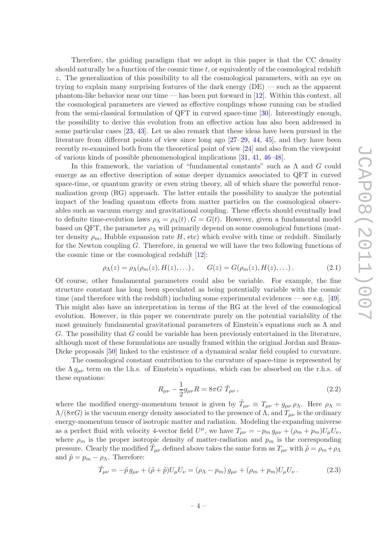Therefore, the guiding paradigm that we adopt in this paper is that the CC density should naturally be a function of the cosmic time  $t$ , or equivalently of the cosmological redshift z. The generalization of this possibility to all the cosmological parameters, with an eye on trying to explain many surprising features of the dark energy (DE) — such as the apparent phantom-like behavior near our time — has been put forward in [\[12\]](#page-37-7). Within this context, all the cosmological parameters are viewed as effective couplings whose running can be studied from the semi-classical formulation of QFT in curved space-time [\[30](#page-40-2)]. Interestingly enough, the possibility to derive this evolution from an effective action has also been addressed in some particular cases [\[23,](#page-39-3) [43](#page-41-2)]. Let us also remark that these ideas have been pursued in the literature from different points of view since long ago [\[27](#page-40-0)[–29](#page-40-1), [44,](#page-41-3) [45](#page-41-4)], and they have been recently re-examined both from the theoretical point of view [\[24\]](#page-39-5) and also from the viewpoint of various kinds of possible phenomenological implications [\[31](#page-40-3), [41,](#page-41-0) [46](#page-42-0)[–48\]](#page-42-1).

In this framework, the variation of "fundamental constants" such as  $\Lambda$  and  $G$  could emerge as an effective description of some deeper dynamics associated to QFT in curved space-time, or quantum gravity or even string theory, all of which share the powerful renormalization group (RG) approach. The latter entails the possibility to analyze the potential impact of the leading quantum effects from matter particles on the cosmological observables such as vacuum energy and gravitational coupling. These effects should eventually lead to definite time-evolution laws  $\rho_{\Lambda} = \rho_{\Lambda}(t)$ ,  $G = G(t)$ . However, given a fundamental model based on QFT, the parameter  $\rho_{\Lambda}$  will primarily depend on some cosmological functions (matter density  $\rho_m$ , Hubble expansion rate H, etc) which evolve with time or redshift. Similarly for the Newton coupling G. Therefore, in general we will have the two following functions of the cosmic time or the cosmological redshift [\[12\]](#page-37-7):

<span id="page-6-0"></span>
$$
\rho_{\Lambda}(z) = \rho_{\Lambda}(\rho_m(z), H(z), \dots), \qquad G(z) = G(\rho_m(z), H(z), \dots). \tag{2.1}
$$

Of course, other fundamental parameters could also be variable. For example, the fine structure constant has long been speculated as being potentially variable with the cosmic time (and therefore with the redshift) including some experimental evidences — see e.g. [\[49](#page-42-2)]. This might also have an interpretation in terms of the RG at the level of the cosmological evolution. However, in this paper we concentrate purely on the potential variability of the most genuinely fundamental gravitational parameters of Einstein's equations such as  $\Lambda$  and G. The possibility that G could be variable has been previously entertained in the literature, although most of these formulations are usually framed within the original Jordan and Brans-Dicke proposals [\[50\]](#page-42-3) linked to the existence of a dynamical scalar field coupled to curvature.

The cosmological constant contribution to the curvature of space-time is represented by the  $\Lambda g_{\mu\nu}$  term on the l.h.s. of Einstein's equations, which can be absorbed on the r.h.s. of these equations:

$$
R_{\mu\nu} - \frac{1}{2}g_{\mu\nu}R = 8\pi G \ \tilde{T}_{\mu\nu} \,, \tag{2.2}
$$

where the modified energy-momentum tensor is given by  $\tilde{T}_{\mu\nu} \equiv T_{\mu\nu} + g_{\mu\nu} \rho_{\Lambda}$ . Here  $\rho_{\Lambda} =$  $\Lambda/(8\pi G)$  is the vacuum energy density associated to the presence of  $\Lambda$ , and  $T_{\mu\nu}$  is the ordinary energy-momentum tensor of isotropic matter and radiation. Modeling the expanding universe as a perfect fluid with velocity 4-vector field  $U^{\mu}$ , we have  $T_{\mu\nu} = -p_m g_{\mu\nu} + (\rho_m + p_m)U_{\mu}U_{\nu}$ , where  $\rho_m$  is the proper isotropic density of matter-radiation and  $p_m$  is the corresponding pressure. Clearly the modified  $\tilde{T}_{\mu\nu}$  defined above takes the same form as  $T_{\mu\nu}$  with  $\tilde{\rho} = \rho_m + \rho_\Lambda$ and  $\tilde{p} = p_m - \rho_{\Lambda}$ . Therefore:

$$
\tilde{T}_{\mu\nu} = -\tilde{p} \, g_{\mu\nu} + (\tilde{\rho} + \tilde{p}) U_{\mu} U_{\nu} = (\rho_{\Lambda} - p_m) \, g_{\mu\nu} + (\rho_m + p_m) U_{\mu} U_{\nu} \,. \tag{2.3}
$$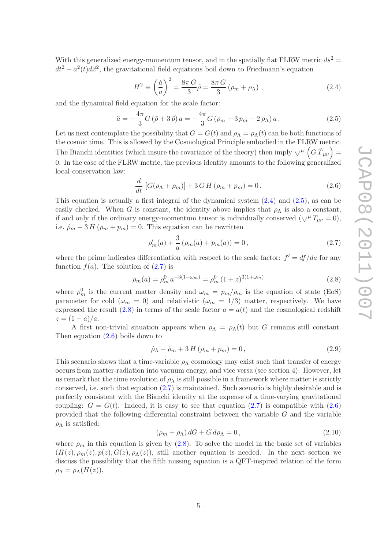With this generalized energy-momentum tensor, and in the spatially flat FLRW metric  $ds^2 =$  $dt^2 - a^2(t) d\vec{x}^2$ , the gravitational field equations boil down to Friedmann's equation

<span id="page-7-0"></span>
$$
H^2 \equiv \left(\frac{\dot{a}}{a}\right)^2 = \frac{8\pi G}{3}\tilde{\rho} = \frac{8\pi G}{3}\left(\rho_m + \rho_\Lambda\right),\tag{2.4}
$$

and the dynamical field equation for the scale factor:

<span id="page-7-1"></span>
$$
\ddot{a} = -\frac{4\pi}{3}G(\tilde{\rho} + 3\tilde{p})a = -\frac{4\pi}{3}G(\rho_m + 3p_m - 2\rho_\Lambda)a.
$$
 (2.5)

Let us next contemplate the possibility that  $G = G(t)$  and  $\rho_{\Lambda} = \rho_{\Lambda}(t)$  can be both functions of the cosmic time. This is allowed by the Cosmological Principle embodied in the FLRW metric. The Bianchi identities (which insure the covariance of the theory) then imply  $\bigtriangledown^{\mu} \left( G \tilde{T}_{\mu\nu} \right) =$ 0. In the case of the FLRW metric, the previous identity amounts to the following generalized local conservation law:

<span id="page-7-4"></span>
$$
\frac{d}{dt} [G(\rho_{\Lambda} + \rho_m)] + 3\,G\,H\,(\rho_m + p_m) = 0. \tag{2.6}
$$

This equation is actually a first integral of the dynamical system [\(2.4\)](#page-7-0) and [\(2.5\)](#page-7-1), as can be easily checked. When G is constant, the identity above implies that  $\rho_{\Lambda}$  is also a constant, if and only if the ordinary energy-momentum tensor is individually conserved  $(\nabla^{\mu} T_{\mu\nu} = 0)$ , i.e.  $\dot{\rho}_m + 3H(\rho_m + p_m) = 0$ . This equation can be rewritten

<span id="page-7-2"></span>
$$
\rho'_{m}(a) + \frac{3}{a} \left( \rho_{m}(a) + p_{m}(a) \right) = 0, \qquad (2.7)
$$

where the prime indicates differentiation with respect to the scale factor:  $f' = df/da$  for any function  $f(a)$ . The solution of  $(2.7)$  is

<span id="page-7-3"></span>
$$
\rho_m(a) = \rho_m^0 \, a^{-3(1+\omega_m)} = \rho_m^0 \, (1+z)^{3(1+\omega_m)} \tag{2.8}
$$

where  $\rho_m^0$  is the current matter density and  $\omega_m = p_m/\rho_m$  is the equation of state (EoS) parameter for cold ( $\omega_m = 0$ ) and relativistic ( $\omega_m = 1/3$ ) matter, respectively. We have expressed the result  $(2.8)$  in terms of the scale factor  $a = a(t)$  and the cosmological redshift  $z = (1 - a)/a$ .

A first non-trivial situation appears when  $\rho_{\Lambda} = \rho_{\Lambda}(t)$  but G remains still constant. Then equation [\(2.6\)](#page-7-4) boils down to

<span id="page-7-6"></span>
$$
\dot{\rho}_{\Lambda} + \dot{\rho}_{m} + 3H(\rho_{m} + p_{m}) = 0, \qquad (2.9)
$$

This scenario shows that a time-variable  $\rho_{\Lambda}$  cosmology may exist such that transfer of energy occurs from matter-radiation into vacuum energy, and vice versa (see section 4). However, let us remark that the time evolution of  $\rho_{\Lambda}$  is still possible in a framework where matter is strictly conserved, i.e. such that equation [\(2.7\)](#page-7-2) is maintained. Such scenario is highly desirable and is perfectly consistent with the Bianchi identity at the expense of a time-varying gravitational coupling:  $G = G(t)$ . Indeed, it is easy to see that equation [\(2.7\)](#page-7-2) is compatible with [\(2.6\)](#page-7-4) provided that the following differential constraint between the variable G and the variable  $\rho_{\Lambda}$  is satisfied:

<span id="page-7-5"></span>
$$
(\rho_m + \rho_\Lambda) dG + G d\rho_\Lambda = 0, \qquad (2.10)
$$

where  $\rho_m$  in this equation is given by [\(2.8\)](#page-7-3). To solve the model in the basic set of variables  $(H(z), \rho_m(z), p(z), G(z), \rho_{\Lambda}(z))$ , still another equation is needed. In the next section we discuss the possibility that the fifth missing equation is a QFT-inspired relation of the form  $\rho_{\Lambda} = \rho_{\Lambda}(H(z)).$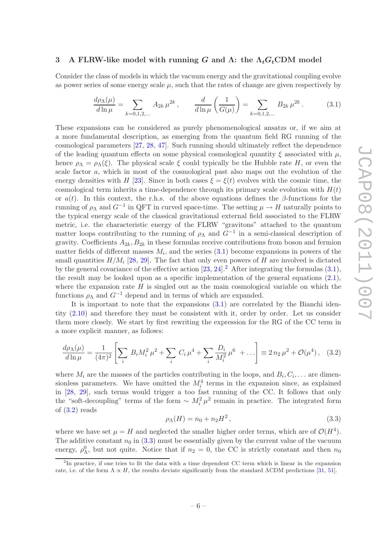#### <span id="page-8-0"></span>3 A FLRW-like model with running G and  $\Lambda$ : the  $\Lambda_t G_t$ CDM model

Consider the class of models in which the vacuum energy and the gravitational coupling evolve as power series of some energy scale  $\mu$ , such that the rates of change are given respectively by

<span id="page-8-1"></span>
$$
\frac{d\rho_{\Lambda}(\mu)}{d\ln\mu} = \sum_{k=0,1,2,...} A_{2k} \,\mu^{2k} \,, \qquad \frac{d}{d\ln\mu} \left(\frac{1}{G(\mu)}\right) = \sum_{k=0,1,2,...} B_{2k} \,\mu^{2k} \,. \tag{3.1}
$$

These expansions can be considered as purely phenomenological ansatzs or, if we aim at a more fundamental description, as emerging from the quantum field RG running of the cosmological parameters [\[27](#page-40-0), [28](#page-40-4), [47](#page-42-4)]. Such running should ultimately reflect the dependence of the leading quantum effects on some physical cosmological quantity  $\xi$  associated with  $\mu$ , hence  $\rho_{\Lambda} = \rho_{\Lambda}(\xi)$ . The physical scale  $\xi$  could typically be the Hubble rate H, or even the scale factor a, which in most of the cosmological past also maps out the evolution of the energy densities with H [\[23\]](#page-39-3). Since in both cases  $\xi = \xi(t)$  evolves with the cosmic time, the cosmological term inherits a time-dependence through its primary scale evolution with  $H(t)$ or  $a(t)$ . In this context, the r.h.s. of the above equations defines the β-functions for the running of  $\rho_{\Lambda}$  and  $G^{-1}$  in QFT in curved space-time. The setting  $\mu \to H$  naturally points to the typical energy scale of the classical gravitational external field associated to the FLRW metric, i.e. the characteristic energy of the FLRW "gravitons" attached to the quantum matter loops contributing to the running of  $\rho_{\Lambda}$  and  $G^{-1}$  in a semi-classical description of gravity. Coefficients  $A_{2k}$ ,  $B_{2k}$  in these formulas receive contributions from boson and fermion matter fields of different masses  $M_i$ , and the series  $(3.1)$  become expansions in powers of the small quantities  $H/M_i$  [\[28,](#page-40-4) [29](#page-40-1)]. The fact that only even powers of H are involved is dictated by the general covariance of the effective action  $[23, 24]$  $[23, 24]$  $[23, 24]$ .<sup>[2](#page-8-2)</sup> After integrating the formulas  $(3.1)$ , the result may be looked upon as a specific implementation of the general equations [\(2.1\)](#page-6-0), where the expansion rate  $H$  is singled out as the main cosmological variable on which the functions  $\rho_{\Lambda}$  and  $G^{-1}$  depend and in terms of which are expanded.

It is important to note that the expansions [\(3.1\)](#page-8-1) are correlated by the Bianchi identity [\(2.10\)](#page-7-5) and therefore they must be consistent with it, order by order. Let us consider them more closely. We start by first rewriting the expression for the RG of the CC term in a more explicit manner, as follows:

<span id="page-8-3"></span>
$$
\frac{d\rho_{\Lambda}(\mu)}{d\ln\mu} = \frac{1}{(4\pi)^2} \left[ \sum_i B_i M_i^2 \mu^2 + \sum_i C_i \mu^4 + \sum_i \frac{D_i}{M_i^2} \mu^6 + \ldots \right] \equiv 2 n_2 \mu^2 + \mathcal{O}(\mu^4), \quad (3.2)
$$

where  $M_i$  are the masses of the particles contributing in the loops, and  $B_i, C_i, \ldots$  are dimensionless parameters. We have omitted the  $M_i^4$  terms in the expansion since, as explained in [\[28](#page-40-4), [29\]](#page-40-1), such terms would trigger a too fast running of the CC. It follows that only the "soft-decoupling" terms of the form  $\sim M_i^2 \mu^2$  remain in practice. The integrated form of  $(3.2)$  reads

<span id="page-8-4"></span>
$$
\rho_{\Lambda}(H) = n_0 + n_2 H^2, \qquad (3.3)
$$

where we have set  $\mu = H$  and neglected the smaller higher order terms, which are of  $\mathcal{O}(H^4)$ . The additive constant  $n_0$  in [\(3.3\)](#page-8-4) must be essentially given by the current value of the vacuum energy,  $\rho_{\Lambda}^0$ , but not quite. Notice that if  $n_2 = 0$ , the CC is strictly constant and then  $n_0$ 

<span id="page-8-2"></span><sup>&</sup>lt;sup>2</sup>In practice, if one tries to fit the data with a time dependent CC term which is linear in the expansion rate, i.e. of the form  $\Lambda \propto H$ , the results deviate significantly from the standard  $\Lambda$ CDM predictions [\[31](#page-40-3), [51](#page-42-5)].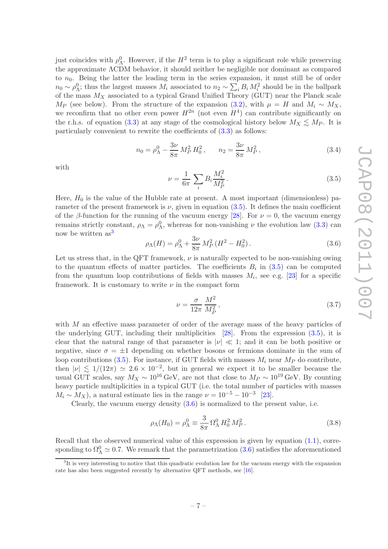just coincides with  $\rho_{\Lambda}^0$ . However, if the  $H^2$  term is to play a significant role while preserving the approximate ΛCDM behavior, it should neither be negligible nor dominant as compared to  $n_0$ . Being the latter the leading term in the series expansion, it must still be of order  $n_0 \sim \rho_{\Lambda}^0$ ; thus the largest masses  $M_i$  associated to  $n_2 \sim \sum_i B_i M_i^2$  should be in the ballpark of the mass  $M_X$  associated to a typical Grand Unified Theory (GUT) near the Planck scale  $M_P$  (see below). From the structure of the expansion [\(3.2\)](#page-8-3), with  $\mu = H$  and  $M_i \sim M_X$ , we reconfirm that no other even power  $H^{2n}$  (not even  $H^4$ ) can contribute significantly on the r.h.s. of equation [\(3.3\)](#page-8-4) at any stage of the cosmological history below  $M_X \lesssim M_P$ . It is particularly convenient to rewrite the coefficients of  $(3.3)$  as follows:

<span id="page-9-3"></span>
$$
n_0 = \rho_\Lambda^0 - \frac{3\nu}{8\pi} M_P^2 H_0^2, \qquad n_2 = \frac{3\nu}{8\pi} M_P^2,
$$
\n(3.4)

with

<span id="page-9-0"></span>
$$
\nu = \frac{1}{6\pi} \sum_{i} B_i \frac{M_i^2}{M_P^2} \,. \tag{3.5}
$$

Here,  $H_0$  is the value of the Hubble rate at present. A most important (dimensionless) parameter of the present framework is  $\nu$ , given in equation [\(3.5\)](#page-9-0). It defines the main coefficient of the β-function for the running of the vacuum energy [\[28\]](#page-40-4). For  $\nu = 0$ , the vacuum energy remains strictly constant,  $\rho_{\Lambda} = \rho_{\Lambda}^0$ , whereas for non-vanishing  $\nu$  the evolution law [\(3.3\)](#page-8-4) can now be written as<sup>[3](#page-9-1)</sup>

<span id="page-9-2"></span>
$$
\rho_{\Lambda}(H) = \rho_{\Lambda}^{0} + \frac{3\nu}{8\pi} M_{P}^{2} (H^{2} - H_{0}^{2}).
$$
\n(3.6)

Let us stress that, in the QFT framework,  $\nu$  is naturally expected to be non-vanishing owing to the quantum effects of matter particles. The coefficients  $B_i$  in  $(3.5)$  can be computed from the quantum loop contributions of fields with masses  $M_i$ , see e.g. [\[23](#page-39-3)] for a specific framework. It is customary to write  $\nu$  in the compact form

<span id="page-9-4"></span>
$$
\nu = \frac{\sigma}{12\pi} \frac{M^2}{M_P^2},\tag{3.7}
$$

with M an effective mass parameter of order of the average mass of the heavy particles of the underlying GUT, including their multiplicities [\[28](#page-40-4)]. From the expression [\(3.5\)](#page-9-0), it is clear that the natural range of that parameter is  $|\nu| \ll 1$ ; and it can be both positive or negative, since  $\sigma = \pm 1$  depending on whether bosons or fermions dominate in the sum of loop contributions [\(3.5\)](#page-9-0). For instance, if GUT fields with masses  $M_i$  near  $M_p$  do contribute, then  $|\nu| \lesssim 1/(12\pi) \simeq 2.6 \times 10^{-2}$ , but in general we expect it to be smaller because the usual GUT scales, say  $M_X \sim 10^{16} \text{ GeV}$ , are not that close to  $M_P \sim 10^{19} \text{ GeV}$ . By counting heavy particle multiplicities in a typical GUT (i.e. the total number of particles with masses  $M_i \sim M_X$ ), a natural estimate lies in the range  $\nu = 10^{-5} - 10^{-3}$  [\[23\]](#page-39-3).

Clearly, the vacuum energy density  $(3.6)$  is normalized to the present value, i.e.

$$
\rho_{\Lambda}(H_0) = \rho_{\Lambda}^0 \equiv \frac{3}{8\pi} \,\Omega_{\Lambda}^0 \, H_0^2 \, M_P^2 \,. \tag{3.8}
$$

Recall that the observed numerical value of this expression is given by equation  $(1.1)$ , corresponding to  $\Omega_{\Lambda}^0 \simeq 0.7$ . We remark that the parametrization  $(3.6)$  satisfies the aforementioned

<span id="page-9-1"></span><sup>&</sup>lt;sup>3</sup>It is very interesting to notice that this quadratic evolution law for the vacuum energy with the expansion rate has also been suggested recently by alternative OFT methods, see [\[16](#page-38-4)].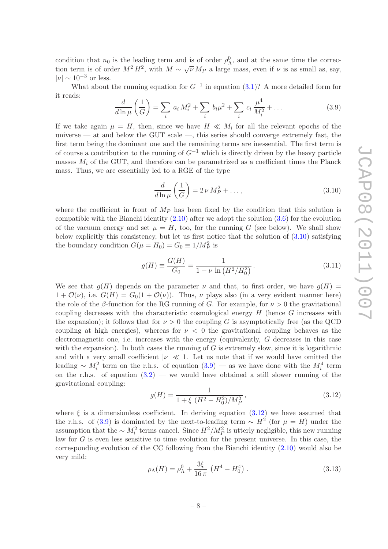condition that  $n_0$  is the leading term and is of order  $\rho_{\Lambda}^0$ , and at the same time the correction term is of order  $M^2 H^2$ , with  $M \sim \sqrt{\nu} M_P$  a large mass, even if  $\nu$  is as small as, say,  $|\nu| \sim 10^{-3}$  or less.

What about the running equation for  $G^{-1}$  in equation [\(3.1\)](#page-8-1)? A more detailed form for it reads:

<span id="page-10-1"></span>
$$
\frac{d}{d\ln\mu}\left(\frac{1}{G}\right) = \sum_{i} a_i M_i^2 + \sum_{i} b_i \mu^2 + \sum_{i} c_i \frac{\mu^4}{M_i^2} + \dots \tag{3.9}
$$

If we take again  $\mu = H$ , then, since we have  $H \ll M_i$  for all the relevant epochs of the universe — at and below the GUT scale —, this series should converge extremely fast, the first term being the dominant one and the remaining terms are inessential. The first term is of course a contribution to the running of  $G^{-1}$  which is directly driven by the heavy particle masses  $M_i$  of the GUT, and therefore can be parametrized as a coefficient times the Planck mass. Thus, we are essentially led to a RGE of the type

<span id="page-10-0"></span>
$$
\frac{d}{d\ln\mu}\left(\frac{1}{G}\right) = 2\nu M_P^2 + \dots,\tag{3.10}
$$

where the coefficient in front of  $M_P$  has been fixed by the condition that this solution is compatible with the Bianchi identity  $(2.10)$  after we adopt the solution  $(3.6)$  for the evolution of the vacuum energy and set  $\mu = H$ , too, for the running G (see below). We shall show below explicitly this consistency, but let us first notice that the solution of [\(3.10\)](#page-10-0) satisfying the boundary condition  $G(\mu = H_0) = G_0 \equiv 1/M_P^2$  is

<span id="page-10-3"></span>
$$
g(H) \equiv \frac{G(H)}{G_0} = \frac{1}{1 + \nu \ln \left( H^2 / H_0^2 \right)}.
$$
\n(3.11)

We see that  $g(H)$  depends on the parameter  $\nu$  and that, to first order, we have  $g(H)$  =  $1 + \mathcal{O}(\nu)$ , i.e.  $G(H) = G_0(1 + \mathcal{O}(\nu))$ . Thus,  $\nu$  plays also (in a very evident manner here) the role of the β-function for the RG running of G. For example, for  $\nu > 0$  the gravitational coupling decreases with the characteristic cosmological energy  $H$  (hence  $G$  increases with the expansion); it follows that for  $\nu > 0$  the coupling G is asymptotically free (as the QCD coupling at high energies), whereas for  $\nu < 0$  the gravitational coupling behaves as the electromagnetic one, i.e. increases with the energy (equivalently, G decreases in this case with the expansion). In both cases the running of  $G$  is extremely slow, since it is logarithmic and with a very small coefficient  $|\nu| \ll 1$ . Let us note that if we would have omitted the leading  $\sim M_i^2$  term on the r.h.s. of equation  $(3.9)$  — as we have done with the  $M_i^4$  term on the r.h.s. of equation  $(3.2)$  — we would have obtained a still slower running of the gravitational coupling:

<span id="page-10-2"></span>
$$
g(H) = \frac{1}{1 + \xi \ (H^2 - H_0^2)/M_P^2},\tag{3.12}
$$

where  $\xi$  is a dimensionless coefficient. In deriving equation [\(3.12\)](#page-10-2) we have assumed that the r.h.s. of [\(3.9\)](#page-10-1) is dominated by the next-to-leading term ~  $H^2$  (for  $\mu = H$ ) under the assumption that the  $\sim M_i^2$  terms cancel. Since  $H^2/M_P^2$  is utterly negligible, this new running law for G is even less sensitive to time evolution for the present universe. In this case, the corresponding evolution of the CC following from the Bianchi identity [\(2.10\)](#page-7-5) would also be very mild:

<span id="page-10-4"></span>
$$
\rho_{\Lambda}(H) = \rho_{\Lambda}^0 + \frac{3\xi}{16\,\pi} \left( H^4 - H_0^4 \right) \,. \tag{3.13}
$$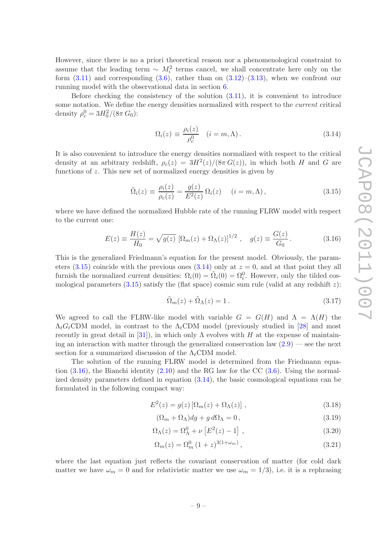However, since there is no a priori theoretical reason nor a phenomenological constraint to assume that the leading term  $\sim M_i^2$  terms cancel, we shall concentrate here only on the form  $(3.11)$  and corresponding  $(3.6)$ , rather than on  $(3.12)$ – $(3.13)$ , when we confront our running model with the observational data in section [6.](#page-19-0)

Before checking the consistency of the solution  $(3.11)$ , it is convenient to introduce some notation. We define the energy densities normalized with respect to the *current* critical density  $\rho_c^0 = 3H_0^2/(8\pi G_0)$ :

<span id="page-11-1"></span>
$$
\Omega_i(z) \equiv \frac{\rho_i(z)}{\rho_c^0} \quad (i = m, \Lambda). \tag{3.14}
$$

It is also convenient to introduce the energy densities normalized with respect to the critical density at an arbitrary redshift,  $\rho_c(z) = 3H^2(z)/(8\pi G(z))$ , in which both H and G are functions of z. This new set of normalized energy densities is given by

<span id="page-11-0"></span>
$$
\tilde{\Omega}_i(z) \equiv \frac{\rho_i(z)}{\rho_c(z)} = \frac{g(z)}{E^2(z)} \,\Omega_i(z) \quad (i = m, \Lambda), \tag{3.15}
$$

where we have defined the normalized Hubble rate of the running FLRW model with respect to the current one:

<span id="page-11-2"></span>
$$
E(z) \equiv \frac{H(z)}{H_0} = \sqrt{g(z)} \left[ \Omega_m(z) + \Omega_\Lambda(z) \right]^{1/2}, \quad g(z) \equiv \frac{G(z)}{G_0}.
$$
 (3.16)

This is the generalized Friedmann's equation for the present model. Obviously, the param-eters [\(3.15\)](#page-11-0) coincide with the previous ones [\(3.14\)](#page-11-1) only at  $z = 0$ , and at that point they all furnish the normalized current densities:  $\Omega_i(0) = \tilde{\Omega}_i(0) = \Omega_i^0$ . However, only the tilded cosmological parameters  $(3.15)$  satisfy the (flat space) cosmic sum rule (valid at any redshift z):

<span id="page-11-6"></span>
$$
\tilde{\Omega}_m(z) + \tilde{\Omega}_\Lambda(z) = 1. \tag{3.17}
$$

We agreed to call the FLRW-like model with variable  $G = G(H)$  and  $\Lambda = \Lambda(H)$  the  $\Lambda_t G_t$ CDM model, in contrast to the  $\Lambda_t$ CDM model (previously studied in [\[28\]](#page-40-4) and most recently in great detail in [\[31\]](#page-40-3)), in which only  $\Lambda$  evolves with H at the expense of maintaining an interaction with matter through the generalized conservation law  $(2.9)$  — see the next section for a summarized discussion of the  $\Lambda_t$ CDM model.

The solution of the running FLRW model is determined from the Friedmann equation  $(3.16)$ , the Bianchi identity  $(2.10)$  and the RG law for the CC  $(3.6)$ . Using the normalized density parameters defined in equation [\(3.14\)](#page-11-1), the basic cosmological equations can be formulated in the following compact way:

$$
E^{2}(z) = g(z) \left[ \Omega_{m}(z) + \Omega_{\Lambda}(z) \right], \qquad (3.18)
$$

<span id="page-11-5"></span><span id="page-11-4"></span><span id="page-11-3"></span>
$$
(\Omega_m + \Omega_\Lambda) dg + g d\Omega_\Lambda = 0, \qquad (3.19)
$$

$$
\Omega_{\Lambda}(z) = \Omega_{\Lambda}^{0} + \nu \left[ E^{2}(z) - 1 \right] , \qquad (3.20)
$$

<span id="page-11-7"></span>
$$
\Omega_m(z) = \Omega_m^0 \left(1 + z\right)^{3(1 + \omega_m)},\tag{3.21}
$$

where the last equation just reflects the covariant conservation of matter (for cold dark matter we have  $\omega_m = 0$  and for relativistic matter we use  $\omega_m = 1/3$ , i.e. it is a rephrasing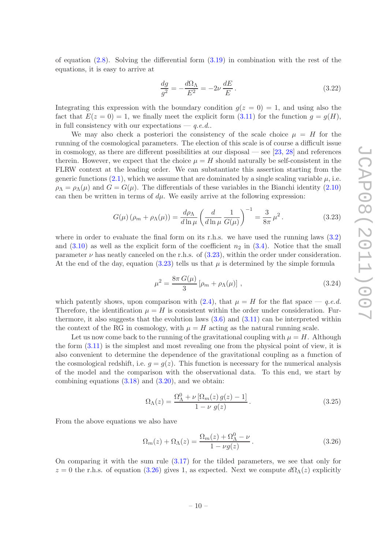of equation  $(2.8)$ . Solving the differential form  $(3.19)$  in combination with the rest of the equations, it is easy to arrive at

$$
\frac{dg}{g^2} = -\frac{d\Omega_\Lambda}{E^2} = -2\nu \frac{dE}{E}.
$$
\n(3.22)

Integrating this expression with the boundary condition  $q(z = 0) = 1$ , and using also the fact that  $E(z = 0) = 1$ , we finally meet the explicit form [\(3.11\)](#page-10-3) for the function  $q = q(H)$ , in full consistency with our expectations  $- q.e.d.$ .

We may also check a posteriori the consistency of the scale choice  $\mu = H$  for the running of the cosmological parameters. The election of this scale is of course a difficult issue in cosmology, as there are different possibilities at our disposal — see [\[23,](#page-39-3) [28](#page-40-4)] and references therein. However, we expect that the choice  $\mu = H$  should naturally be self-consistent in the FLRW context at the leading order. We can substantiate this assertion starting from the generic functions  $(2.1)$ , which we assume that are dominated by a single scaling variable  $\mu$ , i.e.  $\rho_{\Lambda} = \rho_{\Lambda}(\mu)$  and  $G = G(\mu)$ . The differentials of these variables in the Bianchi identity [\(2.10\)](#page-7-5) can then be written in terms of  $d\mu$ . We easily arrive at the following expression:

<span id="page-12-0"></span>
$$
G(\mu) \left( \rho_m + \rho_\Lambda(\mu) \right) = \frac{d\rho_\Lambda}{d\ln \mu} \left( \frac{d}{d\ln \mu} \frac{1}{G(\mu)} \right)^{-1} = \frac{3}{8\pi} \mu^2.
$$
 (3.23)

where in order to evaluate the final form on its r.h.s. we have used the running laws [\(3.2\)](#page-8-3) and  $(3.10)$  as well as the explicit form of the coefficient  $n_2$  in  $(3.4)$ . Notice that the small parameter  $\nu$  has neatly canceled on the r.h.s. of [\(3.23\)](#page-12-0), within the order under consideration. At the end of the day, equation [\(3.23\)](#page-12-0) tells us that  $\mu$  is determined by the simple formula

$$
\mu^2 = \frac{8\pi G(\mu)}{3} [\rho_m + \rho_\Lambda(\mu)] \,, \tag{3.24}
$$

which patently shows, upon comparison with [\(2.4\)](#page-7-0), that  $\mu = H$  for the flat space  $\mu$  e.d. Therefore, the identification  $\mu = H$  is consistent within the order under consideration. Furthermore, it also suggests that the evolution laws  $(3.6)$  and  $(3.11)$  can be interpreted within the context of the RG in cosmology, with  $\mu = H$  acting as the natural running scale.

Let us now come back to the running of the gravitational coupling with  $\mu = H$ . Although the form [\(3.11\)](#page-10-3) is the simplest and most revealing one from the physical point of view, it is also convenient to determine the dependence of the gravitational coupling as a function of the cosmological redshift, i.e.  $q = q(z)$ . This function is necessary for the numerical analysis of the model and the comparison with the observational data. To this end, we start by combining equations  $(3.18)$  and  $(3.20)$ , and we obtain:

<span id="page-12-2"></span>
$$
\Omega_{\Lambda}(z) = \frac{\Omega_{\Lambda}^{0} + \nu \left[\Omega_{m}(z) g(z) - 1\right]}{1 - \nu g(z)}.
$$
\n(3.25)

From the above equations we also have

<span id="page-12-1"></span>
$$
\Omega_m(z) + \Omega_\Lambda(z) = \frac{\Omega_m(z) + \Omega_\Lambda^0 - \nu}{1 - \nu g(z)}.
$$
\n(3.26)

On comparing it with the sum rule [\(3.17\)](#page-11-6) for the tilded parameters, we see that only for  $z = 0$  the r.h.s. of equation [\(3.26\)](#page-12-1) gives 1, as expected. Next we compute  $d\Omega_\Lambda(z)$  explicitly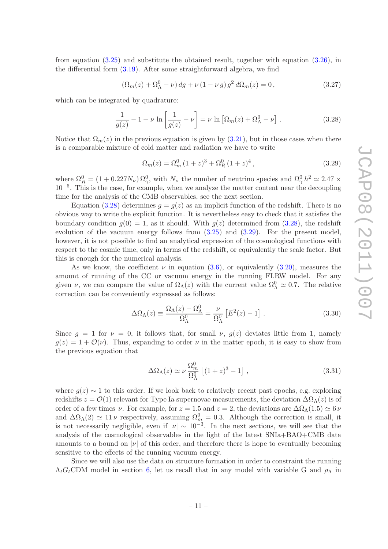from equation  $(3.25)$  and substitute the obtained result, together with equation  $(3.26)$ , in the differential form [\(3.19\)](#page-11-3). After some straightforward algebra, we find

$$
(\Omega_m(z) + \Omega_\Lambda^0 - \nu) \, dg + \nu \, (1 - \nu \, g) \, g^2 \, d\Omega_m(z) = 0 \,, \tag{3.27}
$$

which can be integrated by quadrature:

<span id="page-13-0"></span>
$$
\frac{1}{g(z)} - 1 + \nu \ln \left[ \frac{1}{g(z)} - \nu \right] = \nu \ln \left[ \Omega_m(z) + \Omega_\Lambda^0 - \nu \right]. \tag{3.28}
$$

Notice that  $\Omega_m(z)$  in the previous equation is given by  $(3.21)$ , but in those cases when there is a comparable mixture of cold matter and radiation we have to write

<span id="page-13-1"></span>
$$
\Omega_m(z) = \Omega_m^0 (1+z)^3 + \Omega_R^0 (1+z)^4 , \qquad (3.29)
$$

where  $\Omega_R^0 = (1 + 0.227 N_\nu) \Omega_\gamma^0$ , with  $N_\nu$  the number of neutrino species and  $\Omega_\gamma^0 h^2 \simeq 2.47 \times$ 10−<sup>5</sup> . This is the case, for example, when we analyze the matter content near the decoupling time for the analysis of the CMB observables, see the next section.

Equation [\(3.28\)](#page-13-0) determines  $q = q(z)$  as an implicit function of the redshift. There is no obvious way to write the explicit function. It is nevertheless easy to check that it satisfies the boundary condition  $g(0) = 1$ , as it should. With  $g(z)$  determined from [\(3.28\)](#page-13-0), the redshift evolution of the vacuum energy follows from  $(3.25)$  and  $(3.29)$ . For the present model, however, it is not possible to find an analytical expression of the cosmological functions with respect to the cosmic time, only in terms of the redshift, or equivalently the scale factor. But this is enough for the numerical analysis.

As we know, the coefficient  $\nu$  in equation [\(3.6\)](#page-9-2), or equivalently [\(3.20\)](#page-11-5), measures the amount of running of the CC or vacuum energy in the running FLRW model. For any given  $\nu$ , we can compare the value of  $\Omega_{\Lambda}(z)$  with the current value  $\Omega_{\Lambda}^0 \simeq 0.7$ . The relative correction can be conveniently expressed as follows:

$$
\Delta\Omega_{\Lambda}(z) \equiv \frac{\Omega_{\Lambda}(z) - \Omega_{\Lambda}^{0}}{\Omega_{\Lambda}^{0}} = \frac{\nu}{\Omega_{\Lambda}^{0}} \left[ E^{2}(z) - 1 \right] . \tag{3.30}
$$

Since  $g = 1$  for  $\nu = 0$ , it follows that, for small  $\nu$ ,  $g(z)$  deviates little from 1, namely  $g(z) = 1 + \mathcal{O}(\nu)$ . Thus, expanding to order  $\nu$  in the matter epoch, it is easy to show from the previous equation that

$$
\Delta\Omega_{\Lambda}(z) \simeq \nu \frac{\Omega_m^0}{\Omega_{\Lambda}^0} \left[ (1+z)^3 - 1 \right] , \qquad (3.31)
$$

where  $g(z) \sim 1$  to this order. If we look back to relatively recent past epochs, e.g. exploring redshifts  $z = \mathcal{O}(1)$  relevant for Type Ia supernovae measurements, the deviation  $\Delta\Omega_\Lambda(z)$  is of order of a few times  $\nu$ . For example, for  $z = 1.5$  and  $z = 2$ , the deviations are  $\Delta\Omega_{\Lambda}(1.5) \simeq 6 \nu$ and  $\Delta\Omega_{\Lambda}(2) \simeq 11 \nu$  respectively, assuming  $\Omega_m^0 = 0.3$ . Although the correction is small, it is not necessarily negligible, even if  $|\nu| \sim 10^{-3}$ . In the next sections, we will see that the analysis of the cosmological observables in the light of the latest SNIa+BAO+CMB data amounts to a bound on  $|\nu|$  of this order, and therefore there is hope to eventually becoming sensitive to the effects of the running vacuum energy.

Since we will also use the data on structure formation in order to constraint the running  $\Lambda_t G_t$ CDM model in section [6,](#page-19-0) let us recall that in any model with variable G and  $\rho_{\Lambda}$  in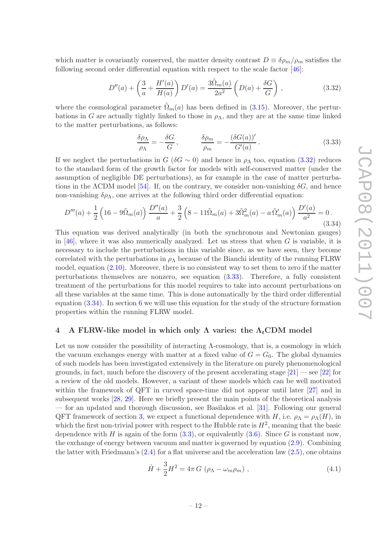which matter is covariantly conserved, the matter density contrast  $D \equiv \delta \rho_m / \rho_m$  satisfies the following second order differential equation with respect to the scale factor [\[46](#page-42-0)]:

<span id="page-14-1"></span>
$$
D''(a) + \left(\frac{3}{a} + \frac{H'(a)}{H(a)}\right)D'(a) = \frac{3\tilde{\Omega}_m(a)}{2a^2} \left(D(a) + \frac{\delta G}{G}\right),\tag{3.32}
$$

where the cosmological parameter  $\tilde{\Omega}_m(a)$  has been defined in [\(3.15\)](#page-11-0). Moreover, the perturbations in G are actually tightly linked to those in  $\rho_{\Lambda}$ , and they are at the same time linked to the matter perturbations, as follows:

<span id="page-14-2"></span>
$$
\frac{\delta \rho_{\Lambda}}{\rho_{\Lambda}} = -\frac{\delta G}{G}, \qquad \frac{\delta \rho_m}{\rho_m} = -\frac{(\delta G(a))'}{G'(a)}.
$$
\n(3.33)

If we neglect the perturbations in  $G$  ( $\delta G \sim 0$ ) and hence in  $\rho_{\Lambda}$  too, equation [\(3.32\)](#page-14-1) reduces to the standard form of the growth factor for models with self-conserved matter (under the assumption of negligible DE perturbations), as for example in the case of matter perturbations in the  $\Lambda$ CDM model [\[54](#page-42-6)]. If, on the contrary, we consider non-vanishing  $\delta G$ , and hence non-vanishing  $\delta \rho_{\Lambda}$ , one arrives at the following third order differential equation:

<span id="page-14-3"></span>
$$
D'''(a) + \frac{1}{2} \left( 16 - 9\tilde{\Omega}_m(a) \right) \frac{D''(a)}{a} + \frac{3}{2} \left( 8 - 11\tilde{\Omega}_m(a) + 3\tilde{\Omega}_m^2(a) - a\tilde{\Omega}_m'(a) \right) \frac{D'(a)}{a^2} = 0.
$$
\n(3.34)

This equation was derived analytically (in both the synchronous and Newtonian gauges) in [\[46\]](#page-42-0), where it was also numerically analyzed. Let us stress that when  $G$  is variable, it is necessary to include the perturbations in this variable since, as we have seen, they become correlated with the perturbations in  $\rho_{\Lambda}$  because of the Bianchi identity of the running FLRW model, equation  $(2.10)$ . Moreover, there is no consistent way to set them to zero if the matter perturbations themselves are nonzero, see equation [\(3.33\)](#page-14-2). Therefore, a fully consistent treatment of the perturbations for this model requires to take into account perturbations on all these variables at the same time. This is done automatically by the third order differential equation [\(3.34\)](#page-14-3). In section [6](#page-19-0) we will use this equation for the study of the structure formation properties within the running FLRW model.

# <span id="page-14-0"></span>4 A FLRW-like model in which only  $\Lambda$  varies: the  $\Lambda_t$ CDM model

Let us now consider the possibility of interacting Λ-cosmology, that is, a cosmology in which the vacuum exchanges energy with matter at a fixed value of  $G = G<sub>0</sub>$ . The global dynamics of such models has been investigated extensively in the literature on purely phenomenological grounds, in fact, much before the discovery of the present accelerating stage  $[21]$  — see  $[22]$  for a review of the old models. However, a variant of these models which can be well motivated within the framework of QFT in curved space-time did not appear until later [\[27](#page-40-0)] and in subsequent works [\[28,](#page-40-4) [29](#page-40-1)]. Here we briefly present the main points of the theoretical analysis — for an updated and thorough discussion, see Basilakos et al. [\[31](#page-40-3)]. Following our general QFT framework of section [3,](#page-8-0) we expect a functional dependence with H, i.e.  $\rho_{\Lambda} = \rho_{\Lambda}(H)$ , in which the first non-trivial power with respect to the Hubble rate is  $H^2$ , meaning that the basic dependence with H is again of the form  $(3.3)$ , or equivalently  $(3.6)$ . Since G is constant now, the exchange of energy between vacuum and matter is governed by equation [\(2.9\)](#page-7-6). Combining the latter with Friedmann's  $(2.4)$  for a flat universe and the acceleration law  $(2.5)$ , one obtains

$$
\dot{H} + \frac{3}{2}H^2 = 4\pi G \left( \rho_\Lambda - \omega_m \rho_m \right) , \qquad (4.1)
$$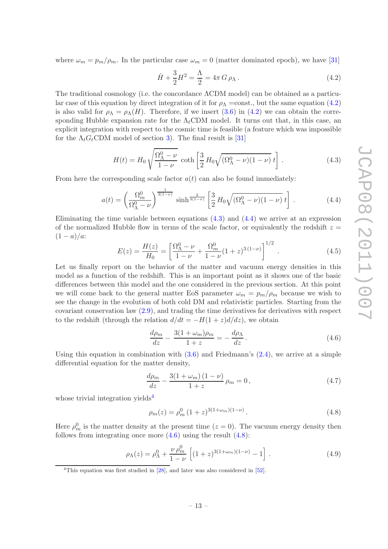where  $\omega_m = p_m/\rho_m$ . In the particular case  $\omega_m = 0$  (matter dominated epoch), we have [\[31](#page-40-3)]

<span id="page-15-0"></span>
$$
\dot{H} + \frac{3}{2}H^2 = \frac{\Lambda}{2} = 4\pi G \rho_{\Lambda}.
$$
\n(4.2)

The traditional cosmology (i.e. the concordance ΛCDM model) can be obtained as a particular case of this equation by direct integration of it for  $\rho_{\Lambda} = \text{const.}$ , but the same equation [\(4.2\)](#page-15-0) is also valid for  $\rho_{\Lambda} = \rho_{\Lambda}(H)$ . Therefore, if we insert [\(3.6\)](#page-9-2) in [\(4.2\)](#page-15-0) we can obtain the corresponding Hubble expansion rate for the  $\Lambda_t$ CDM model. It turns out that, in this case, an explicit integration with respect to the cosmic time is feasible (a feature which was impossible for the  $\Lambda_t G_t$ CDM model of section [3\)](#page-8-0). The final result is [\[31](#page-40-3)]

<span id="page-15-1"></span>
$$
H(t) = H_0 \sqrt{\frac{\Omega_{\Lambda}^0 - \nu}{1 - \nu}} \coth\left[\frac{3}{2} H_0 \sqrt{(\Omega_{\Lambda}^0 - \nu)(1 - \nu)} t\right].
$$
 (4.3)

From here the corresponding scale factor  $a(t)$  can also be found immediately:

<span id="page-15-2"></span>
$$
a(t) = \left(\frac{\Omega_m^0}{\Omega_\Lambda^0 - \nu}\right)^{\frac{1}{3(1-\nu)}} \sinh^{\frac{2}{3(1-\nu)}} \left[\frac{3}{2} H_0 \sqrt{(\Omega_\Lambda^0 - \nu)(1-\nu)} t\right].
$$
 (4.4)

Eliminating the time variable between equations  $(4.3)$  and  $(4.4)$  we arrive at an expression of the normalized Hubble flow in terms of the scale factor, or equivalently the redshift  $z =$  $(1 - a)/a$ :

<span id="page-15-7"></span>
$$
E(z) = \frac{H(z)}{H_0} = \left[\frac{\Omega_{\Lambda}^0 - \nu}{1 - \nu} + \frac{\Omega_m^0}{1 - \nu}(1 + z)^{3(1 - \nu)}\right]^{1/2}.
$$
 (4.5)

Let us finally report on the behavior of the matter and vacuum energy densities in this model as a function of the redshift. This is an important point as it shows one of the basic differences between this model and the one considered in the previous section. At this point we will come back to the general matter EoS parameter  $\omega_m = p_m/\rho_m$  because we wish to see the change in the evolution of both cold DM and relativistic particles. Starting from the covariant conservation law [\(2.9\)](#page-7-6), and trading the time derivatives for derivatives with respect to the redshift (through the relation  $d/dt = -H(1+z)d/dz$ ), we obtain

<span id="page-15-4"></span>
$$
\frac{d\rho_m}{dz} - \frac{3(1+\omega_m)\rho_m}{1+z} = -\frac{d\rho_\Lambda}{dz}.
$$
\n(4.6)

Using this equation in combination with  $(3.6)$  and Friedmann's  $(2.4)$ , we arrive at a simple differential equation for the matter density,

$$
\frac{d\rho_m}{dz} - \frac{3(1+\omega_m)(1-\nu)}{1+z} \rho_m = 0, \qquad (4.7)
$$

whose trivial integration yields<sup>[4](#page-15-3)</sup>

<span id="page-15-5"></span>
$$
\rho_m(z) = \rho_m^0 \left(1 + z\right)^{3(1 + \omega_m)(1 - \nu)}.\tag{4.8}
$$

Here  $\rho_m^0$  is the matter density at the present time  $(z = 0)$ . The vacuum energy density then follows from integrating once more  $(4.6)$  using the result  $(4.8)$ :

<span id="page-15-6"></span>
$$
\rho_{\Lambda}(z) = \rho_{\Lambda}^0 + \frac{\nu \rho_m^0}{1 - \nu} \left[ (1 + z)^{3(1 + \omega_m)(1 - \nu)} - 1 \right]. \tag{4.9}
$$

<span id="page-15-3"></span><sup>&</sup>lt;sup>4</sup>This equation was first studied in  $[28]$ , and later was also considered in  $[52]$ .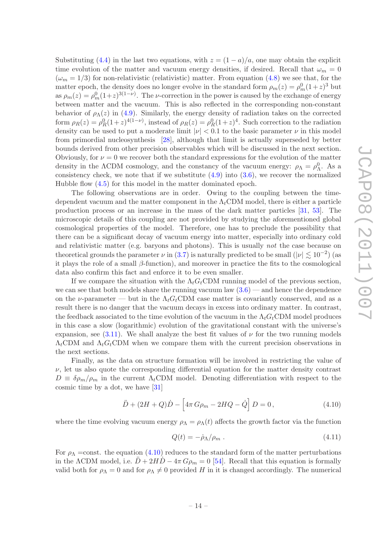Substituting [\(4.4\)](#page-15-2) in the last two equations, with  $z = (1 - a)/a$ , one may obtain the explicit time evolution of the matter and vacuum energy densities, if desired. Recall that  $\omega_m = 0$  $(\omega_m = 1/3)$  for non-relativistic (relativistic) matter. From equation [\(4.8\)](#page-15-5) we see that, for the matter epoch, the density does no longer evolve in the standard form  $\rho_m(z) = \rho_m^0 (1+z)^3$  but as  $\rho_m(z) = \rho_m^0 (1+z)^{3(1-\nu)}$ . The *v*-correction in the power is caused by the exchange of energy between matter and the vacuum. This is also reflected in the corresponding non-constant behavior of  $\rho_{\Lambda}(z)$  in [\(4.9\)](#page-15-6). Similarly, the energy density of radiation takes on the corrected form  $\rho_R(z) = \rho_R^0 (1+z)^{4(1-\nu)}$ , instead of  $\rho_R(z) = \rho_R^0 (1+z)^4$ . Such correction to the radiation density can be used to put a moderate limit  $|\nu| < 0.1$  to the basic parameter  $\nu$  in this model from primordial nucleosynthesis [\[28\]](#page-40-4), although that limit is actually superseded by better bounds derived from other precision observables which will be discussed in the next section. Obviously, for  $\nu = 0$  we recover both the standard expressions for the evolution of the matter density in the  $\Lambda$ CDM cosmology, and the constancy of the vacuum energy:  $\rho_{\Lambda} = \rho_{\Lambda}^0$ . As a consistency check, we note that if we substitute  $(4.9)$  into  $(3.6)$ , we recover the normalized Hubble flow  $(4.5)$  for this model in the matter dominated epoch.

The following observations are in order. Owing to the coupling between the timedependent vacuum and the matter component in the  $\Lambda_t$ CDM model, there is either a particle production process or an increase in the mass of the dark matter particles [\[31](#page-40-3), [53](#page-42-8)]. The microscopic details of this coupling are not provided by studying the aforementioned global cosmological properties of the model. Therefore, one has to preclude the possibility that there can be a significant decay of vacuum energy into matter, especially into ordinary cold and relativistic matter (e.g. baryons and photons). This is usually not the case because on theoretical grounds the parameter  $\nu$  in [\(3.7\)](#page-9-4) is naturally predicted to be small ( $|\nu| \lesssim 10^{-2}$ ) (as it plays the role of a small  $\beta$ -function), and moreover in practice the fits to the cosmological data also confirm this fact and enforce it to be even smaller.

If we compare the situation with the  $\Lambda_t G_t$ CDM running model of the previous section, we can see that both models share the running vacuum law  $(3.6)$  — and hence the dependence on the *ν*-parameter — but in the  $\Lambda_t G_t$ CDM case matter is covariantly conserved, and as a result there is no danger that the vacuum decays in excess into ordinary matter. In contrast, the feedback associated to the time evolution of the vacuum in the  $\Lambda_t G_t$ CDM model produces in this case a slow (logarithmic) evolution of the gravitational constant with the universe's expansion, see [\(3.11\)](#page-10-3). We shall analyze the best fit values of  $\nu$  for the two running models  $\Lambda_t$ CDM and  $\Lambda_t G_t$ CDM when we compare them with the current precision observations in the next sections.

Finally, as the data on structure formation will be involved in restricting the value of  $\nu$ , let us also quote the corresponding differential equation for the matter density contrast  $D \equiv \delta \rho_m / \rho_m$  in the current  $\Lambda_t$ CDM model. Denoting differentiation with respect to the cosmic time by a dot, we have [\[31\]](#page-40-3)

<span id="page-16-0"></span>
$$
\ddot{D} + (2H + Q)\dot{D} - \left[4\pi G\rho_m - 2HQ - \dot{Q}\right]D = 0, \qquad (4.10)
$$

where the time evolving vacuum energy  $\rho_{\Lambda} = \rho_{\Lambda}(t)$  affects the growth factor via the function

<span id="page-16-1"></span>
$$
Q(t) = -\dot{\rho}_\Lambda/\rho_m \,. \tag{4.11}
$$

For  $\rho_{\Lambda}$  =const. the equation [\(4.10\)](#page-16-0) reduces to the standard form of the matter perturbations in the ΛCDM model, i.e.  $\ddot{D} + 2H\dot{D} - 4\pi G\rho_m = 0$  [\[54](#page-42-6)]. Recall that this equation is formally valid both for  $\rho_{\Lambda} = 0$  and for  $\rho_{\Lambda} \neq 0$  provided H in it is changed accordingly. The numerical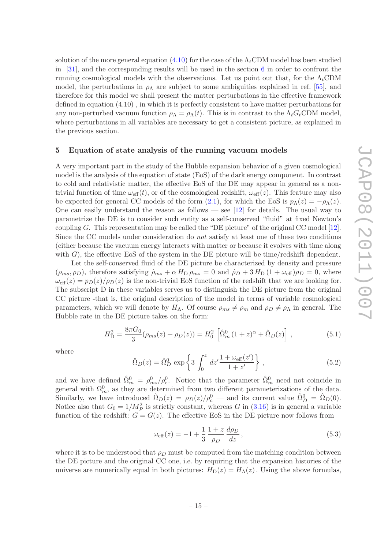solution of the more general equation  $(4.10)$  for the case of the  $\Lambda_t$ CDM model has been studied in [\[31](#page-40-3)], and the corresponding results will be used in the section  $6$  in order to confront the running cosmological models with the observations. Let us point out that, for the  $\Lambda_t$ CDM model, the perturbations in  $\rho_{\Lambda}$  are subject to some ambiguities explained in ref. [\[55](#page-42-9)], and therefore for this model we shall present the matter perturbations in the effective framework defined in equation (4.10) , in which it is perfectly consistent to have matter perturbations for any non-perturbed vacuum function  $\rho_{\Lambda} = \rho_{\Lambda}(t)$ . This is in contrast to the  $\Lambda_t G_t$ CDM model, where perturbations in all variables are necessary to get a consistent picture, as explained in the previous section.

#### <span id="page-17-0"></span>5 Equation of state analysis of the running vacuum models

A very important part in the study of the Hubble expansion behavior of a given cosmological model is the analysis of the equation of state (EoS) of the dark energy component. In contrast to cold and relativistic matter, the effective EoS of the DE may appear in general as a nontrivial function of time  $\omega_{\text{eff}}(t)$ , or of the cosmological redshift,  $\omega_{\text{eff}}(z)$ . This feature may also be expected for general CC models of the form [\(2.1\)](#page-6-0), for which the EoS is  $p_{\Lambda}(z) = -\rho_{\Lambda}(z)$ . One can easily understand the reason as follows — see [\[12\]](#page-37-7) for details. The usual way to parametrize the DE is to consider such entity as a self-conserved "fluid" at fixed Newton's coupling G. This representation may be called the "DE picture" of the original CC model  $[12]$ . Since the CC models under consideration do not satisfy at least one of these two conditions (either because the vacuum energy interacts with matter or because it evolves with time along with  $G$ ), the effective EoS of the system in the DE picture will be time/redshift dependent.

Let the self-conserved fluid of the DE picture be characterized by density and pressure  $(\rho_{ms}, \rho_D)$ , therefore satisfying  $\dot{\rho}_{ms} + \alpha H_D \rho_{ms} = 0$  and  $\dot{\rho}_D + 3 H_D (1 + \omega_{eff}) \rho_D = 0$ , where  $\omega_{\text{eff}}(z) = p_D(z)/\rho_D(z)$  is the non-trivial EoS function of the redshift that we are looking for. The subscript D in these variables serves us to distinguish the DE picture from the original CC picture -that is, the original description of the model in terms of variable cosmological parameters, which we will denote by  $H_{\Lambda}$ . Of course  $\rho_{ms} \neq \rho_m$  and  $\rho_D \neq \rho_{\Lambda}$  in general. The Hubble rate in the DE picture takes on the form:

<span id="page-17-1"></span>
$$
H_{\rm D}^2 = \frac{8\pi G_0}{3} (\rho_{ms}(z) + \rho_D(z)) = H_0^2 \left[ \hat{\Omega}_m^0 (1+z)^\alpha + \hat{\Omega}_D(z) \right],\tag{5.1}
$$

where

<span id="page-17-2"></span>
$$
\hat{\Omega}_D(z) = \hat{\Omega}_D^0 \exp\left\{3 \int_0^z dz' \frac{1 + \omega_{\text{eff}}(z')}{1 + z'}\right\},\tag{5.2}
$$

and we have defined  $\hat{\Omega}_m^0 = \rho_{ms}^0/\rho_c^0$ . Notice that the parameter  $\hat{\Omega}_m^0$  need not coincide in general with  $\Omega_m^0$ , as they are determined from two different parameterizations of the data. Similarly, we have introduced  $\hat{\Omega}_D(z) = \rho_D(z)/\rho_c^0$  — and its current value  $\hat{\Omega}_D^0 = \hat{\Omega}_D(0)$ . Notice also that  $G_0 = 1/M_P^2$  is strictly constant, whereas G in [\(3.16\)](#page-11-2) is in general a variable function of the redshift:  $G = G(z)$ . The effective EoS in the DE picture now follows from

$$
\omega_{\text{eff}}(z) = -1 + \frac{1}{3} \frac{1+z}{\rho_D} \frac{d\rho_D}{dz},
$$
\n(5.3)

where it is to be understood that  $\rho_D$  must be computed from the matching condition between the DE picture and the original CC one, i.e. by requiring that the expansion histories of the universe are numerically equal in both pictures:  $H_D(z) = H_\Lambda(z)$ . Using the above formulas,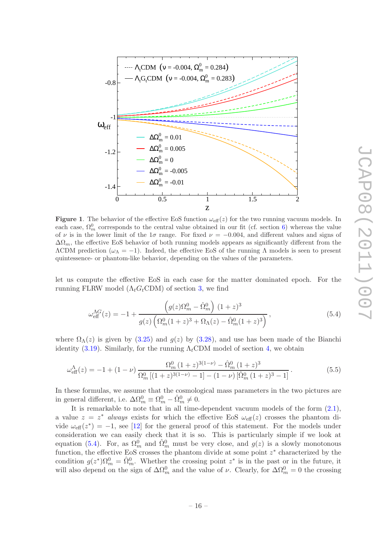

<span id="page-18-2"></span>**Figure 1.** The behavior of the effective EoS function  $\omega_{\text{eff}}(z)$  for the two running vacuum models. In each case,  $\Omega_m^0$  corresponds to the central value obtained in our fit (cf. section [6\)](#page-19-0) whereas the value of  $\nu$  is in the lower limit of the 1 $\sigma$  range. For fixed  $\nu = -0.004$ , and different values and signs of  $\Delta\Omega_m$ , the effective EoS behavior of both running models appears as significantly different from the  $ΛCDM$  prediction ( $ω<sub>Λ</sub> = -1$ ). Indeed, the effective EoS of the running Λ models is seen to present quintessence- or phantom-like behavior, depending on the values of the parameters.

let us compute the effective EoS in each case for the matter dominated epoch. For the running FLRW model  $(\Lambda_t G_t CDM)$  of section [3,](#page-8-0) we find

<span id="page-18-0"></span>
$$
\omega_{\text{eff}}^{\Lambda G}(z) = -1 + \frac{\left(g(z)\Omega_m^0 - \hat{\Omega}_m^0\right)(1+z)^3}{g(z)\left(\Omega_m^0(1+z)^3 + \Omega_\Lambda(z) - \hat{\Omega}_m^0(1+z)^3\right)},\tag{5.4}
$$

where  $\Omega_{\Lambda}(z)$  is given by [\(3.25\)](#page-12-2) and  $g(z)$  by [\(3.28\)](#page-13-0), and use has been made of the Bianchi identity [\(3.19\)](#page-11-3). Similarly, for the running  $\Lambda_t$ CDM model of section [4,](#page-14-0) we obtain

<span id="page-18-1"></span>
$$
\omega_{\text{eff}}^{\Lambda}(z) = -1 + (1 - \nu) \frac{\Omega_m^0 (1 + z)^{3(1 - \nu)} - \hat{\Omega}_m^0 (1 + z)^3}{\Omega_m^0 [(1 + z)^{3(1 - \nu)} - 1] - (1 - \nu) [\hat{\Omega}_m^0 (1 + z)^3 - 1]}.
$$
(5.5)

In these formulas, we assume that the cosmological mass parameters in the two pictures are in general different, i.e.  $\Delta \Omega_m^0 \equiv \Omega_m^0 - \hat{\Omega}_m^0 \neq 0$ .

It is remarkable to note that in all time-dependent vacuum models of the form [\(2.1\)](#page-6-0), a value  $z = z^*$  always exists for which the effective EoS  $\omega_{\text{eff}}(z)$  crosses the phantom divide  $\omega_{\text{eff}}(z^*) = -1$ , see [\[12](#page-37-7)] for the general proof of this statement. For the models under consideration we can easily check that it is so. This is particularly simple if we look at equation [\(5.4\)](#page-18-0). For, as  $\Omega_m^0$  and  $\hat{\Omega}_m^0$  must be very close, and  $g(z)$  is a slowly monotonous function, the effective EoS crosses the phantom divide at some point  $z^*$  characterized by the condition  $g(z^*)\Omega_m^0 = \hat{\Omega}_m^0$ . Whether the crossing point  $z^*$  is in the past or in the future, it will also depend on the sign of  $\Delta\Omega_m^0$  and the value of  $\nu$ . Clearly, for  $\Delta\Omega_m^0 = 0$  the crossing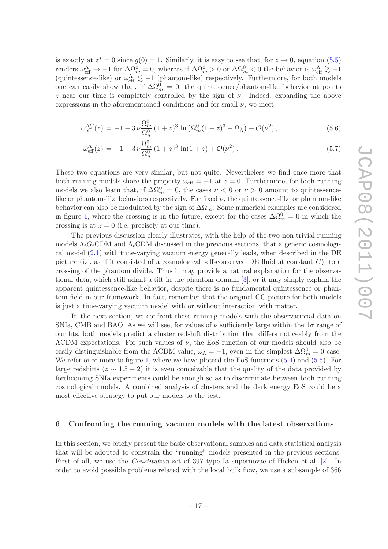is exactly at  $z^* = 0$  since  $g(0) = 1$ . Similarly, it is easy to see that, for  $z \to 0$ , equation [\(5.5\)](#page-18-1) renders  $\omega_{\text{eff}}^{\Lambda} \to -1$  for  $\Delta \Omega_m^0 = 0$ , whereas if  $\Delta \Omega_m^0 > 0$  or  $\Delta \Omega_m^0 < 0$  the behavior is  $\omega_{\text{eff}}^{\Lambda} \gtrsim -1$ (quintessence-like) or  $\omega_{\text{eff}}^{\Lambda} \lesssim -1$  (phantom-like) respectively. Furthermore, for both models one can easily show that, if  $\Delta\Omega_m^0 = 0$ , the quintessence/phantom-like behavior at points z near our time is completely controlled by the sign of  $\nu$ . Indeed, expanding the above expressions in the aforementioned conditions and for small  $\nu$ , we meet:

$$
\omega_{\text{eff}}^{\Lambda G}(z) = -1 - 3 \nu \frac{\Omega_m^0}{\Omega_\Lambda^0} (1+z)^3 \ln \left( \Omega_m^0 (1+z)^3 + \Omega_\Lambda^0 \right) + \mathcal{O}(\nu^2) \,, \tag{5.6}
$$

$$
\omega_{\text{eff}}^{\Lambda}(z) = -1 - 3\nu \frac{\Omega_m^0}{\Omega_{\Lambda}^0} (1+z)^3 \ln(1+z) + \mathcal{O}(\nu^2). \tag{5.7}
$$

These two equations are very similar, but not quite. Nevertheless we find once more that both running models share the property  $\omega_{\text{eff}} = -1$  at  $z = 0$ . Furthermore, for both running models we also learn that, if  $\Delta\Omega_m^0 = 0$ , the cases  $\nu < 0$  or  $\nu > 0$  amount to quintessencelike or phantom-like behaviors respectively. For fixed  $\nu$ , the quintessence-like or phantom-like behavior can also be modulated by the sign of  $\Delta\Omega_m$ . Some numerical examples are considered in figure [1,](#page-18-2) where the crossing is in the future, except for the cases  $\Delta\Omega_m^0 = 0$  in which the crossing is at  $z = 0$  (i.e. precisely at our time).

The previous discussion clearly illustrates, with the help of the two non-trivial running models  $\Lambda_t G_t$ CDM and  $\Lambda_t$ CDM discussed in the previous sections, that a generic cosmological model [\(2.1\)](#page-6-0) with time-varying vacuum energy generally leads, when described in the DE picture (i.e. as if it consisted of a cosmological self-conserved DE fluid at constant  $G$ ), to a crossing of the phantom divide. Thus it may provide a natural explanation for the observational data, which still admit a tilt in the phantom domain [\[3](#page-36-1)], or it may simply explain the apparent quintessence-like behavior, despite there is no fundamental quintessence or phantom field in our framework. In fact, remember that the original CC picture for both models is just a time-varying vacuum model with or without interaction with matter.

In the next section, we confront these running models with the observational data on SNIa, CMB and BAO. As we will see, for values of  $\nu$  sufficiently large within the 1 $\sigma$  range of our fits, both models predict a cluster redshift distribution that differs noticeably from the  $\Lambda$ CDM expectations. For such values of  $\nu$ , the EoS function of our models should also be easily distinguishable from the  $\Lambda$ CDM value,  $\omega_{\Lambda} = -1$ , even in the simplest  $\Delta \Omega_m^0 = 0$  case. We refer once more to figure [1,](#page-18-2) where we have plotted the EoS functions  $(5.4)$  and  $(5.5)$ . For large redshifts ( $z \sim 1.5 - 2$ ) it is even conceivable that the quality of the data provided by forthcoming SNIa experiments could be enough so as to discriminate between both running cosmological models. A combined analysis of clusters and the dark energy EoS could be a most effective strategy to put our models to the test.

#### <span id="page-19-0"></span>6 Confronting the running vacuum models with the latest observations

In this section, we briefly present the basic observational samples and data statistical analysis that will be adopted to constrain the "running" models presented in the previous sections. First of all, we use the *Constitution* set of 397 type Ia supernovae of Hicken et al. [\[2](#page-36-2)]. In order to avoid possible problems related with the local bulk flow, we use a subsample of 366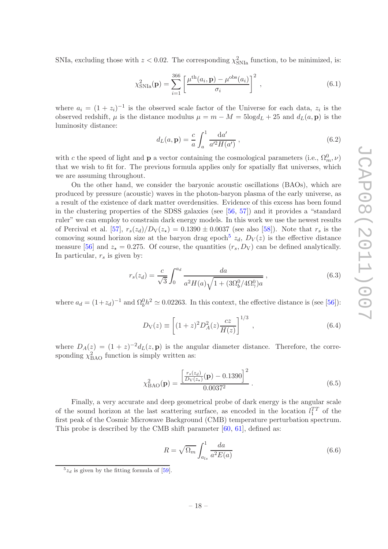SNIa, excluding those with  $z < 0.02$ . The corresponding  $\chi^2_{\rm SNIa}$  function, to be minimized, is:

$$
\chi_{\text{SNIa}}^2(\mathbf{p}) = \sum_{i=1}^{366} \left[ \frac{\mu^{\text{th}}(a_i, \mathbf{p}) - \mu^{\text{obs}}(a_i)}{\sigma_i} \right]^2 , \qquad (6.1)
$$

where  $a_i = (1 + z_i)^{-1}$  is the observed scale factor of the Universe for each data,  $z_i$  is the observed redshift,  $\mu$  is the distance modulus  $\mu = m - M = 5 \log d_L + 25$  and  $d_L(a, \mathbf{p})$  is the luminosity distance:

$$
d_L(a, \mathbf{p}) = \frac{c}{a} \int_a^1 \frac{\mathrm{d}a'}{a'^2 H(a')} , \qquad (6.2)
$$

with c the speed of light and **p** a vector containing the cosmological parameters (i.e.,  $\Omega_m^0$ ,  $\nu$ ) that we wish to fit for. The previous formula applies only for spatially flat universes, which we are assuming throughout.

On the other hand, we consider the baryonic acoustic oscillations (BAOs), which are produced by pressure (acoustic) waves in the photon-baryon plasma of the early universe, as a result of the existence of dark matter overdensities. Evidence of this excess has been found in the clustering properties of the SDSS galaxies (see [\[56](#page-42-10), [57](#page-42-11)]) and it provides a "standard ruler" we can employ to constrain dark energy models. In this work we use the newest results of Percival et al. [\[57\]](#page-42-11),  $r_s(z_d)/D_V(z_\star) = 0.1390 \pm 0.0037$  (see also [\[58](#page-42-12)]). Note that  $r_s$  is the comoving sound horizon size at the baryon drag epoch<sup>[5](#page-20-0)</sup>  $z_d$ ,  $D_V(z)$  is the effective distance measure [\[56](#page-42-10)] and  $z_{\star} = 0.275$ . Of course, the quantities  $(r_s, D_V)$  can be defined analytically. In particular,  $r_s$  is given by:

$$
r_s(z_d) = \frac{c}{\sqrt{3}} \int_0^{a_d} \frac{da}{a^2 H(a)\sqrt{1 + (3\Omega_b^0/4\Omega_\gamma^0)a}} ,\qquad (6.3)
$$

where  $a_d = (1 + z_d)^{-1}$  and  $\Omega_b^0 h^2 \simeq 0.02263$ . In this context, the effective distance is (see [\[56](#page-42-10)]):

$$
D_V(z) \equiv \left[ (1+z)^2 D_A^2(z) \frac{cz}{H(z)} \right]^{1/3},\tag{6.4}
$$

where  $D_A(z) = (1+z)^{-2} d_L(z, \mathbf{p})$  is the angular diameter distance. Therefore, the corresponding  $\chi^2_{\text{BAO}}$  function is simply written as:

$$
\chi_{\text{BAO}}^2(\mathbf{p}) = \frac{\left[\frac{r_s(z_d)}{D_V(z_*)}(\mathbf{p}) - 0.1390\right]^2}{0.0037^2} \,. \tag{6.5}
$$

Finally, a very accurate and deep geometrical probe of dark energy is the angular scale of the sound horizon at the last scattering surface, as encoded in the location  $l_1^{TT}$  of the first peak of the Cosmic Microwave Background (CMB) temperature perturbation spectrum. This probe is described by the CMB shift parameter [\[60,](#page-43-0) [61](#page-43-1)], defined as:

$$
R = \sqrt{\Omega_m} \int_{a_{ls}}^1 \frac{da}{a^2 E(a)} \tag{6.6}
$$

<span id="page-20-0"></span> $5z_d$  is given by the fitting formula of [\[59\]](#page-43-2).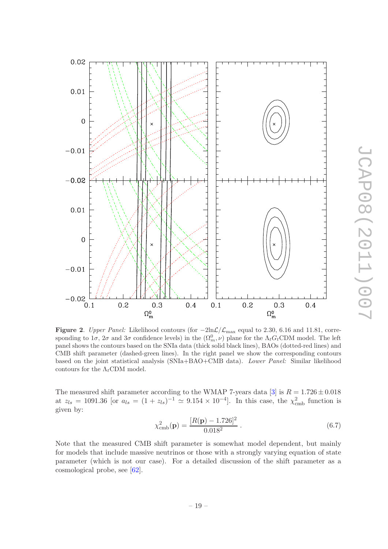

**JCAP08(2011)007** JCAP08(2011)007

<span id="page-21-0"></span>Figure 2. Upper Panel: Likelihood contours (for  $-2\ln\mathcal{L}/\mathcal{L}_{\text{max}}$  equal to 2.30, 6.16 and 11.81, corresponding to  $1\sigma$ ,  $2\sigma$  and  $3\sigma$  confidence levels) in the  $(\Omega_m^0, \nu)$  plane for the  $\Lambda_t G_t$ CDM model. The left panel shows the contours based on the SNIa data (thick solid black lines), BAOs (dotted-red lines) and CMB shift parameter (dashed-green lines). In the right panel we show the corresponding contours based on the joint statistical analysis (SNIa+BAO+CMB data). Lower Panel: Similar likelihood contours for the  $\Lambda_t$ CDM model.

The measured shift parameter according to the WMAP 7-years data [\[3\]](#page-36-1) is  $R = 1.726 \pm 0.018$ at  $z_{ls} = 1091.36$  [or  $a_{ls} = (1 + z_{ls})^{-1} \approx 9.154 \times 10^{-4}$ ]. In this case, the  $\chi^2_{\rm cmb}$  function is given by:

$$
\chi_{\rm cmb}^2(\mathbf{p}) = \frac{[R(\mathbf{p}) - 1.726]^2}{0.018^2} \,. \tag{6.7}
$$

Note that the measured CMB shift parameter is somewhat model dependent, but mainly for models that include massive neutrinos or those with a strongly varying equation of state parameter (which is not our case). For a detailed discussion of the shift parameter as a cosmological probe, see [\[62](#page-43-3)].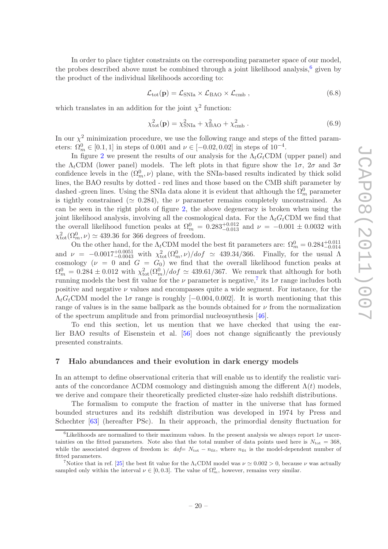In order to place tighter constraints on the corresponding parameter space of our model, the probes described above must be combined through a joint likelihood analysis,<sup>[6](#page-22-1)</sup> given by the product of the individual likelihoods according to:

$$
\mathcal{L}_{\text{tot}}(\mathbf{p}) = \mathcal{L}_{\text{SNIa}} \times \mathcal{L}_{\text{BAO}} \times \mathcal{L}_{\text{cmb}} , \qquad (6.8)
$$

which translates in an addition for the joint  $\chi^2$  function:

$$
\chi_{\text{tot}}^2(\mathbf{p}) = \chi_{\text{SNIa}}^2 + \chi_{\text{BAO}}^2 + \chi_{\text{cmb}}^2.
$$
 (6.9)

In our  $\chi^2$  minimization procedure, we use the following range and steps of the fitted parameters:  $\Omega_m^0 \in [0.1, 1]$  in steps of 0.001 and  $\nu \in [-0.02, 0.02]$  in steps of  $10^{-4}$ .

In figure [2](#page-21-0) we present the results of our analysis for the  $\Lambda_t G_t$ CDM (upper panel) and the  $\Lambda_t$ CDM (lower panel) models. The left plots in that figure show the  $1\sigma$ ,  $2\sigma$  and  $3\sigma$ confidence levels in the  $(\Omega_m^0, \nu)$  plane, with the SNIa-based results indicated by thick solid lines, the BAO results by dotted - red lines and those based on the CMB shift parameter by dashed -green lines. Using the SNIa data alone it is evident that although the  $\Omega_m^0$  parameter is tightly constrained ( $\simeq 0.284$ ), the  $\nu$  parameter remains completely unconstrained. As can be seen in the right plots of figure [2,](#page-21-0) the above degeneracy is broken when using the joint likelihood analysis, involving all the cosmological data. For the  $\Lambda_t G_t$ CDM we find that the overall likelihood function peaks at  $\Omega_m^0 = 0.283_{-0.013}^{+0.012}$  and  $\nu = -0.001 \pm 0.0032$  with  $\chi^2_{\text{tot}}(\Omega_m^0, \nu) \simeq 439.36$  for 366 degrees of freedom.

On the other hand, for the  $\Lambda_t$ CDM model the best fit parameters are:  $\Omega_m^0 = 0.284_{-0.014}^{+0.011}$ and  $\nu = -0.0017_{-0.0043}^{+0.0051}$  with  $\chi^2_{\text{tot}}(\Omega_m^0, \nu)/dof \simeq 439.34/366$ . Finally, for the usual  $\Lambda$ cosmology  $(\nu = 0 \text{ and } G = G_0)$  we find that the overall likelihood function peaks at  $\Omega_m^0 = 0.284 \pm 0.012$  with  $\chi^2_{\text{tot}}(\Omega_m^0)/dof \simeq 439.61/367$ . We remark that although for both running models the best fit value for the  $\nu$  parameter is negative,<sup>[7](#page-22-2)</sup> its  $1\sigma$  range includes both positive and negative  $\nu$  values and encompasses quite a wide segment. For instance, for the  $\Lambda_t G_t$ CDM model the  $1\sigma$  range is roughly [−0.004, 0.002]. It is worth mentioning that this range of values is in the same ballpark as the bounds obtained for  $\nu$  from the normalization of the spectrum amplitude and from primordial nucleosynthesis [\[46\]](#page-42-0).

To end this section, let us mention that we have checked that using the earlier BAO results of Eisenstein et al. [\[56\]](#page-42-10) does not change significantly the previously presented constraints.

#### <span id="page-22-0"></span>7 Halo abundances and their evolution in dark energy models

In an attempt to define observational criteria that will enable us to identify the realistic variants of the concordance  $\Lambda$ CDM cosmology and distinguish among the different  $\Lambda(t)$  models, we derive and compare their theoretically predicted cluster-size halo redshift distributions.

The formalism to compute the fraction of matter in the universe that has formed bounded structures and its redshift distribution was developed in 1974 by Press and Schechter [\[63](#page-43-4)] (hereafter PSc). In their approach, the primordial density fluctuation for

<span id="page-22-1"></span><sup>&</sup>lt;sup>6</sup>Likelihoods are normalized to their maximum values. In the present analysis we always report  $1\sigma$  uncertainties on the fitted parameters. Note also that the total number of data points used here is  $N_{\text{tot}} = 368$ , while the associated degrees of freedom is:  $dof= N_{\text{tot}} - n_{\text{fit}}$ , where  $n_{\text{fit}}$  is the model-dependent number of fitted parameters.

<span id="page-22-2"></span><sup>&</sup>lt;sup>7</sup>Notice that in ref. [\[25\]](#page-39-6) the best fit value for the  $\Lambda_t$ CDM model was  $\nu \approx 0.002 > 0$ , because  $\nu$  was actually sampled only within the interval  $\nu \in [0, 0.3]$ . The value of  $\Omega_m^0$ , however, remains very similar.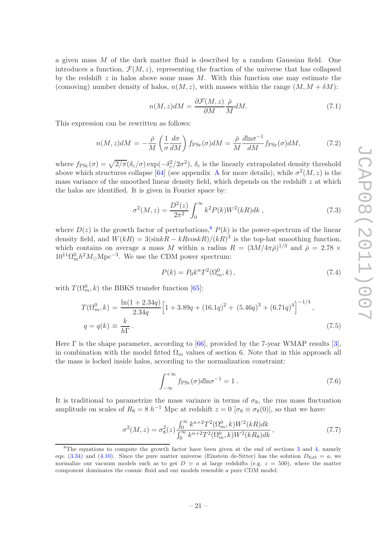a given mass  $M$  of the dark matter fluid is described by a random Gaussian field. One introduces a function,  $\mathcal{F}(M, z)$ , representing the fraction of the universe that has collapsed by the redshift  $z$  in halos above some mass  $M$ . With this function one may estimate the (comoving) number density of halos,  $n(M, z)$ , with masses within the range  $(M, M + \delta M)$ :

$$
n(M, z)dM = \frac{\partial \mathcal{F}(M, z)}{\partial M} \frac{\bar{\rho}}{M} dM.
$$
\n(7.1)

This expression can be rewritten as follows:

<span id="page-23-2"></span>
$$
n(M,z)dM = -\frac{\bar{\rho}}{M} \left( \frac{1}{\sigma} \frac{d\sigma}{dM} \right) f_{\rm PSc}(\sigma) dM = \frac{\bar{\rho}}{M} \frac{d\ln \sigma^{-1}}{dM} f_{\rm PSc}(\sigma) dM, \tag{7.2}
$$

where  $f_{\rm PSc}(\sigma) = \sqrt{2/\pi} (\delta_c/\sigma) \exp(-\delta_c^2/2\sigma^2)$ ,  $\delta_c$  is the linearly extrapolated density threshold above which structures collapse [\[64](#page-43-5)] (see appendix [A](#page-32-0) for more details), while  $\sigma^2(M, z)$  is the mass variance of the smoothed linear density field, which depends on the redshift  $z$  at which the halos are identified. It is given in Fourier space by:

<span id="page-23-1"></span>
$$
\sigma^{2}(M, z) = \frac{D^{2}(z)}{2\pi^{2}} \int_{0}^{\infty} k^{2} P(k) W^{2}(kR) dk ,
$$
\n(7.3)

where  $D(z)$  is the growth factor of perturbations,<sup>[8](#page-23-0)</sup>  $P(k)$  is the power-spectrum of the linear density field, and  $W(kR) = 3(\sin kR - kR \cos kR)/(kR)^3$  is the top-hat smoothing function, which contains on average a mass M within a radius  $R = (3M/4\pi\bar{\rho})^{1/3}$  and  $\bar{\rho} = 2.78 \times 110^{-6}$  $10^{11} \Omega_m^0 h^2 M_\odot Mpc^{-3}$ . We use the CDM power spectrum:

$$
P(k) = P_0 k^n T^2(\Omega_m^0, k) \,, \tag{7.4}
$$

with  $T(\Omega_m^0, k)$  the BBKS transfer function [\[65](#page-43-6)]:

$$
T(\Omega_m^0, k) = \frac{\ln(1 + 2.34q)}{2.34q} \Big[ 1 + 3.89q + (16.1q)^2 + (5.46q)^3 + (6.71q)^4 \Big]^{-1/4},
$$
  
\n
$$
q = q(k) \equiv \frac{k}{h\Gamma}.
$$
\n(7.5)

Here Γ is the shape parameter, according to [\[66\]](#page-43-7), provided by the 7-year WMAP results [\[3](#page-36-1)], in combination with the model fitted  $\Omega_m$  values of section 6. Note that in this approach all the mass is locked inside halos, according to the normalization constraint:

$$
\int_{-\infty}^{+\infty} f_{\rm PSc}(\sigma) d\ln \sigma^{-1} = 1.
$$
 (7.6)

It is traditional to parametrize the mass variance in terms of  $\sigma_8$ , the rms mass fluctuation amplitude on scales of  $R_8 = 8 h^{-1}$  Mpc at redshift  $z = 0$  [ $\sigma_8 \equiv \sigma_8(0)$ ], so that we have:

$$
\sigma^{2}(M,z) = \sigma_{8}^{2}(z) \frac{\int_{0}^{\infty} k^{n+2} T^{2}(\Omega_{m}^{0}, k) W^{2}(kR) dk}{\int_{0}^{\infty} k^{n+2} T^{2}(\Omega_{m}^{0}, k) W^{2}(kR_{8}) dk},
$$
\n(7.7)

<span id="page-23-0"></span> ${}^{8}$ The equations to compute the growth factor have been given at the end of sections [3](#page-8-0) and [4,](#page-14-0) namely eqs. [\(3.34\)](#page-14-3) and [\(4.10\)](#page-16-0). Since the pure matter universe (Einstein de-Sitter) has the solution  $D_{\text{EdS}} = a$ , we normalize our vacuum models such as to get  $D \simeq a$  at large redshifts (e.g.  $z = 500$ ), where the matter component dominates the cosmic fluid and our models resemble a pure CDM model.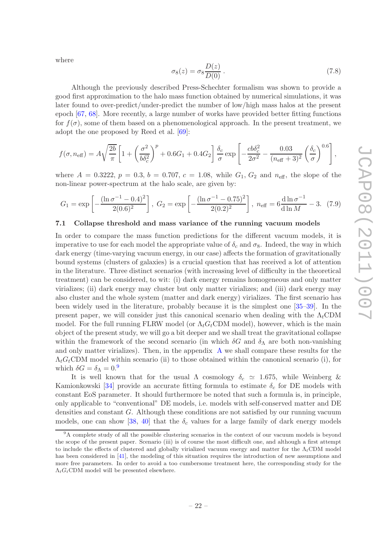where

$$
\sigma_8(z) = \sigma_8 \frac{D(z)}{D(0)} . \tag{7.8}
$$

Although the previously described Press-Schechter formalism was shown to provide a good first approximation to the halo mass function obtained by numerical simulations, it was later found to over-predict/under-predict the number of low/high mass halos at the present epoch [\[67,](#page-43-8) [68](#page-43-9)]. More recently, a large number of works have provided better fitting functions for  $f(\sigma)$ , some of them based on a phenomenological approach. In the present treatment, we adopt the one proposed by Reed et al. [\[69](#page-43-10)]:

$$
f(\sigma, n_{\text{eff}}) = A\sqrt{\frac{2b}{\pi}} \left[ 1 + \left(\frac{\sigma^2}{b\delta_c^2}\right)^p + 0.6G_1 + 0.4G_2 \right] \frac{\delta_c}{\sigma} \exp\left[ -\frac{c b \delta_c^2}{2\sigma^2} - \frac{0.03}{(n_{\text{eff}} + 3)^2} \left(\frac{\delta_c}{\sigma}\right)^{0.6} \right],
$$

where  $A = 0.3222$ ,  $p = 0.3$ ,  $b = 0.707$ ,  $c = 1.08$ , while  $G_1$ ,  $G_2$  and  $n_{\text{eff}}$ , the slope of the non-linear power-spectrum at the halo scale, are given by:

$$
G_1 = \exp\left[-\frac{(\ln \sigma^{-1} - 0.4)^2}{2(0.6)^2}\right], \ G_2 = \exp\left[-\frac{(\ln \sigma^{-1} - 0.75)^2}{2(0.2)^2}\right], \ n_{\text{eff}} = 6\frac{\dim \sigma^{-1}}{\dim M} - 3. \tag{7.9}
$$

#### <span id="page-24-0"></span>7.1 Collapse threshold and mass variance of the running vacuum models

In order to compare the mass function predictions for the different vacuum models, it is imperative to use for each model the appropriate value of  $\delta_c$  and  $\sigma_8$ . Indeed, the way in which dark energy (time-varying vacuum energy, in our case) affects the formation of gravitationally bound systems (clusters of galaxies) is a crucial question that has received a lot of attention in the literature. Three distinct scenarios (with increasing level of difficulty in the theoretical treatment) can be considered, to wit: (i) dark energy remains homogeneous and only matter virializes; (ii) dark energy may cluster but only matter virializes; and (iii) dark energy may also cluster and the whole system (matter and dark energy) virializes. The first scenario has been widely used in the literature, probably because it is the simplest one [\[35](#page-41-5)[–39\]](#page-41-6). In the present paper, we will consider just this canonical scenario when dealing with the  $\Lambda_t$ CDM model. For the full running FLRW model (or  $\Lambda_t G_t$ CDM model), however, which is the main object of the present study, we will go a bit deeper and we shall treat the gravitational collapse within the framework of the second scenario (in which  $\delta G$  and  $\delta_{\Lambda}$  are both non-vanishing and only matter virializes). Then, in the appendix [A](#page-32-0) we shall compare these results for the  $\Lambda_t G_t$ CDM model within scenario (ii) to those obtained within the canonical scenario (i), for which  $\delta G = \delta_{\Lambda} = 0$ .

It is well known that for the usual  $\Lambda$  cosmology  $\delta_c \simeq 1.675$ , while Weinberg & Kamionkowski [\[34](#page-41-7)] provide an accurate fitting formula to estimate  $\delta_c$  for DE models with constant EoS parameter. It should furthermore be noted that such a formula is, in principle, only applicable to "conventional" DE models, i.e. models with self-conserved matter and DE densities and constant  $G$ . Although these conditions are not satisfied by our running vacuum models, one can show [\[38](#page-41-8), [40\]](#page-41-9) that the  $\delta_c$  values for a large family of dark energy models

<span id="page-24-1"></span><sup>&</sup>lt;sup>9</sup>A complete study of all the possible clustering scenarios in the context of our vacuum models is beyond the scope of the present paper. Scenario (iii) is of course the most difficult one, and although a first attempt to include the effects of clustered and globally virialized vacuum energy and matter for the  $\Lambda_t$ CDM model has been considered in [\[41](#page-41-0)], the modeling of this situation requires the introduction of new assumptions and more free parameters. In order to avoid a too cumbersome treatment here, the corresponding study for the  $\Lambda_t G_t$ CDM model will be presented elsewhere.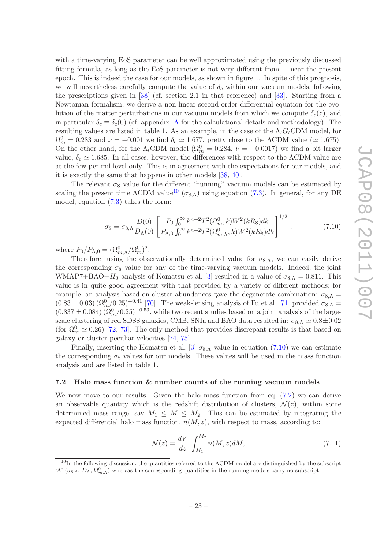with a time-varying EoS parameter can be well approximated using the previously discussed fitting formula, as long as the EoS parameter is not very different from -1 near the present epoch. This is indeed the case for our models, as shown in figure [1.](#page-18-2) In spite of this prognosis, we will nevertheless carefully compute the value of  $\delta_c$  within our vacuum models, following the prescriptions given in [\[38](#page-41-8)] (cf. section 2.1 in that reference) and [\[33](#page-40-6)]. Starting from a Newtonian formalism, we derive a non-linear second-order differential equation for the evolution of the matter perturbations in our vacuum models from which we compute  $\delta_c(z)$ , and in particular  $\delta_c \equiv \delta_c(0)$  (cf. appendix [A](#page-32-0) for the calculational details and methodology). The resulting values are listed in table 1. As an example, in the case of the  $\Lambda_t G_t$ CDM model, for  $\Omega_m^0 = 0.283$  and  $\nu = -0.001$  we find  $\delta_c \simeq 1.677$ , pretty close to the  $\Lambda$ CDM value ( $\simeq 1.675$ ). On the other hand, for the  $\Lambda_t$ CDM model ( $\Omega_m^0 = 0.284$ ,  $\nu = -0.0017$ ) we find a bit larger value,  $\delta_c \simeq 1.685$ . In all cases, however, the differences with respect to the  $\Lambda$ CDM value are at the few per mil level only. This is in agreement with the expectations for our models, and it is exactly the same that happens in other models [\[38,](#page-41-8) [40](#page-41-9)].

The relevant  $\sigma_8$  value for the different "running" vacuum models can be estimated by scaling the present time  $\Lambda$ CDM value<sup>[10](#page-25-1)</sup> ( $\sigma_{8,\Lambda}$ ) using equation [\(7.3\)](#page-23-1). In general, for any DE model, equation [\(7.3\)](#page-23-1) takes the form:

<span id="page-25-2"></span>
$$
\sigma_8 = \sigma_{8,\Lambda} \frac{D(0)}{D_\Lambda(0)} \left[ \frac{P_0 \int_0^\infty k^{n+2} T^2(\Omega_m^0, k) W^2(kR_8) dk}{P_{\Lambda,0} \int_0^\infty k^{n+2} T^2(\Omega_{m,\Lambda}^0, k) W^2(kR_8) dk} \right]^{1/2},\tag{7.10}
$$

where  $P_0/P_{\Lambda,0} = (\Omega_{m,\Lambda}^0/\Omega_m^0)^2$ .

Therefore, using the observationally determined value for  $\sigma_{8,\Lambda}$ , we can easily derive the corresponding  $\sigma_8$  value for any of the time-varying vacuum models. Indeed, the joint WMAP7+BAO+ $H_0$  analysis of Komatsu et al. [\[3](#page-36-1)] resulted in a value of  $\sigma_{8,\Lambda} = 0.811$ . This value is in quite good agreement with that provided by a variety of different methods; for example, an analysis based on cluster abundances gave the degenerate combination:  $\sigma_{8,\Lambda}$  =  $(0.83 \pm 0.03) (\Omega_m^0/0.25)^{-0.41}$  [\[70\]](#page-43-11). The weak-lensing analysis of Fu et al. [\[71\]](#page-43-12) provided  $\sigma_{8,\Lambda} =$  $(0.837 \pm 0.084)$   $(\Omega_m^0/0.25)^{-0.53}$ , while two recent studies based on a joint analysis of the largescale clustering of red SDSS galaxies, CMB, SNIa and BAO data resulted in:  $\sigma_{8,\Lambda} \simeq 0.8 \pm 0.02$ (for  $\Omega_m^0 \simeq 0.26$ ) [\[72,](#page-43-13) [73](#page-43-14)]. The only method that provides discrepant results is that based on galaxy or cluster peculiar velocities [\[74](#page-43-15), [75](#page-43-16)].

Finally, inserting the Komatsu et al. [\[3\]](#page-36-1)  $\sigma_{8,\Lambda}$  value in equation [\(7.10\)](#page-25-2) we can estimate the corresponding  $\sigma_8$  values for our models. These values will be used in the mass function analysis and are listed in table 1.

#### <span id="page-25-0"></span>7.2 Halo mass function & number counts of the running vacuum models

We now move to our results. Given the halo mass function from eq. [\(7.2\)](#page-23-2) we can derive an observable quantity which is the redshift distribution of clusters,  $\mathcal{N}(z)$ , within some determined mass range, say  $M_1 \leq M \leq M_2$ . This can be estimated by integrating the expected differential halo mass function,  $n(M, z)$ , with respect to mass, according to:

$$
\mathcal{N}(z) = \frac{dV}{dz} \int_{M_1}^{M_2} n(M, z) dM,
$$
\n(7.11)

<span id="page-25-1"></span><sup>&</sup>lt;sup>10</sup>In the following discussion, the quantities referred to the  $\Lambda$ CDM model are distinguished by the subscript 'Λ' ( $\sigma_{8,\Lambda}$ ;  $D_\Lambda$ ;  $\Omega_{m,\Lambda}^0$ ) whereas the corresponding quantities in the running models carry no subscript.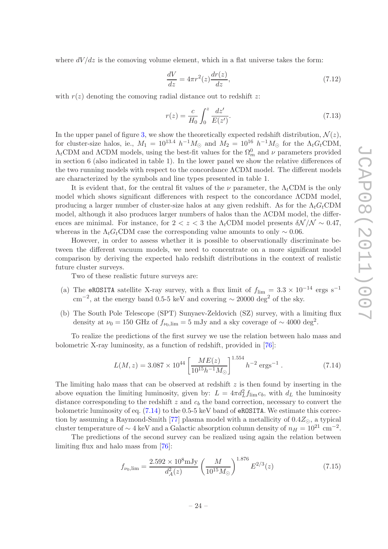where  $dV/dz$  is the comoving volume element, which in a flat universe takes the form:

$$
\frac{dV}{dz} = 4\pi r^2(z)\frac{dr(z)}{dz},\tag{7.12}
$$

with  $r(z)$  denoting the comoving radial distance out to redshift z:

$$
r(z) = \frac{c}{H_0} \int_0^z \frac{dz'}{E(z')}.
$$
\n(7.13)

In the upper panel of figure [3,](#page-27-0) we show the theoretically expected redshift distribution,  $\mathcal{N}(z)$ , for cluster-size halos, ie.,  $M_1 = 10^{13.4} h^{-1} M_{\odot}$  and  $M_2 = 10^{16} h^{-1} M_{\odot}$  for the  $\Lambda_t G_t$ CDM,  $\Lambda_t$ CDM and  $\Lambda$ CDM models, using the best-fit values for the  $\Omega_m^0$  and  $\nu$  parameters provided in section 6 (also indicated in table 1). In the lower panel we show the relative differences of the two running models with respect to the concordance ΛCDM model. The different models are characterized by the symbols and line types presented in table 1.

It is evident that, for the central fit values of the  $\nu$  parameter, the  $\Lambda_t$ CDM is the only model which shows significant differences with respect to the concordance ΛCDM model, producing a larger number of cluster-size halos at any given redshift. As for the  $\Lambda_t G_t$ CDM model, although it also produces larger numbers of halos than the ΛCDM model, the differences are minimal. For instance, for  $2 < z < 3$  the  $\Lambda_t$ CDM model presents  $\delta \mathcal{N}/\mathcal{N} \sim 0.47$ , whereas in the  $\Lambda_t G_t$ CDM case the corresponding value amounts to only ~ 0.06.

However, in order to assess whether it is possible to observationally discriminate between the different vacuum models, we need to concentrate on a more significant model comparison by deriving the expected halo redshift distributions in the context of realistic future cluster surveys.

Two of these realistic future surveys are:

- (a) The eROSITA satellite X-ray survey, with a flux limit of  $f_{\text{lim}} = 3.3 \times 10^{-14}$  ergs s<sup>-1</sup>  $\text{cm}^{-2}$ , at the energy band 0.5-5 keV and covering  $\sim 20000 \text{ deg}^2$  of the sky.
- (b) The South Pole Telescope (SPT) Sunyaev-Zeldovich (SZ) survey, with a limiting flux density at  $\nu_0 = 150 \text{ GHz of } f_{\nu_0,\text{lim}} = 5 \text{ mJy and a sky coverage of } \sim 4000 \text{ deg}^2$ .

To realize the predictions of the first survey we use the relation between halo mass and bolometric X-ray luminosity, as a function of redshift, provided in [\[76](#page-43-17)]:

<span id="page-26-0"></span>
$$
L(M, z) = 3.087 \times 10^{44} \left[ \frac{ME(z)}{10^{15} h^{-1} M_{\odot}} \right]^{1.554} h^{-2} \text{ ergs}^{-1} . \tag{7.14}
$$

The limiting halo mass that can be observed at redshift  $z$  is then found by inserting in the above equation the limiting luminosity, given by:  $L = 4\pi d_L^2 f_{\text{lim}} c_b$ , with  $d_L$  the luminosity distance corresponding to the redshift  $z$  and  $c<sub>b</sub>$  the band correction, necessary to convert the bolometric luminosity of eq.  $(7.14)$  to the 0.5-5 keV band of eROSITA. We estimate this correc-tion by assuming a Raymond-Smith [\[77](#page-43-18)] plasma model with a metallicity of  $0.4Z_{\odot}$ , a typical cluster temperature of  $\sim 4$  keV and a Galactic absorption column density of  $n_H = 10^{21}$  cm<sup>-2</sup>.

The predictions of the second survey can be realized using again the relation between limiting flux and halo mass from [\[76](#page-43-17)]:

<span id="page-26-1"></span>
$$
f_{\nu_0,\text{lim}} = \frac{2.592 \times 10^8 \text{mJy}}{d_A^2(z)} \left(\frac{M}{10^{15} M_\odot}\right)^{1.876} E^{2/3}(z) \tag{7.15}
$$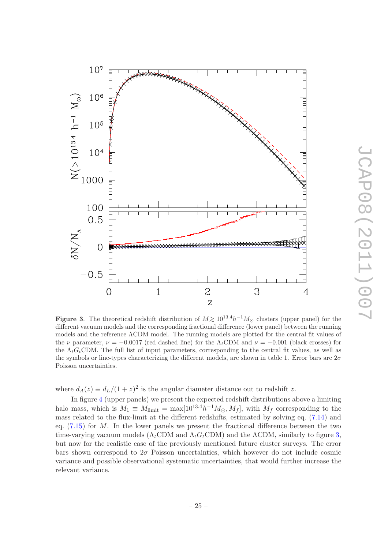

JCAP08(2011)007

**JCAP08(2011)007** 

<span id="page-27-0"></span>**Figure 3.** The theoretical redshift distribution of  $M \geq 10^{13.4}h^{-1}M_{\odot}$  clusters (upper panel) for the different requirements and the corresponding fractional difference (large panel) between the number different vacuum models and the corresponding fractional difference (lower panel) between the running models and the reference ΛCDM model. The running models are plotted for the central fit values of the  $\nu$  parameter,  $\nu = -0.0017$  (red dashed line) for the  $\Lambda_t$ CDM and  $\nu = -0.001$  (black crosses) for the  $\Lambda_t G_t$ CDM. The full list of input parameters, corresponding to the central fit values, as well as the symbols or line-types characterizing the different models, are shown in table 1. Error bars are  $2\sigma$ Poisson uncertainties.

 $\overline{c}$ 

where  $d_A(z) \equiv d_L/(1+z)^2$  is the angular diameter distance out to redshift z.

 $\overline{1}$ 

 $10<sup>7</sup>$ 

 $\begin{array}{c}\n\begin{array}{ccc}\n\odot & 10^6 \\
\Xi & 10^5 \\
\vdots & \vdots \\
\Xi & 10^4 \\
\end{array}\n\end{array}$ 

100  $0.5$ 

 $\overline{O}$ 

 $\overline{0}$ 

 $-0.5$ 

 $\delta N/N_{\Lambda}$ 

In figure [4](#page-28-0) (upper panels) we present the expected redshift distributions above a limiting halo mass, which is  $M_1 \equiv M_{\text{limit}} = \max[10^{13.4} h^{-1} M_{\odot}, M_f]$ , with  $M_f$  corresponding to the mass related to the flux-limit at the different redshifts, estimated by solving eq. [\(7.14\)](#page-26-0) and eq.  $(7.15)$  for M. In the lower panels we present the fractional difference between the two time-varying vacuum models ( $\Lambda_t$ CDM and  $\Lambda_t$ G<sub>t</sub>CDM) and the ΛCDM, similarly to figure [3,](#page-27-0) but now for the realistic case of the previously mentioned future cluster surveys. The error bars shown correspond to  $2\sigma$  Poisson uncertainties, which however do not include cosmic variance and possible observational systematic uncertainties, that would further increase the relevant variance.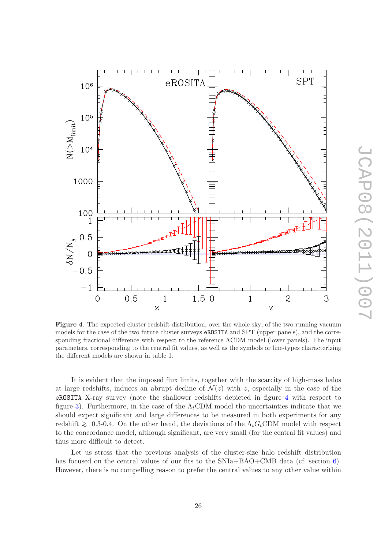

<span id="page-28-0"></span>Figure 4. The expected cluster redshift distribution, over the whole sky, of the two running vacuum models for the case of the two future cluster surveys eROSITA and SPT (upper panels), and the corresponding fractional difference with respect to the reference ΛCDM model (lower panels). The input parameters, corresponding to the central fit values, as well as the symbols or line-types characterizing the different models are shown in table 1.

It is evident that the imposed flux limits, together with the scarcity of high-mass halos at large redshifts, induces an abrupt decline of  $\mathcal{N}(z)$  with z, especially in the case of the eROSITA X-ray survey (note the shallower redshifts depicted in figure [4](#page-28-0) with respect to figure [3\)](#page-27-0). Furthermore, in the case of the  $\Lambda_t$ CDM model the uncertainties indicate that we should expect significant and large differences to be measured in both experiments for any redshift  $\gtrsim$  0.3-0.4. On the other hand, the deviations of the  $\Lambda_t G_t$ CDM model with respect to the concordance model, although significant, are very small (for the central fit values) and thus more difficult to detect.

Let us stress that the previous analysis of the cluster-size halo redshift distribution has focused on the central values of our fits to the  $SNIa+BAO+CMB$  data (cf. section [6\)](#page-19-0). However, there is no compelling reason to prefer the central values to any other value within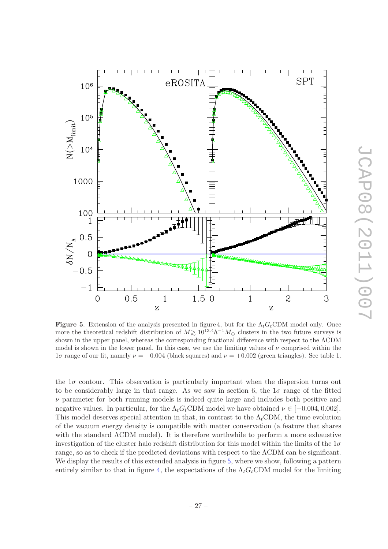

<span id="page-29-0"></span>Figure 5. Extension of the analysis presented in figure 4, but for the  $\Lambda_t G_t$ CDM model only. Once more the theoretical redshift distribution of  $M \gtrsim 10^{13.4} h^{-1} M_{\odot}$  clusters in the two future surveys is shown in the upper papel, whereas the sermane papel whereas the sermane difference with recovert to the ACDM shown in the upper panel, whereas the corresponding fractional difference with respect to the ΛCDM model is shown in the lower panel. In this case, we use the limiting values of  $\nu$  comprised within the  $1\sigma$  range of our fit, namely  $\nu = -0.004$  (black squares) and  $\nu = +0.002$  (green triangles). See table 1.

the  $1\sigma$  contour. This observation is particularly important when the dispersion turns out to be considerably large in that range. As we saw in section 6, the  $1\sigma$  range of the fitted  $\nu$  parameter for both running models is indeed quite large and includes both positive and negative values. In particular, for the  $\Lambda_t G_t$ CDM model we have obtained  $\nu \in [-0.004, 0.002]$ . This model deserves special attention in that, in contrast to the  $\Lambda_t$ CDM, the time evolution of the vacuum energy density is compatible with matter conservation (a feature that shares with the standard ΛCDM model). It is therefore worthwhile to perform a more exhaustive investigation of the cluster halo redshift distribution for this model within the limits of the  $1\sigma$ range, so as to check if the predicted deviations with respect to the ΛCDM can be significant. We display the results of this extended analysis in figure [5,](#page-29-0) where we show, following a pattern entirely similar to that in figure [4,](#page-28-0) the expectations of the  $\Lambda_t G_t$ CDM model for the limiting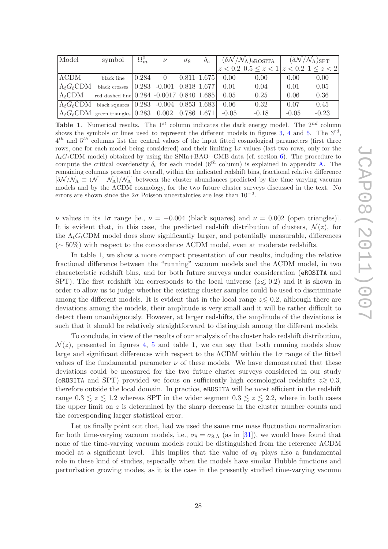| Model               | symbol                                                          | $\Omega_m^0$ | $\nu$          | $\sigma_8$ | $\mathcal{O}_C$ |                      | $(\delta N/\mathcal{N}_\Lambda)_{\rm eROSITA}$ $(\delta N/\mathcal{N}_\Lambda)_{\rm SPT}$ |         |         |
|---------------------|-----------------------------------------------------------------|--------------|----------------|------------|-----------------|----------------------|-------------------------------------------------------------------------------------------|---------|---------|
|                     |                                                                 |              |                |            |                 |                      | $z < 0.2$ 0.5 $\leq z < 1$ $ z < 0.2$ 1 $\leq z < 2$                                      |         |         |
| $\Lambda$ CDM       | black line                                                      | 0.284        | $\overline{0}$ |            |                 | $0.811$ 1.675 $0.00$ | 0.00                                                                                      | 0.00    | 0.00    |
| $\Lambda_t G_t$ CDM | black crosses $ 0.283 - 0.001 0.818 1.677 $                     |              |                |            |                 | 0.01                 | 0.04                                                                                      | 0.01    | 0.05    |
| $\Lambda_t$ CDM     | red dashed line 0.284 -0.0017 0.840 1.685                       |              |                |            |                 | 0.05                 | 0.25                                                                                      | 0.06    | 0.36    |
|                     | $\Lambda_t G_t$ CDM black squares $(0.283 - 0.004) 0.853 1.683$ |              |                |            |                 | 0.06                 | 0.32                                                                                      | 0.07    | 0.45    |
|                     | $\Lambda_t G_t$ CDM green triangles 0.283 0.002 0.786 1.671     |              |                |            |                 | $-0.05$              | $-0.18$                                                                                   | $-0.05$ | $-0.23$ |

**Table 1.** Numerical results. The  $1^{st}$  column indicates the dark energy model. The  $2^{nd}$  column shows the symbols or lines used to represent the different models in figures [3,](#page-27-0) [4](#page-28-0) and [5.](#page-29-0) The  $3^{rd}$ ,  $4^{th}$  and  $5^{th}$  columns list the central values of the input fitted cosmological parameters (first three rows, one for each model being considered) and their limiting  $1\sigma$  values (last two rows, only for the  $\Lambda_t G_t$ CDM model) obtained by using the SNIa+BAO+CMB data (cf. section [6\)](#page-19-0). The procedure to compute the critical overdensity  $\delta_c$  for each model (6<sup>th</sup> column) is explained in appendix [A.](#page-32-0) The remaining columns present the overall, within the indicated redshift bins, fractional relative difference  $[\delta\mathcal{N}/\mathcal{N}_\Lambda \equiv (\mathcal{N}-\mathcal{N}_\Lambda)/\mathcal{N}_\Lambda]$  between the cluster abundances predicted by the time varying vacuum models and by the ΛCDM cosmology, for the two future cluster surveys discussed in the text. No errors are shown since the  $2\sigma$  Poisson uncertainties are less than  $10^{-2}$ .

ν values in its 1σ range [ie., ν = −0.004 (black squares) and ν = 0.002 (open triangles)]. It is evident that, in this case, the predicted redshift distribution of clusters,  $\mathcal{N}(z)$ , for the  $\Lambda_t G_t$ CDM model does show significantly larger, and potentially measurable, differences (∼ 50%) with respect to the concordance ΛCDM model, even at moderate redshifts.

In table 1, we show a more compact presentation of our results, including the relative fractional difference between the "running" vacuum models and the ΛCDM model, in two characteristic redshift bins, and for both future surveys under consideration (eROSITA and SPT). The first redshift bin corresponds to the local universe ( $z \leq 0.2$ ) and it is shown in order to allow us to judge whether the existing cluster samples could be used to discriminate among the different models. It is evident that in the local range  $z\leq 0.2$ , although there are deviations among the models, their amplitude is very small and it will be rather difficult to detect them unambiguously. However, at larger redshifts, the amplitude of the deviations is such that it should be relatively straightforward to distinguish among the different models.

To conclude, in view of the results of our analysis of the cluster halo redshift distribution,  $\mathcal{N}(z)$ , presented in figures [4,](#page-28-0) [5](#page-29-0) and table 1, we can say that both running models show large and significant differences with respect to the  $\Lambda$ CDM within the  $1\sigma$  range of the fitted values of the fundamental parameter  $\nu$  of these models. We have demonstrated that these deviations could be measured for the two future cluster surveys considered in our study (eROSITA and SPT) provided we focus on sufficiently high cosmological redshifts  $z\gtrsim 0.3$ , therefore outside the local domain. In practice, eROSITA will be most efficient in the redshift range  $0.3 \leq z \leq 1.2$  whereas SPT in the wider segment  $0.3 \leq z \leq 2.2$ , where in both cases the upper limit on  $z$  is determined by the sharp decrease in the cluster number counts and the corresponding larger statistical error.

Let us finally point out that, had we used the same rms mass fluctuation normalization for both time-varying vacuum models, i.e.,  $\sigma_8 = \sigma_{8,\Lambda}$  (as in [\[31](#page-40-3)]), we would have found that none of the time-varying vacuum models could be distinguished from the reference ΛCDM model at a significant level. This implies that the value of  $\sigma_8$  plays also a fundamental role in these kind of studies, especially when the models have similar Hubble functions and perturbation growing modes, as it is the case in the presently studied time-varying vacuum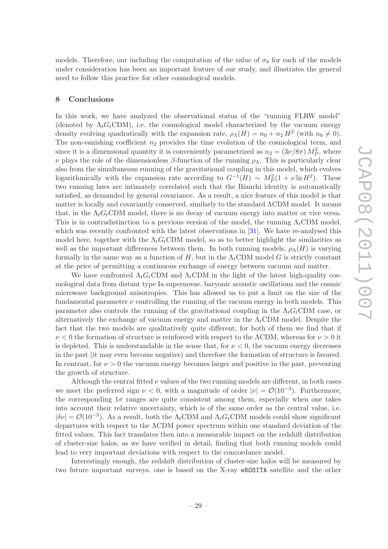models. Therefore, our including the computation of the value of  $\sigma_8$  for each of the models under consideration has been an important feature of our study, and illustrates the general need to follow this practice for other cosmological models.

#### <span id="page-31-0"></span>8 Conclusions

In this work, we have analyzed the observational status of the "running FLRW model" (denoted by  $\Lambda_t G_t$ CDM), i.e. the cosmological model characterized by the vacuum energy density evolving quadratically with the expansion rate,  $\rho_{\Lambda}(H) = n_0 + n_2 H^2$  (with  $n_0 \neq 0$ ). The non-vanishing coefficient  $n_2$  provides the time evolution of the cosmological term, and since it is a dimensional quantity it is conveniently parametrized as  $n_2 = (3\nu/8\pi) M_P^2$ , where  $\nu$  plays the role of the dimensionless β-function of the running  $ρ_\Lambda$ . This is particularly clear also from the simultaneous running of the gravitational coupling in this model, which evolves logarithmically with the expansion rate according to  $G^{-1}(H) \sim M_P^2(1 + \nu \ln H^2)$ . These two running laws are intimately correlated such that the Bianchi identity is automatically satisfied, as demanded by general covariance. As a result, a nice feature of this model is that matter is locally and covariantly conserved, similarly to the standard ΛCDM model. It means that, in the  $\Lambda_t G_t$ CDM model, there is no decay of vacuum energy into matter or vice versa. This is in contradistinction to a previous version of the model, the running  $\Lambda_t$ CDM model, which was recently confronted with the latest observations in [\[31\]](#page-40-3). We have re-analysed this model here, together with the  $\Lambda_t G_t$ CDM model, so as to better highlight the similarities as well as the important differences between them. In both running models,  $\rho_{\Lambda}(H)$  is varying formally in the same way as a function of H, but in the  $\Lambda_t$ CDM model G is strictly constant at the price of permitting a continuous exchange of energy between vacuum and matter.

We have confronted  $\Lambda_t G_t$ CDM and  $\Lambda_t$ CDM in the light of the latest high-quality cosmological data from distant type Ia supernovae, baryonic acoustic oscillations and the cosmic microwave background anisotropies. This has allowed us to put a limit on the size of the fundamental parameter  $\nu$  controlling the running of the vacuum energy in both models. This parameter also controls the running of the gravitational coupling in the  $\Lambda_t G_t$ CDM case, or alternatively the exchange of vacuum energy and matter in the  $\Lambda_t$ CDM model. Despite the fact that the two models are qualitatively quite different, for both of them we find that if  $\nu < 0$  the formation of structure is reinforced with respect to the ACDM, whereas for  $\nu > 0$  it is depleted. This is understandable in the sense that, for  $\nu < 0$ , the vacuum energy decreases in the past (it may even become negative) and therefore the formation of structure is favored. In contrast, for  $\nu > 0$  the vacuum energy becomes larger and positive in the past, preventing the growth of structure.

Although the central fitted  $\nu$  values of the two running models are different, in both cases we meet the preferred sign  $\nu < 0$ , with a magnitude of order  $|\nu| = \mathcal{O}(10^{-3})$ . Furthermore, the corresponding  $1\sigma$  ranges are quite consistent among them, especially when one takes into account their relative uncertainty, which is of the same order as the central value, i.e.  $|\delta \nu| = \mathcal{O}(10^{-3})$ . As a result, both the  $\Lambda_t$ CDM and  $\Lambda_t G_t$ CDM models could show significant departures with respect to the ΛCDM power spectrum within one standard deviation of the fitted values. This fact translates then into a measurable impact on the redshift distribution of cluster-size halos, as we have verified in detail, finding that both running models could lead to very important deviations with respect to the concordance model.

Interestingly enough, the redshift distribution of cluster-size halos will be measured by two future important surveys, one is based on the X-ray eROSITA satellite and the other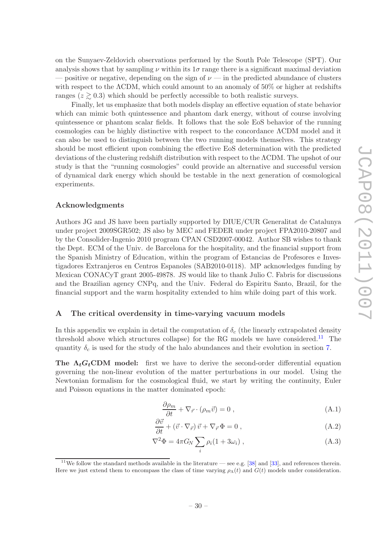on the Sunyaev-Zeldovich observations performed by the South Pole Telescope (SPT). Our analysis shows that by sampling  $\nu$  within its  $1\sigma$  range there is a significant maximal deviation — positive or negative, depending on the sign of  $\nu$  — in the predicted abundance of clusters with respect to the ΛCDM, which could amount to an anomaly of 50% or higher at redshifts ranges ( $z \geq 0.3$ ) which should be perfectly accessible to both realistic surveys.

Finally, let us emphasize that both models display an effective equation of state behavior which can mimic both quintessence and phantom dark energy, without of course involving quintessence or phantom scalar fields. It follows that the sole EoS behavior of the running cosmologies can be highly distinctive with respect to the concordance ΛCDM model and it can also be used to distinguish between the two running models themselves. This strategy should be most efficient upon combining the effective EoS determination with the predicted deviations of the clustering redshift distribution with respect to the ΛCDM. The upshot of our study is that the "running cosmologies" could provide an alternative and successful version of dynamical dark energy which should be testable in the next generation of cosmological experiments.

## Acknowledgments

Authors JG and JS have been partially supported by DIUE/CUR Generalitat de Catalunya under project 2009SGR502; JS also by MEC and FEDER under project FPA2010-20807 and by the Consolider-Ingenio 2010 program CPAN CSD2007-00042. Author SB wishes to thank the Dept. ECM of the Univ. de Barcelona for the hospitality, and the financial support from the Spanish Ministry of Education, within the program of Estancias de Profesores e Investigadores Extranjeros en Centros Espanoles (SAB2010-0118). MP acknowledges funding by Mexican CONACyT grant 2005-49878. JS would like to thank Julio C. Fabris for discussions and the Brazilian agency CNPq, and the Univ. Federal do Espiritu Santo, Brazil, for the financial support and the warm hospitality extended to him while doing part of this work.

#### <span id="page-32-0"></span>A The critical overdensity in time-varying vacuum models

In this appendix we explain in detail the computation of  $\delta_c$  (the linearly extrapolated density threshold above which structures collapse) for the RG models we have considered.<sup>[11](#page-32-1)</sup> The quantity  $\delta_c$  is used for the study of the halo abundances and their evolution in section [7.](#page-22-0)

The  $\Lambda_t G_t$ CDM model: first we have to derive the second-order differential equation governing the non-linear evolution of the matter perturbations in our model. Using the Newtonian formalism for the cosmological fluid, we start by writing the continuity, Euler and Poisson equations in the matter dominated epoch:

<span id="page-32-4"></span><span id="page-32-3"></span><span id="page-32-2"></span>
$$
\frac{\partial \rho_m}{\partial t} + \nabla_{\vec{r}} \cdot (\rho_m \vec{v}) = 0 , \qquad (A.1)
$$

$$
\frac{\partial \vec{v}}{\partial t} + (\vec{v} \cdot \nabla_{\vec{r}}) \vec{v} + \nabla_{\vec{r}} \Phi = 0 , \qquad (A.2)
$$

$$
\nabla^2 \Phi = 4\pi G_N \sum_i \rho_i (1 + 3\omega_i) , \qquad (A.3)
$$

<span id="page-32-1"></span><sup>&</sup>lt;sup>11</sup>We follow the standard methods available in the literature — see e.g. [\[38\]](#page-41-8) and [\[33](#page-40-6)], and references therein. Here we just extend them to encompass the class of time varying  $\rho_{\Lambda}(t)$  and  $G(t)$  models under consideration.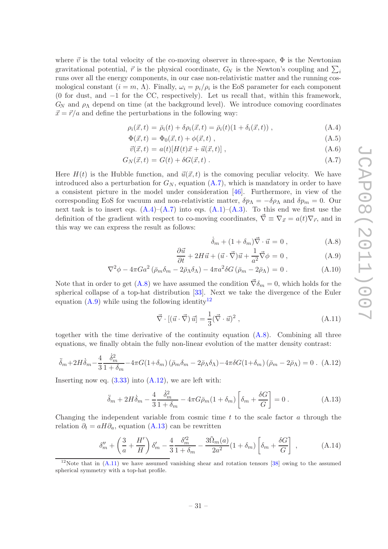where  $\vec{v}$  is the total velocity of the co-moving observer in three-space,  $\Phi$  is the Newtonian gravitational potential,  $\vec{r}$  is the physical coordinate,  $G_N$  is the Newton's coupling and  $\sum_i$ runs over all the energy components, in our case non-relativistic matter and the running cosmological constant  $(i = m, \Lambda)$ . Finally,  $\omega_i = p_i/\rho_i$  is the EoS parameter for each component (0 for dust, and −1 for the CC, respectively). Let us recall that, within this framework,  $G_N$  and  $\rho_{\Lambda}$  depend on time (at the background level). We introduce comoving coordinates  $\vec{x} = \vec{r}/a$  and define the perturbations in the following way:

<span id="page-33-0"></span>
$$
\rho_i(\vec{x}, t) = \bar{\rho}_i(t) + \delta \rho_i(\vec{x}, t) = \bar{\rho}_i(t)(1 + \delta_i(\vec{x}, t)), \qquad (A.4)
$$

$$
\Phi(\vec{x},t) = \Phi_0(\vec{x},t) + \phi(\vec{x},t) , \qquad (A.5)
$$

$$
\vec{v}(\vec{x},t) = a(t)[H(t)\vec{x} + \vec{u}(\vec{x},t)],
$$
\n(A.6)

$$
G_N(\vec{x},t) = G(t) + \delta G(\vec{x},t) \tag{A.7}
$$

Here  $H(t)$  is the Hubble function, and  $\vec{u}(\vec{x}, t)$  is the comoving peculiar velocity. We have introduced also a perturbation for  $G_N$ , equation  $(A.7)$ , which is mandatory in order to have a consistent picture in the model under consideration [\[46](#page-42-0)]. Furthermore, in view of the corresponding EoS for vacuum and non-relativistic matter,  $\delta p_{\Lambda} = -\delta \rho_{\Lambda}$  and  $\delta p_{m} = 0$ . Our next task is to insert eqs.  $(A.4)$ – $(A.7)$  into eqs.  $(A.1)$ – $(A.3)$ . To this end we first use the definition of the gradient with respect to co-moving coordinates,  $\vec{\nabla} \equiv \nabla_{\vec{x}} = a(t)\nabla_{\vec{r}}$ , and in this way we can express the result as follows:

<span id="page-33-1"></span>
$$
\dot{\delta}_m + (1 + \delta_m)\vec{\nabla} \cdot \vec{u} = 0 , \qquad (A.8)
$$

$$
\frac{\partial \vec{u}}{\partial t} + 2H\vec{u} + (\vec{u} \cdot \vec{\nabla})\vec{u} + \frac{1}{a^2}\vec{\nabla}\phi = 0 , \qquad (A.9)
$$

$$
\nabla^2 \phi - 4\pi G a^2 \left( \bar{\rho}_m \delta_m - 2\bar{\rho}_\Lambda \delta_\Lambda \right) - 4\pi a^2 \delta G \left( \bar{\rho}_m - 2\bar{\rho}_\Lambda \right) = 0 \,. \tag{A.10}
$$

Note that in order to get [\(A.8\)](#page-33-1) we have assumed the condition  $\vec{\nabla}\delta_m = 0$ , which holds for the spherical collapse of a top-hat distribution [\[33](#page-40-6)]. Next we take the divergence of the Euler equation  $(A.9)$  while using the following identity<sup>[12](#page-33-2)</sup>

<span id="page-33-5"></span>
$$
\vec{\nabla} \cdot [(\vec{u} \cdot \vec{\nabla}) \,\vec{u}] = \frac{1}{3} (\vec{\nabla} \cdot \vec{u})^2 , \qquad (A.11)
$$

together with the time derivative of the continuity equation [\(A.8\)](#page-33-1). Combining all three equations, we finally obtain the fully non-linear evolution of the matter density contrast:

<span id="page-33-3"></span>
$$
\ddot{\delta}_m + 2H\dot{\delta}_m - \frac{4}{3}\frac{\dot{\delta}_m^2}{1+\delta_m} - 4\pi G(1+\delta_m)\left(\bar{\rho}_m\delta_m - 2\bar{\rho}_\Lambda\delta_\Lambda\right) - 4\pi\delta G(1+\delta_m)\left(\bar{\rho}_m - 2\bar{\rho}_\Lambda\right) = 0. \tag{A.12}
$$

Inserting now eq.  $(3.33)$  into  $(A.12)$ , we are left with:

<span id="page-33-4"></span>
$$
\ddot{\delta}_m + 2H\dot{\delta}_m - \frac{4}{3}\frac{\dot{\delta}_m^2}{1+\delta_m} - 4\pi G\bar{\rho}_m(1+\delta_m)\left[\delta_m + \frac{\delta G}{G}\right] = 0.
$$
 (A.13)

Changing the independent variable from cosmic time  $t$  to the scale factor  $a$  through the relation  $\partial_t = aH\partial_a$ , equation [\(A.13\)](#page-33-4) can be rewritten

<span id="page-33-6"></span>
$$
\delta_m'' + \left(\frac{3}{a} + \frac{H'}{H}\right)\delta_m' - \frac{4}{3}\frac{\delta_m'^2}{1+\delta_m} - \frac{3\tilde{\Omega}_m(a)}{2a^2}(1+\delta_m)\left[\delta_m + \frac{\delta G}{G}\right] \,,\tag{A.14}
$$

<span id="page-33-2"></span><sup>&</sup>lt;sup>12</sup>Note that in  $(A.11)$  we have assumed vanishing shear and rotation tensors [\[38\]](#page-41-8) owing to the assumed spherical symmetry with a top-hat profile.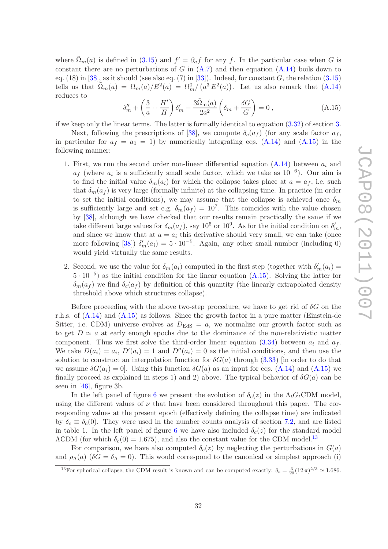where  $\tilde{\Omega}_m(a)$  is defined in [\(3.15\)](#page-11-0) and  $f' = \partial_a f$  for any f. In the particular case when G is constant there are no perturbations of G in  $(A.7)$  and then equation  $(A.14)$  boils down to eq.  $(18)$  in [\[38\]](#page-41-8), as it should (see also eq.  $(7)$  in [\[33](#page-40-6)]). Indeed, for constant G, the relation  $(3.15)$ tells us that  $\tilde{\Omega}_m(a) = \Omega_m(a)/E^2(a) = \Omega_m^0/(a^3 E^2(a))$ . Let us also remark that  $(A.14)$ reduces to

<span id="page-34-0"></span>
$$
\delta_m'' + \left(\frac{3}{a} + \frac{H'}{H}\right)\delta_m' - \frac{3\tilde{\Omega}_{m}(a)}{2a^2} \left(\delta_m + \frac{\delta G}{G}\right) = 0,
$$
\n(A.15)

if we keep only the linear terms. The latter is formally identical to equation [\(3.32\)](#page-14-1) of section [3.](#page-8-0)

Next, following the prescriptions of [\[38\]](#page-41-8), we compute  $\delta_c(a_f)$  (for any scale factor  $a_f$ , in particular for  $a_f = a_0 = 1$ ) by numerically integrating eqs. [\(A.14\)](#page-33-6) and [\(A.15\)](#page-34-0) in the following manner:

- 1. First, we run the second order non-linear differential equation  $(A.14)$  between  $a_i$  and  $a_f$  (where  $a_i$  is a sufficiently small scale factor, which we take as  $10^{-6}$ ). Our aim is to find the initial value  $\delta_m(a_i)$  for which the collapse takes place at  $a = a_f$ , i.e. such that  $\delta_m(a_f)$  is very large (formally infinite) at the collapsing time. In practice (in order to set the initial conditions), we may assume that the collapse is achieved once  $\delta_m$ is sufficiently large and set e.g.  $\delta_m(a_f) = 10^7$ . This coincides with the value chosen by [\[38\]](#page-41-8), although we have checked that our results remain practically the same if we take different large values for  $\delta_m(a_f)$ , say  $10^5$  or  $10^9$ . As for the initial condition on  $\delta'_m$ , and since we know that at  $a = a_i$  this derivative should very small, we can take (once more following [\[38\]](#page-41-8))  $\delta'_m(a_i) = 5 \cdot 10^{-5}$ . Again, any other small number (including 0) would yield virtually the same results.
- 2. Second, we use the value for  $\delta_m(a_i)$  computed in the first step (together with  $\delta'_m(a_i)$  = <sup>5</sup> · <sup>10</sup>−<sup>5</sup> ) as the initial condition for the linear equation [\(A.15\)](#page-34-0). Solving the latter for  $\delta_m(a_f)$  we find  $\delta_c(a_f)$  by definition of this quantity (the linearly extrapolated density threshold above which structures collapse).

Before proceeding with the above two-step procedure, we have to get rid of  $\delta G$  on the r.h.s. of [\(A.14\)](#page-33-6) and [\(A.15\)](#page-34-0) as follows. Since the growth factor in a pure matter (Einstein-de Sitter, i.e. CDM) universe evolves as  $D_{\text{EdS}} = a$ , we normalize our growth factor such as to get  $D \simeq a$  at early enough epochs due to the dominance of the non-relativistic matter component. Thus we first solve the third-order linear equation [\(3.34\)](#page-14-3) between  $a_i$  and  $a_f$ . We take  $D(a_i) = a_i$ ,  $D'(a_i) = 1$  and  $D''(a_i) = 0$  as the initial conditions, and then use the solution to construct an interpolation function for  $\delta G(a)$  through [\(3.33\)](#page-14-2) [in order to do that we assume  $\delta G(a_i) = 0$ . Using this function  $\delta G(a)$  as an input for eqs. [\(A.14\)](#page-33-6) and [\(A.15\)](#page-34-0) we finally proceed as explained in steps 1) and 2) above. The typical behavior of  $\delta G(a)$  can be seen in [\[46](#page-42-0)], figure 3b.

In the left panel of figure [6](#page-35-0) we present the evolution of  $\delta_c(z)$  in the  $\Lambda_t G_t$ CDM model, using the different values of  $\nu$  that have been considered throughout this paper. The corresponding values at the present epoch (effectively defining the collapse time) are indicated by  $\delta_c \equiv \delta_c(0)$ . They were used in the number counts analysis of section [7.2,](#page-25-0) and are listed in table 1. In the left panel of figure [6](#page-35-0) we have also included  $\delta_c(z)$  for the standard model  $\Lambda$ CDM (for which  $\delta_c(0) = 1.675$ ), and also the constant value for the CDM model.<sup>[13](#page-34-1)</sup>

For comparison, we have also computed  $\delta_c(z)$  by neglecting the perturbations in  $G(a)$ and  $\rho_{\Lambda}(a)$  ( $\delta G = \delta_{\Lambda} = 0$ ). This would correspond to the canonical or simplest approach (i)

<span id="page-34-1"></span><sup>&</sup>lt;sup>13</sup>For spherical collapse, the CDM result is known and can be computed exactly:  $\delta_c = \frac{3}{20}(12\pi)^{2/3} \approx 1.686$ .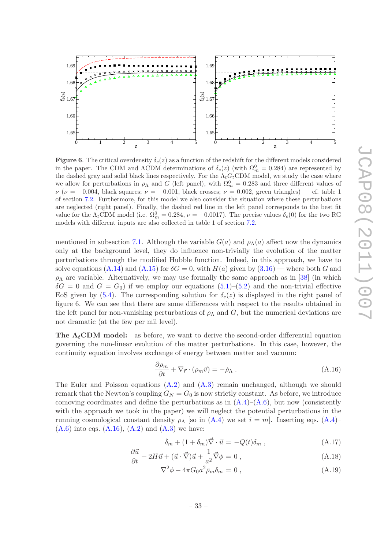

<span id="page-35-0"></span>**Figure 6.** The critical overdensity  $\delta_c(z)$  as a function of the redshift for the different models considered in the paper. The CDM and  $\Lambda$ CDM determinations of  $\delta_c(z)$  (with  $\Omega_m^0 = 0.284$ ) are represented by the dashed gray and solid black lines respectively. For the  $\Lambda_t G_t$ CDM model, we study the case where we allow for perturbations in  $\rho_{\Lambda}$  and G (left panel), with  $\Omega_m^0 = 0.283$  and three different values of  $\nu$  ( $\nu = -0.004$ , black squares;  $\nu = -0.001$ , black crosses;  $\nu = 0.002$ , green triangles) — cf. table 1 of section [7.2.](#page-25-0) Furthermore, for this model we also consider the situation where these perturbations are neglected (right panel). Finally, the dashed red line in the left panel corresponds to the best fit value for the  $\Lambda_t$ CDM model (i.e.  $\Omega_m^0 = 0.284$ ,  $\nu = -0.0017$ ). The precise values  $\delta_c(0)$  for the two RG models with different inputs are also collected in table 1 of section [7.2.](#page-25-0)

mentioned in subsection [7.1.](#page-24-0) Although the variable  $G(a)$  and  $\rho_{\Lambda}(a)$  affect now the dynamics only at the background level, they do influence non-trivially the evolution of the matter perturbations through the modified Hubble function. Indeed, in this approach, we have to solve equations [\(A.14\)](#page-33-6) and [\(A.15\)](#page-34-0) for  $\delta G = 0$ , with  $H(a)$  given by [\(3.16\)](#page-11-2) — where both G and  $\rho_{\Lambda}$  are variable. Alternatively, we may use formally the same approach as in [\[38](#page-41-8)] (in which  $\delta G = 0$  and  $G = G_0$ ) if we employ our equations  $(5.1)$ – $(5.2)$  and the non-trivial effective EoS given by [\(5.4\)](#page-18-0). The corresponding solution for  $\delta_c(z)$  is displayed in the right panel of figure 6. We can see that there are some differences with respect to the results obtained in the left panel for non-vanishing perturbations of  $\rho_{\Lambda}$  and  $G$ , but the numerical deviations are not dramatic (at the few per mil level).

**The**  $\Lambda_t$ **CDM model:** as before, we want to derive the second-order differential equation governing the non-linear evolution of the matter perturbations. In this case, however, the continuity equation involves exchange of energy between matter and vacuum:

<span id="page-35-1"></span>
$$
\frac{\partial \rho_m}{\partial t} + \nabla_{\vec{r}} \cdot (\rho_m \vec{v}) = -\dot{\rho}_\Lambda . \tag{A.16}
$$

The Euler and Poisson equations  $(A.2)$  and  $(A.3)$  remain unchanged, although we should remark that the Newton's coupling  $G_N = G_0$  is now strictly constant. As before, we introduce comoving coordinates and define the perturbations as in  $(A.4)$ – $(A.6)$ , but now (consistently with the approach we took in the paper) we will neglect the potential perturbations in the running cosmological constant density  $\rho_{\Lambda}$  [so in  $(A.4)$  we set  $i = m$ ]. Inserting eqs.  $(A.4)$ –  $(A.6)$  into eqs.  $(A.16)$ ,  $(A.2)$  and  $(A.3)$  we have:

<span id="page-35-2"></span>
$$
\dot{\delta}_m + (1 + \delta_m)\vec{\nabla} \cdot \vec{u} = -Q(t)\delta_m , \qquad (A.17)
$$

$$
\frac{\partial \vec{u}}{\partial t} + 2H\vec{u} + (\vec{u} \cdot \vec{\nabla})\vec{u} + \frac{1}{a^2}\vec{\nabla}\phi = 0,
$$
\n(A.18)

$$
\nabla^2 \phi - 4\pi G_0 a^2 \bar{\rho}_m \delta_m = 0 , \qquad (A.19)
$$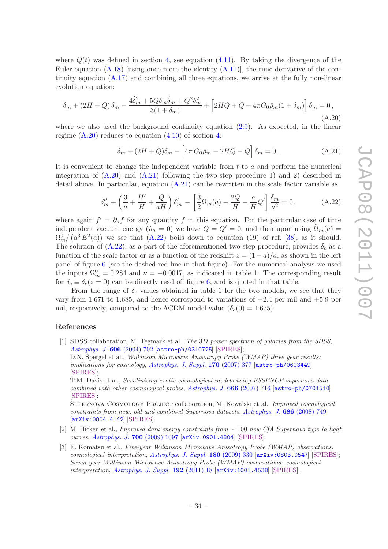where  $Q(t)$  was defined in section [4,](#page-14-0) see equation [\(4.11\)](#page-16-1). By taking the divergence of the Euler equation  $(A.18)$  [using once more the identity  $(A.11)$ ], the time derivative of the continuity equation [\(A.17\)](#page-35-2) and combining all three equations, we arrive at the fully non-linear evolution equation:

<span id="page-36-3"></span>
$$
\ddot{\delta}_m + (2H + Q)\dot{\delta}_m - \frac{4\dot{\delta}_m^2 + 5Q\delta_m\dot{\delta}_m + Q^2\delta_m^2}{3(1 + \delta_m)} + \left[2HQ + \dot{Q} - 4\pi G_0\bar{\rho}_m(1 + \delta_m)\right]\delta_m = 0,
$$
\n(A.20)

where we also used the background continuity equation  $(2.9)$ . As expected, in the linear regime  $(A.20)$  reduces to equation  $(4.10)$  of section [4:](#page-14-0)

<span id="page-36-4"></span>
$$
\ddot{\delta}_m + (2H + Q)\dot{\delta}_m - \left[4\pi G_0\bar{\rho}_m - 2HQ - \dot{Q}\right]\delta_m = 0.
$$
 (A.21)

It is convenient to change the independent variable from  $t$  to  $a$  and perform the numerical integration of  $(A.20)$  and  $(A.21)$  following the two-step procedure 1) and 2) described in detail above. In particular, equation  $(A.21)$  can be rewritten in the scale factor variable as

<span id="page-36-5"></span>
$$
\delta_m'' + \left(\frac{3}{a} + \frac{H'}{H} + \frac{Q}{aH}\right)\delta_m' - \left[\frac{3}{2}\tilde{\Omega}_m(a) - \frac{2Q}{H} - \frac{a}{H}Q'\right]\frac{\delta_m}{a^2} = 0\,,\tag{A.22}
$$

where again  $f' = \partial_a f$  for any quantity f in this equation. For the particular case of time independent vacuum energy ( $\dot{\rho}_\Lambda = 0$ ) we have  $Q = Q' = 0$ , and then upon using  $\Omega_m(a) =$  $\Omega_m^0/\left(a^3 E^2(a)\right)$  we see that  $(A.22)$  boils down to equation (19) of ref. [\[38\]](#page-41-8), as it should. The solution of  $(A.22)$ , as a part of the aforementioned two-step procedure, provides  $\delta_c$  as a function of the scale factor or as a function of the redshift  $z = (1 - a)/a$ , as shown in the left panel of figure [6](#page-35-0) (see the dashed red line in that figure). For the numerical analysis we used the inputs  $\Omega_m^0 = 0.284$  and  $\nu = -0.0017$ , as indicated in table 1. The corresponding result for  $\delta_c \equiv \delta_c(z=0)$  can be directly read off figure [6,](#page-35-0) and is quoted in that table.

From the range of  $\delta_c$  values obtained in table 1 for the two models, we see that they vary from 1.671 to 1.685, and hence correspond to variations of −2.4 per mil and +5.9 per mil, respectively, compared to the  $\Lambda$ CDM model value ( $\delta_c(0) = 1.675$ ).

#### References

<span id="page-36-0"></span>[1] SDSS collaboration, M. Tegmark et al., The 3D power spectrum of galaxies from the SDSS, [Astrophys. J.](http://dx.doi.org/10.1086/382125) 606 (2004) 702 [[astro-ph/0310725](http://arxiv.org/abs/astro-ph/0310725)] [\[SPIRES\]](http://www-spires.slac.stanford.edu/spires/find/hep/www?eprint=ASTRO-PH/0310725);

D.N. Spergel et al., *Wilkinson Microwave Anisotropy Probe (WMAP) three year results:* implications for cosmology, [Astrophys. J. Suppl.](http://dx.doi.org/10.1086/513700) 170 (2007) 377 [[astro-ph/0603449](http://arxiv.org/abs/astro-ph/0603449)] [\[SPIRES\]](http://www-spires.slac.stanford.edu/spires/find/hep/www?eprint=ASTRO-PH/0603449);

T.M. Davis et al., Scrutinizing exotic cosmological models using ESSENCE supernova data combined with other cosmological probes, [Astrophys. J.](http://dx.doi.org/10.1086/519988) 666 (2007) 716 [[astro-ph/0701510](http://arxiv.org/abs/astro-ph/0701510)] [\[SPIRES\]](http://www-spires.slac.stanford.edu/spires/find/hep/www?eprint=ASTRO-PH/0701510);

SUPERNOVA COSMOLOGY PROJECT collaboration, M. Kowalski et al., *Improved cosmological* constraints from new, old and combined Supernova datasets, [Astrophys. J.](http://dx.doi.org/10.1086/589937) 686 (2008) 749 [[arXiv:0804.4142](http://arxiv.org/abs/0804.4142)] [\[SPIRES\]](http://www-spires.slac.stanford.edu/spires/find/hep/www?eprint=0804.4142).

- <span id="page-36-2"></span>[2] M. Hicken et al., Improved dark energy constraints from ∼ 100 new CfA Supernova type Ia light curves, [Astrophys. J.](http://dx.doi.org/10.1088/0004-637X/700/2/1097) 700 (2009) 1097 [[arXiv:0901.4804](http://arxiv.org/abs/0901.4804)] [\[SPIRES\]](http://www-spires.slac.stanford.edu/spires/find/hep/www?eprint=0901.4804).
- <span id="page-36-1"></span>[3] E. Komatsu et al., Five-year Wilkinson Microwave Anisotropy Probe (WMAP) observations: cosmological interpretation, [Astrophys. J. Suppl.](http://dx.doi.org/10.1088/0067-0049/180/2/330) 180 (2009) 330 [[arXiv:0803.0547](http://arxiv.org/abs/0803.0547)] [\[SPIRES\]](http://www-spires.slac.stanford.edu/spires/find/hep/www?eprint=0803.0547); Seven-year Wilkinson Microwave Anisotropy Probe (WMAP) observations: cosmological interpretation, [Astrophys. J. Suppl.](http://dx.doi.org/10.1088/0067-0049/192/2/18) 192 (2011) 18 [[arXiv:1001.4538](http://arxiv.org/abs/1001.4538)] [\[SPIRES\]](http://www-spires.slac.stanford.edu/spires/find/hep/www?eprint=1001.4538).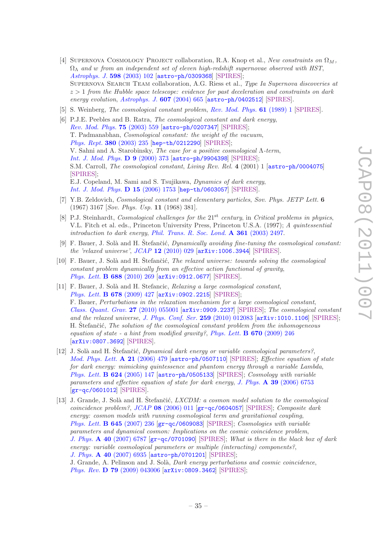- <span id="page-37-0"></span>[4] SUPERNOVA COSMOLOGY PROJECT collaboration, R.A. Knop et al., New constraints on  $\Omega_M$ ,  $\Omega_{\Lambda}$  and w from an independent set of eleven high-redshift supernovae observed with HST, [Astrophys. J.](http://dx.doi.org/10.1086/378560) 598 (2003) 102 [[astro-ph/0309368](http://arxiv.org/abs/astro-ph/0309368)] [\[SPIRES\]](http://www-spires.slac.stanford.edu/spires/find/hep/www?eprint=ASTRO-PH/0309368); SUPERNOVA SEARCH TEAM collaboration, A.G. Riess et al., Type Ia Supernova discoveries at  $z > 1$  from the Hubble space telescope: evidence for past deceleration and constraints on dark energy evolution, [Astrophys. J.](http://dx.doi.org/10.1086/383612)  $607$  (2004) 665 [[astro-ph/0402512](http://arxiv.org/abs/astro-ph/0402512)] [\[SPIRES\]](http://www-spires.slac.stanford.edu/spires/find/hep/www?eprint=ASTRO-PH/0402512).
- <span id="page-37-1"></span>[5] S. Weinberg, The cosmological constant problem, [Rev. Mod. Phys.](http://dx.doi.org/10.1103/RevModPhys.61.1) 61 (1989) 1 [\[SPIRES\]](http://www-spires.slac.stanford.edu/spires/find/hep/www?j=RMPHA,61,1).
- <span id="page-37-2"></span>[6] P.J.E. Peebles and B. Ratra, The cosmological constant and dark energy, [Rev. Mod. Phys.](http://dx.doi.org/10.1103/RevModPhys.75.559) 75 (2003) 559 [[astro-ph/0207347](http://arxiv.org/abs/astro-ph/0207347)] [\[SPIRES\]](http://www-spires.slac.stanford.edu/spires/find/hep/www?eprint=ASTRO-PH/0207347); T. Padmanabhan, Cosmological constant: the weight of the vacuum, [Phys. Rept.](http://dx.doi.org/10.1016/S0370-1573(03)00120-0) 380 (2003) 235 [[hep-th/0212290](http://arxiv.org/abs/hep-th/0212290)] [\[SPIRES\]](http://www-spires.slac.stanford.edu/spires/find/hep/www?eprint=hep-th/0212290); V. Sahni and A. Starobinsky, The case for a positive cosmological Λ-term, [Int. J. Mod. Phys.](http://dx.doi.org/10.1142/S0218271800000542) D 9 (2000) 373 [[astro-ph/9904398](http://arxiv.org/abs/astro-ph/9904398)] [\[SPIRES\]](http://www-spires.slac.stanford.edu/spires/find/hep/www?eprint=ASTRO-PH/9904398); S.M. Carroll, The cosmological constant, Living Rev. Rel. 4 (2001) 1 [[astro-ph/0004075](http://arxiv.org/abs/astro-ph/0004075)] [\[SPIRES\]](http://www-spires.slac.stanford.edu/spires/find/hep/www?eprint=ASTRO-PH/0004075); E.J. Copeland, M. Sami and S. Tsujikawa, Dynamics of dark energy, [Int. J. Mod. Phys.](http://dx.doi.org/10.1142/S021827180600942X) D 15 (2006) 1753 [[hep-th/0603057](http://arxiv.org/abs/hep-th/0603057)] [\[SPIRES\]](http://www-spires.slac.stanford.edu/spires/find/hep/www?eprint=HEP-TH/0603057).
- <span id="page-37-3"></span>[7] Y.B. Zeldovich, Cosmological constant and elementary particles, Sov. Phys. JETP Lett. 6 (1967) 3167 [Sov. Phys. Usp. 11 (1968) 381].
- <span id="page-37-4"></span>[8] P.J. Steinhardt, *Cosmological challenges for the*  $21<sup>st</sup>$  *century*, in *Critical problems in physics*, V.L. Fitch et al. eds., Princeton University Press, Princeton U.S.A. (1997); A quintessential introduction to dark energy, [Phil. Trans. R. Soc. Lond.](http://dx.doi.org/10.1098/rsta.2003.1290) A 361 (2003) 2497.
- <span id="page-37-5"></span>[9] F. Bauer, J. Solà and H. Stefančić, *Dynamically avoiding fine-tuning the cosmological constant:* the 'relaxed universe', JCAP 12 [\(2010\) 029](http://dx.doi.org/10.1088/1475-7516/2010/12/029) [[arXiv:1006.3944](http://arxiv.org/abs/1006.3944)] [\[SPIRES\]](http://www-spires.slac.stanford.edu/spires/find/hep/www?eprint=1006.3944).
- [10] F. Bauer, J. Solà and H. Štefančić, *The relaxed universe: towards solving the cosmological* constant problem dynamically from an effective action functional of gravity, [Phys. Lett.](http://dx.doi.org/10.1016/j.physletb.2010.04.029) B 688 (2010) 269 [[arXiv:0912.0677](http://arxiv.org/abs/0912.0677)] [\[SPIRES\]](http://www-spires.slac.stanford.edu/spires/find/hep/www?eprint=0912.0677).
- [11] F. Bauer, J. Solà and H. Stefancic, Relaxing a large cosmological constant, [Phys. Lett.](http://dx.doi.org/10.1016/j.physletb.2009.06.065) B 678 (2009) 427 [[arXiv:0902.2215](http://arxiv.org/abs/0902.2215)] [\[SPIRES\]](http://www-spires.slac.stanford.edu/spires/find/hep/www?eprint=0902.2215); F. Bauer, Perturbations in the relaxation mechanism for a large cosmological constant, [Class. Quant. Grav.](http://dx.doi.org/10.1088/0264-9381/27/5/055001) 27 (2010) 055001 [[arXiv:0909.2237](http://arxiv.org/abs/0909.2237)] [\[SPIRES\]](http://www-spires.slac.stanford.edu/spires/find/hep/www?eprint=0909.2237); The cosmological constant and the relaxed universe, [J. Phys. Conf. Ser.](http://dx.doi.org/10.1088/1742-6596/259/1/012083) 259 (2010) 012083 [[arXiv:1010.1106](http://arxiv.org/abs/1010.1106)] [\[SPIRES\]](http://www-spires.slac.stanford.edu/spires/find/hep/www?eprint=1010.1106); H. Stefančić, *The solution of the cosmological constant problem from the inhomogeneous* equation of state - a hint from modified gravity?, [Phys. Lett.](http://dx.doi.org/10.1016/j.physletb.2008.10.065)  $\bf{B}$  670 (2009) 246 [[arXiv:0807.3692](http://arxiv.org/abs/0807.3692)] [\[SPIRES\]](http://www-spires.slac.stanford.edu/spires/find/hep/www?eprint=0807.3692).
- <span id="page-37-7"></span>[12] J. Solà and H. Štefančić, *Dynamical dark energy or variable cosmological parameters?*, [Mod. Phys. Lett.](http://dx.doi.org/10.1142/S0217732306019554) A 21 (2006) 479 [[astro-ph/0507110](http://arxiv.org/abs/astro-ph/0507110)] [\[SPIRES\]](http://www-spires.slac.stanford.edu/spires/find/hep/www?eprint=ASTRO-PH/0507110); Effective equation of state for dark energy: mimicking quintessence and phantom energy through a variable Lambda, [Phys. Lett.](http://dx.doi.org/10.1016/j.physletb.2005.08.051) B 624 (2005) 147 [[astro-ph/0505133](http://arxiv.org/abs/astro-ph/0505133)] [\[SPIRES\]](http://www-spires.slac.stanford.edu/spires/find/hep/www?eprint=ASTRO-PH/0505133); Cosmology with variable parameters and effective equation of state for dark energy, J. Phys.  $\AA$  39 [\(2006\) 6753](http://dx.doi.org/10.1088/0305-4470/39/21/S76) [[gr-qc/0601012](http://arxiv.org/abs/gr-qc/0601012)] [\[SPIRES\]](http://www-spires.slac.stanford.edu/spires/find/hep/www?eprint=GR-QC/0601012).
- <span id="page-37-6"></span>[13] J. Grande, J. Solà and H. Stefančić,  $LXCDM: a \cos mon \, model \, solution \, to \, the \, cosmological$ coincidence problem?,  $JCAP$  08 [\(2006\) 011](http://dx.doi.org/10.1088/1475-7516/2006/08/011)  $[\text{gr-qc/0604057}]$  $[\text{gr-qc/0604057}]$  $[\text{gr-qc/0604057}]$  [\[SPIRES\]](http://www-spires.slac.stanford.edu/spires/find/hep/www?eprint=GR-QC/0604057); Composite dark energy: cosmon models with running cosmological term and gravitational coupling, [Phys. Lett.](http://dx.doi.org/10.1016/j.physletb.2006.12.040) B 645 (2007) 236 [[gr-qc/0609083](http://arxiv.org/abs/gr-qc/0609083)] [\[SPIRES\]](http://www-spires.slac.stanford.edu/spires/find/hep/www?eprint=GR-QC/0609083); Cosmologies with variable parameters and dynamical cosmon: Implications on the cosmic coincidence problem, J. Phys. A 40 [\(2007\) 6787](http://dx.doi.org/10.1088/1751-8113/40/25/S23) [[gr-qc/0701090](http://arxiv.org/abs/gr-qc/0701090)] [\[SPIRES\]](http://www-spires.slac.stanford.edu/spires/find/hep/www?eprint=GR-QC/0701090); What is there in the black box of dark energy: variable cosmological parameters or multiple (interacting) components?, J. Phys. A 40 [\(2007\) 6935](http://dx.doi.org/10.1088/1751-8113/40/25/S42) [[astro-ph/0701201](http://arxiv.org/abs/astro-ph/0701201)] [\[SPIRES\]](http://www-spires.slac.stanford.edu/spires/find/hep/www?eprint=ASTRO-PH/0701201); J. Grande, A. Pelinson and J. Solà, *Dark energy perturbations and cosmic coincidence*, Phys. Rev. D 79 [\(2009\) 043006](http://dx.doi.org/10.1103/PhysRevD.79.043006) [[arXiv:0809.3462](http://arxiv.org/abs/0809.3462)] [\[SPIRES\]](http://www-spires.slac.stanford.edu/spires/find/hep/www?eprint=0809.3462);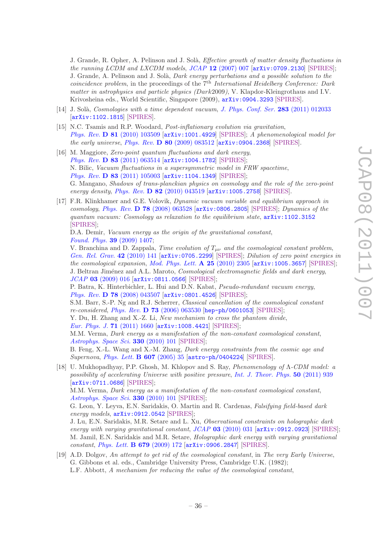J. Grande, R. Opher, A. Pelinson and J. Solà, *Effective growth of matter density fluctuations in* the running LCDM and LXCDM models,  $JCAP$  12 [\(2007\) 007](http://dx.doi.org/10.1088/1475-7516/2007/12/007)  $[arXiv:0709.2130]$  $[arXiv:0709.2130]$  $[arXiv:0709.2130]$  [\[SPIRES\]](http://www-spires.slac.stanford.edu/spires/find/hep/www?eprint=0709.2130); J. Grande, A. Pelinson and J. Solà, Dark energy perturbations and a possible solution to the *coincidence problem*, in the proceedings of the  $\tilde{\tau}^{th}$  *International Heidelberg Conference: Dark* matter in astrophysics and particle physics (Dark2009), V. Klapdor-Kleingrothaus and I.V. Krivosheina eds., World Scientific, Singapore (2009), [arXiv:0904.3293](http://arxiv.org/abs/0904.3293) [\[SPIRES\]](http://www-spires.slac.stanford.edu/spires/find/hep/www?eprint=0904.3293).

- <span id="page-38-3"></span>[14] J. Solà, Cosmologies with a time dependent vacuum, [J. Phys. Conf. Ser.](http://dx.doi.org/10.1088/1742-6596/283/1/012033)  $283$  (2011) 012033 [[arXiv:1102.1815](http://arxiv.org/abs/1102.1815)] [\[SPIRES\]](http://www-spires.slac.stanford.edu/spires/find/hep/www?eprint=1102.1815).
- <span id="page-38-0"></span>[15] N.C. Tsamis and R.P. Woodard, Post-inflationary evolution via gravitation, Phys. Rev. D 81 [\(2010\) 103509](http://dx.doi.org/10.1103/PhysRevD.81.103509) [[arXiv:1001.4929](http://arxiv.org/abs/1001.4929)] [\[SPIRES\]](http://www-spires.slac.stanford.edu/spires/find/hep/www?eprint=1001.4929); A phenomenological model for the early universe, Phys. Rev.  $D \ 80 \ (2009) \ 083512 \ [arXiv:0904.2368] \ [SPIRES].$  $D \ 80 \ (2009) \ 083512 \ [arXiv:0904.2368] \ [SPIRES].$  $D \ 80 \ (2009) \ 083512 \ [arXiv:0904.2368] \ [SPIRES].$  $D \ 80 \ (2009) \ 083512 \ [arXiv:0904.2368] \ [SPIRES].$  $D \ 80 \ (2009) \ 083512 \ [arXiv:0904.2368] \ [SPIRES].$
- <span id="page-38-4"></span>[16] M. Maggiore, Zero-point quantum fluctuations and dark energy, Phys. Rev. D 83 [\(2011\) 063514](http://dx.doi.org/10.1103/PhysRevD.83.063514) [[arXiv:1004.1782](http://arxiv.org/abs/1004.1782)] [\[SPIRES\]](http://www-spires.slac.stanford.edu/spires/find/hep/www?eprint=1004.1782); N. Bilic, Vacuum fluctuations in a supersymmetric model in FRW spacetime, Phys. Rev. D 83 [\(2011\) 105003](http://dx.doi.org/10.1103/PhysRevD.83.105003) [[arXiv:1104.1349](http://arxiv.org/abs/1104.1349)] [\[SPIRES\]](http://www-spires.slac.stanford.edu/spires/find/hep/www?eprint=1104.1349); G. Mangano, Shadows of trans-planckian physics on cosmology and the role of the zero-point energy density, Phys. Rev. **D 82** [\(2010\) 043519](http://dx.doi.org/10.1103/PhysRevD.82.043519) [[arXiv:1005.2758](http://arxiv.org/abs/1005.2758)] [\[SPIRES\]](http://www-spires.slac.stanford.edu/spires/find/hep/www?eprint=1005.2758).
- [17] F.R. Klinkhamer and G.E. Volovik, Dynamic vacuum variable and equilibrium approach in cosmology, Phys. Rev. D 78 [\(2008\) 063528](http://dx.doi.org/10.1103/PhysRevD.78.063528) [[arXiv:0806.2805](http://arxiv.org/abs/0806.2805)] [\[SPIRES\]](http://www-spires.slac.stanford.edu/spires/find/hep/www?eprint=0806.2805); Dynamics of the quantum vacuum: Cosmology as relaxation to the equilibrium state, [arXiv:1102.3152](http://arxiv.org/abs/1102.3152) [\[SPIRES\]](http://www-spires.slac.stanford.edu/spires/find/hep/www?eprint=1102.3152);

D.A. Demir, *Vacuum energy as the origin of the gravitational constant*, [Found. Phys.](http://dx.doi.org/10.1007/s10701-009-9364-z) 39 (2009) 1407;

V. Branchina and D. Zappala, Time evolution of  $T_{\mu\nu}$  and the cosmological constant problem, [Gen. Rel. Grav.](http://dx.doi.org/10.1007/s10714-009-0822-x) 42 (2010) 141 [[arXiv:0705.2299](http://arxiv.org/abs/0705.2299)] [\[SPIRES\]](http://www-spires.slac.stanford.edu/spires/find/hep/www?eprint=0705.2299); Dilution of zero point energies in the cosmological expansion, [Mod. Phys. Lett.](http://dx.doi.org/10.1142/S0217732310033670)  $\bf{A}$  **25** (2010) 2305 [[arXiv:1005.3657](http://arxiv.org/abs/1005.3657)] [\[SPIRES\]](http://www-spires.slac.stanford.edu/spires/find/hep/www?eprint=1005.3657); J. Beltran Jiménez and A.L. Maroto, Cosmological electromagnetic fields and dark energy, JCAP 03 [\(2009\) 016](http://dx.doi.org/10.1088/1475-7516/2009/03/016) [[arXiv:0811.0566](http://arxiv.org/abs/0811.0566)] [\[SPIRES\]](http://www-spires.slac.stanford.edu/spires/find/hep/www?eprint=0811.0566);

P. Batra, K. Hinterbichler, L. Hui and D.N. Kabat, Pseudo-redundant vacuum energy, Phys. Rev. D 78 [\(2008\) 043507](http://dx.doi.org/10.1103/PhysRevD.78.043507) [[arXiv:0801.4526](http://arxiv.org/abs/0801.4526)] [\[SPIRES\]](http://www-spires.slac.stanford.edu/spires/find/hep/www?eprint=0801.4526);

S.M. Barr, S.-P. Ng and R.J. Scherrer, Classical cancellation of the cosmological constant re-considered, Phys. Rev. D 73 [\(2006\) 063530](http://dx.doi.org/10.1103/PhysRevD.73.063530) [[hep-ph/0601053](http://arxiv.org/abs/hep-ph/0601053)] [\[SPIRES\]](http://www-spires.slac.stanford.edu/spires/find/hep/www?eprint=HEP-PH/0601053);

Y. Du, H. Zhang and X.-Z. Li, New mechanism to cross the phantom divide,

[Eur. Phys. J.](http://dx.doi.org/10.1140/epjc/s10052-011-1660-z) 71 (2011) 1660 [[arXiv:1008.4421](http://arxiv.org/abs/1008.4421)] [\[SPIRES\]](http://www-spires.slac.stanford.edu/spires/find/hep/www?eprint=1008.4421);

M.M. Verma, Dark energy as a manifestation of the non-constant cosmological constant, [Astrophys. Space Sci.](http://dx.doi.org/10.1007/s10509-010-0347-5) 330 (2010) 101 [\[SPIRES\]](http://www-spires.slac.stanford.edu/spires/find/hep/www?j=APSSB,330,101);

B. Feng, X.-L. Wang and X.-M. Zhang, Dark energy constraints from the cosmic age and Supernova, [Phys. Lett.](http://dx.doi.org/10.1016/j.physletb.2004.12.071) B 607 (2005) 35 [[astro-ph/0404224](http://arxiv.org/abs/astro-ph/0404224)] [\[SPIRES\]](http://www-spires.slac.stanford.edu/spires/find/hep/www?eprint=ASTRO-PH/0404224).

<span id="page-38-1"></span>[18] U. Mukhopadhyay, P.P. Ghosh, M. Khlopov and S. Ray, Phenomenology of Λ-CDM model: a possibility of accelerating Universe with positive pressure, [Int. J. Theor. Phys.](http://dx.doi.org/10.1007/s10773-010-0639-0) 50 (2011) 939 [[arXiv:0711.0686](http://arxiv.org/abs/0711.0686)] [\[SPIRES\]](http://www-spires.slac.stanford.edu/spires/find/hep/www?eprint=0711.0686);

M.M. Verma, Dark energy as a manifestation of the non-constant cosmological constant, [Astrophys. Space Sci.](http://dx.doi.org/10.1007/s10509-010-0347-5) 330 (2010) 101 [\[SPIRES\]](http://www-spires.slac.stanford.edu/spires/find/hep/www?j=APSSB,330,101);

G. Leon, Y. Leyva, E.N. Saridakis, O. Martin and R. Cardenas, Falsifying field-based dark energy models,  $arXiv:0912.0542$  [\[SPIRES\]](http://www-spires.slac.stanford.edu/spires/find/hep/www?eprint=0912.0542);

J. Lu, E.N. Saridakis, M.R. Setare and L. Xu, Observational constraints on holographic dark energy with varying gravitational constant,  $JCAP$  03 [\(2010\) 031](http://dx.doi.org/10.1088/1475-7516/2010/03/031)  $\left[$ [arXiv:0912.0923](http://arxiv.org/abs/0912.0923) $\right]$  [\[SPIRES\]](http://www-spires.slac.stanford.edu/spires/find/hep/www?eprint=0912.0923); M. Jamil, E.N. Saridakis and M.R. Setare, Holographic dark energy with varying gravitational constant, [Phys. Lett.](http://dx.doi.org/10.1016/j.physletb.2009.07.048) B 679 (2009) 172 [[arXiv:0906.2847](http://arxiv.org/abs/0906.2847)] [\[SPIRES\]](http://www-spires.slac.stanford.edu/spires/find/hep/www?eprint=0906.2847).

<span id="page-38-2"></span>[19] A.D. Dolgov, An attempt to get rid of the cosmological constant, in The very Early Universe, G. Gibbons et al. eds., Cambridge University Press, Cambridge U.K. (1982); L.F. Abbott, A mechanism for reducing the value of the cosmological constant,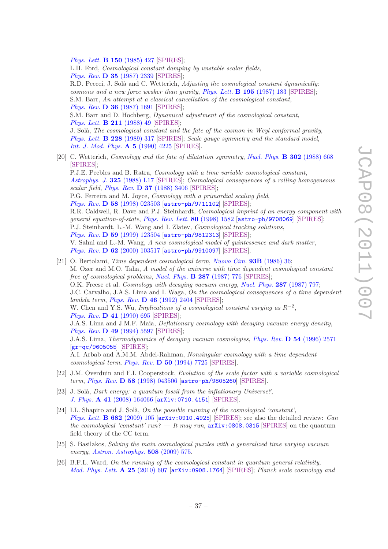[Phys. Lett.](http://dx.doi.org/10.1016/0370-2693(85)90459-9) B 150 (1985) 427 [\[SPIRES\]](http://www-spires.slac.stanford.edu/spires/find/hep/www?j=PHLTA,B150,427);

L.H. Ford, Cosmological constant damping by unstable scalar fields, Phys. Rev. D 35 [\(1987\) 2339](http://dx.doi.org/10.1103/PhysRevD.35.2339) [\[SPIRES\]](http://www-spires.slac.stanford.edu/spires/find/hep/www?j=PHRVA,D35,2339);

R.D. Peccei, J. Solà and C. Wetterich, Adjusting the cosmological constant dynamically: cosmons and a new force weaker than gravity, [Phys. Lett.](http://dx.doi.org/10.1016/0370-2693(87)91191-9) B 195 (1987) 183 [\[SPIRES\]](http://www-spires.slac.stanford.edu/spires/find/hep/www?j=PHLTA,B195,183); S.M. Barr, An attempt at a classical cancellation of the cosmological constant, Phys. Rev. D 36 [\(1987\) 1691](http://dx.doi.org/10.1103/PhysRevD.36.1691) [\[SPIRES\]](http://www-spires.slac.stanford.edu/spires/find/hep/www?j=PHRVA,D36,1691); S.M. Barr and D. Hochberg, Dynamical adjustment of the cosmological constant, [Phys. Lett.](http://dx.doi.org/10.1016/0370-2693(88)90805-2) B 211 (1988) 49 [\[SPIRES\]](http://www-spires.slac.stanford.edu/spires/find/hep/www?j=PHLTA,B211,49);

J. Solà, The cosmological constant and the fate of the cosmon in Weyl conformal gravity, [Phys. Lett.](http://dx.doi.org/10.1016/0370-2693(89)91552-9) **B 228** (1989) 317 [\[SPIRES\]](http://www-spires.slac.stanford.edu/spires/find/hep/www?j=PHLTA,B228,317); Scale gauge symmetry and the standard model, [Int. J. Mod. Phys.](http://dx.doi.org/10.1142/S0217751X90001756) A 5 (1990) 4225 [\[SPIRES\]](http://www-spires.slac.stanford.edu/spires/find/hep/www?j=IMPAE,A5,4225).

- <span id="page-39-0"></span>[20] C. Wetterich, *Cosmology and the fate of dilatation symmetry, [Nucl. Phys.](http://dx.doi.org/10.1016/0550-3213(88)90193-9)* **B** 302 (1988) 668 [\[SPIRES\]](http://www-spires.slac.stanford.edu/spires/find/hep/www?j=NUPHA,B302,668); P.J.E. Peebles and B. Ratra, Cosmology with a time variable cosmological constant, [Astrophys. J.](http://dx.doi.org/10.1086/185100) 325 (1988) L17 [\[SPIRES\]](http://www-spires.slac.stanford.edu/spires/find/hep/www?j=ASJOA,325,L17); Cosmological consequences of a rolling homogeneous scalar field, Phys. Rev.  $\bf{D}$  37 [\(1988\) 3406](http://dx.doi.org/10.1103/PhysRevD.37.3406) [\[SPIRES\]](http://www-spires.slac.stanford.edu/spires/find/hep/www?j=PHRVA,D37,3406); P.G. Ferreira and M. Joyce, Cosmology with a primordial scaling field, Phys. Rev. D 58 [\(1998\) 023503](http://dx.doi.org/10.1103/PhysRevD.58.023503) [[astro-ph/9711102](http://arxiv.org/abs/astro-ph/9711102)] [\[SPIRES\]](http://www-spires.slac.stanford.edu/spires/find/hep/www?eprint=ASTRO-PH/9711102); R.R. Caldwell, R. Dave and P.J. Steinhardt, *Cosmological imprint of an energy component with* general equation-of-state, [Phys. Rev. Lett.](http://dx.doi.org/10.1103/PhysRevLett.80.1582) 80 (1998) 1582 [[astro-ph/9708069](http://arxiv.org/abs/astro-ph/9708069)] [\[SPIRES\]](http://www-spires.slac.stanford.edu/spires/find/hep/www?eprint=ASTRO-PH/9708069); P.J. Steinhardt, L.-M. Wang and I. Zlatev, *Cosmological tracking solutions*, Phys. Rev. D 59 [\(1999\) 123504](http://dx.doi.org/10.1103/PhysRevD.59.123504) [[astro-ph/9812313](http://arxiv.org/abs/astro-ph/9812313)] [\[SPIRES\]](http://www-spires.slac.stanford.edu/spires/find/hep/www?eprint=ASTRO-PH/9812313); V. Sahni and L.-M. Wang, A new cosmological model of quintessence and dark matter, Phys. Rev. D 62 [\(2000\) 103517](http://dx.doi.org/10.1103/PhysRevD.62.103517) [[astro-ph/9910097](http://arxiv.org/abs/astro-ph/9910097)] [\[SPIRES\]](http://www-spires.slac.stanford.edu/spires/find/hep/www?eprint=ASTRO-PH/9910097). [21] O. Bertolami, Time dependent cosmological term, [Nuovo Cim.](http://dx.doi.org/10.1007/BF02728301) 93B (1986) 36;
- <span id="page-39-1"></span>M. Ozer and M.O. Taha, A model of the universe with time dependent cosmological constant free of cosmological problems, [Nucl. Phys.](http://dx.doi.org/10.1016/0550-3213(87)90128-3) **B 287** (1987) 776 [\[SPIRES\]](http://www-spires.slac.stanford.edu/spires/find/hep/www?j=NUPHA,B287,776); O.K. Freese et al. *Cosmology with decaying vacuum energy, [Nucl. Phys](http://dx.doi.org/10.1016/0550-3213(87)90129-5).* **287** (1987) 797; J.C. Carvalho, J.A.S. Lima and I. Waga, On the cosmological consequences of a time dependent lambda term, Phys. Rev. D 46 [\(1992\) 2404](http://dx.doi.org/10.1103/PhysRevD.46.2404) [\[SPIRES\]](http://www-spires.slac.stanford.edu/spires/find/hep/www?j=PHRVA,D46,2404); W. Chen and Y.S. Wu, Implications of a cosmological constant varying as  $R^{-2}$ , [Phys. Rev.](http://dx.doi.org/10.1103/PhysRevD.41.695) D 41 (1990) 695 [\[SPIRES\]](http://www-spires.slac.stanford.edu/spires/find/hep/www?j=PHRVA,D41,695); J.A.S. Lima and J.M.F. Maia, Deflationary cosmology with decaying vacuum energy density, Phys. Rev. D 49 [\(1994\) 5597](http://dx.doi.org/10.1103/PhysRevD.49.5597) [\[SPIRES\]](http://www-spires.slac.stanford.edu/spires/find/hep/www?j=PHRVA,D49,5597); J.A.S. Lima, Thermodynamics of decaying vacuum cosmologies, Phys. Rev. D 54 [\(1996\) 2571](http://dx.doi.org/10.1103/PhysRevD.54.2571) [[gr-qc/9605055](http://arxiv.org/abs/gr-qc/9605055)] [\[SPIRES\]](http://www-spires.slac.stanford.edu/spires/find/hep/www?eprint=GR-QC/9605055); A.I. Arbab and A.M.M. Abdel-Rahman, Nonsingular cosmology with a time dependent cosmological term, Phys. Rev. D 50 [\(1994\) 7725](http://dx.doi.org/10.1103/PhysRevD.50.7725) [\[SPIRES\]](http://www-spires.slac.stanford.edu/spires/find/hep/www?j=PHRVA,D50,7725).
- <span id="page-39-2"></span>[22] J.M. Overduin and F.I. Cooperstock, Evolution of the scale factor with a variable cosmological term, Phys. Rev. D 58 [\(1998\) 043506](http://dx.doi.org/10.1103/PhysRevD.58.043506) [[astro-ph/9805260](http://arxiv.org/abs/astro-ph/9805260)] [\[SPIRES\]](http://www-spires.slac.stanford.edu/spires/find/hep/www?eprint=ASTRO-PH/9805260).
- <span id="page-39-3"></span>[23] J. Solà, Dark energy: a quantum fossil from the inflationary Universe?, J. Phys. A 41 [\(2008\) 164066](http://dx.doi.org/10.1088/1751-8113/41/16/164066) [[arXiv:0710.4151](http://arxiv.org/abs/0710.4151)] [\[SPIRES\]](http://www-spires.slac.stanford.edu/spires/find/hep/www?eprint=0710.4151).
- <span id="page-39-5"></span>[24] I.L. Shapiro and J. Solà, On the possible running of the cosmological 'constant', [Phys. Lett.](http://dx.doi.org/10.1016/j.physletb.2009.10.073) **B** 682 (2009) 105  $arXiv:0910.4925$  [\[SPIRES\]](http://www-spires.slac.stanford.edu/spires/find/hep/www?eprint=0910.4925); see also the detailed review: *Can* the cosmological 'constant' run? — It may run,  $arXiv:0808.0315$  [\[SPIRES\]](http://www-spires.slac.stanford.edu/spires/find/hep/www?eprint=0808.0315) on the quantum field theory of the CC term.
- <span id="page-39-6"></span>[25] S. Basilakos, Solving the main cosmological puzzles with a generalized time varying vacuum energy, [Astron. Astrophys.](http://dx.doi.org/10.1051/0004-6361/200912575) 508 (2009) 575.
- <span id="page-39-4"></span>[26] B.F.L. Ward, On the running of the cosmological constant in quantum general relativity, [Mod. Phys. Lett.](http://dx.doi.org/10.1142/S021773231003269X) A 25 (2010) 607 [[arXiv:0908.1764](http://arxiv.org/abs/0908.1764)] [\[SPIRES\]](http://www-spires.slac.stanford.edu/spires/find/hep/www?eprint=0908.1764); Planck scale cosmology and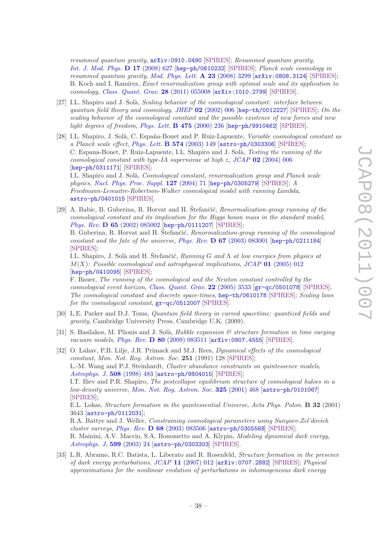resummed quantum gravity, [arXiv:0910.0490](http://arxiv.org/abs/0910.0490) [\[SPIRES\]](http://www-spires.slac.stanford.edu/spires/find/hep/www?eprint=0910.0490); Resummed quantum gravity, [Int. J. Mod. Phys.](http://dx.doi.org/10.1142/S021827180801236X) D 17 (2008) 627 [[hep-ph/0610232](http://arxiv.org/abs/hep-ph/0610232)] [\[SPIRES\]](http://www-spires.slac.stanford.edu/spires/find/hep/www?eprint=HEP-PH/0610232); Planck scale cosmology in resummed quantum gravity, [Mod. Phys. Lett.](http://dx.doi.org/10.1142/S0217732308028624)  $\bf{A}$  23 (2008) 3299 [[arXiv:0808.3124](http://arxiv.org/abs/0808.3124)] [\[SPIRES\]](http://www-spires.slac.stanford.edu/spires/find/hep/www?eprint=0808.3124); B. Koch and I. Ramirez, Exact renormalization group with optimal scale and its application to cosmology, [Class. Quant. Grav.](http://dx.doi.org/10.1088/0264-9381/28/5/055008) 28 (2011) 055008 [[arXiv:1010.2799](http://arxiv.org/abs/1010.2799)] [\[SPIRES\]](http://www-spires.slac.stanford.edu/spires/find/hep/www?eprint=1010.2799).

- <span id="page-40-0"></span>[27] I.L. Shapiro and J. Solà, Scaling behavior of the cosmological constant: interface between quantum field theory and cosmology, JHEP  $02$  [\(2002\) 006](http://dx.doi.org/10.1088/1126-6708/2002/02/006) [[hep-th/0012227](http://arxiv.org/abs/hep-th/0012227)] [\[SPIRES\]](http://www-spires.slac.stanford.edu/spires/find/hep/www?eprint=HEP-TH/0012227); On the scaling behavior of the cosmological constant and the possible existence of new forces and new light degrees of freedom, [Phys. Lett.](http://dx.doi.org/10.1016/S0370-2693(00)00090-3) B 475 (2000) 236 [[hep-ph/9910462](http://arxiv.org/abs/hep-ph/9910462)] [\[SPIRES\]](http://www-spires.slac.stanford.edu/spires/find/hep/www?eprint=HEP-PH/9910462).
- <span id="page-40-4"></span>[28] I.L. Shapiro, J. Solà, C. España-Bonet and P. Ruiz-Lapuente, Variable cosmological constant as a Planck scale effect, [Phys. Lett.](http://dx.doi.org/10.1016/j.physletb.2003.09.016)  $\bf{B}$  574 (2003) 149 [[astro-ph/0303306](http://arxiv.org/abs/astro-ph/0303306)] [\[SPIRES\]](http://www-spires.slac.stanford.edu/spires/find/hep/www?eprint=ASTRO-PH/0303306); C. Espana-Bonet, P. Ruiz-Lapuente, I.L. Shapiro and J. Solà, *Testing the running of the* cosmological constant with type-IA supernovae at high  $z$ , JCAP 02 [\(2004\) 006](http://dx.doi.org/10.1088/1475-7516/2004/02/006) [[hep-ph/0311171](http://arxiv.org/abs/hep-ph/0311171)] [\[SPIRES\]](http://www-spires.slac.stanford.edu/spires/find/hep/www?eprint=HEP-PH/0311171); I.L. Shapiro and J. Solà, *Cosmological constant, renormalization group and Planck scale*

physics, [Nucl. Phys. Proc. Suppl.](http://dx.doi.org/10.1016/S0920-5632(03)02402-2) 127 (2004) 71 [[hep-ph/0305279](http://arxiv.org/abs/hep-ph/0305279)] [\[SPIRES\]](http://www-spires.slac.stanford.edu/spires/find/hep/www?eprint=HEP-PH/0305279); A Friedmann-Lemaitre-Robertson-Walker cosmological model with running Lambda, [astro-ph/0401015](http://arxiv.org/abs/astro-ph/0401015) [\[SPIRES\]](http://www-spires.slac.stanford.edu/spires/find/hep/www?eprint=ASTRO-PH/0401015).

- <span id="page-40-1"></span>[29] A. Babic, B. Guberina, R. Horvat and H. Štefančić, Renormalization-group running of the cosmological constant and its implication for the Higgs boson mass in the standard model, Phys. Rev. D 65 [\(2002\) 085002](http://dx.doi.org/10.1103/PhysRevD.65.085002) [[hep-ph/0111207](http://arxiv.org/abs/hep-ph/0111207)] [\[SPIRES\]](http://www-spires.slac.stanford.edu/spires/find/hep/www?eprint=HEP-PH/0111207); B. Guberina, R. Horvat and H. Stefančić, Renormalization-group running of the cosmological constant and the fate of the universe, Phys. Rev.  $\bf{D} 67 (2003) 083001$  $\bf{D} 67 (2003) 083001$  [[hep-ph/0211184](http://arxiv.org/abs/hep-ph/0211184)] [\[SPIRES\]](http://www-spires.slac.stanford.edu/spires/find/hep/www?eprint=HEP-PH/0211184); I.L. Shapiro, J. Solà and H. Stefančić,  $Running G$  and  $\Lambda$  at low energies from physics at  $M(X)$ : Possible cosmological and astrophysical implications, JCAP 01 [\(2005\) 012](http://dx.doi.org/10.1088/1475-7516/2005/01/012) [[hep-ph/0410095](http://arxiv.org/abs/hep-ph/0410095)] [\[SPIRES\]](http://www-spires.slac.stanford.edu/spires/find/hep/www?eprint=HEP-PH/0410095); F. Bauer, The running of the cosmological and the Newton constant controlled by the cosmological event horizon, [Class. Quant. Grav.](http://dx.doi.org/10.1088/0264-9381/22/17/012) 22 (2005) 3533  $\left[\text{gr-qc/0501078}\right]$  $\left[\text{gr-qc/0501078}\right]$  $\left[\text{gr-qc/0501078}\right]$  [\[SPIRES\]](http://www-spires.slac.stanford.edu/spires/find/hep/www?eprint=GR-QC/0501078); The cosmological constant and discrete space-times, [hep-th/0610178](http://arxiv.org/abs/hep-th/0610178) [\[SPIRES\]](http://www-spires.slac.stanford.edu/spires/find/hep/www?eprint=HEP-TH/0610178); Scaling laws for the cosmological constant,  $gr-qc/0512007$  [\[SPIRES\]](http://www-spires.slac.stanford.edu/spires/find/hep/www?eprint=GR-QC/0512007).
- <span id="page-40-2"></span>[30] L.E. Parker and D.J. Toms, Quantum field theory in curved spacetime: quantized fields and gravity, Cambridge University Press, Cambridge U.K. (2009).
- <span id="page-40-3"></span>[31] S. Basilakos, M. Plionis and J. Solà, *Hubble expansion*  $\mathscr B$  structure formation in time varying vacuum models, Phys. Rev. D 80 [\(2009\) 083511](http://dx.doi.org/10.1103/PhysRevD.80.083511) [[arXiv:0907.4555](http://arxiv.org/abs/0907.4555)] [\[SPIRES\]](http://www-spires.slac.stanford.edu/spires/find/hep/www?eprint=0907.4555).
- <span id="page-40-5"></span>[32] O. Lahav, P.B. Lilje, J.R. Primack and M.J. Rees, Dynamical effects of the cosmological constant, Mon. Not. Roy. Astron. Soc. 251 (1991) 128 [\[SPIRES\]](http://www-spires.slac.stanford.edu/spires/find/hep/www?j=MNRAA,251,128); L.-M. Wang and P.J. Steinhardt, Cluster abundance constraints on quintessence models, [Astrophys. J.](http://dx.doi.org/10.1086/306436) 508 (1998) 483 [[astro-ph/9804015](http://arxiv.org/abs/astro-ph/9804015)] [\[SPIRES\]](http://www-spires.slac.stanford.edu/spires/find/hep/www?eprint=ASTRO-PH/9804015); I.T. Iliev and P.R. Shapiro, The postcollapse equilibrium structure of cosmological haloes in a low-density universe, [Mon. Not. Roy. Astron. Soc.](http://dx.doi.org/10.1046/j.1365-8711.2001.04422.x) 325 (2001) 468 [[astro-ph/0101067](http://arxiv.org/abs/astro-ph/0101067)] [\[SPIRES\]](http://www-spires.slac.stanford.edu/spires/find/hep/www?eprint=ASTRO-PH/0101067); E.L. Lokas, Structure formation in the quintessential Universe, Acta Phys. Polon. B 32 (2001) 3643 [[astro-ph/0112031](http://arxiv.org/abs/astro-ph/0112031)]; R.A. Battye and J. Weller, Constraining cosmological parameters using Sunyaev-Zel'dovich cluster surveys, Phys. Rev.  $\bf{D} 68 (2003) 083506$  $\bf{D} 68 (2003) 083506$  [[astro-ph/0305568](http://arxiv.org/abs/astro-ph/0305568)] [\[SPIRES\]](http://www-spires.slac.stanford.edu/spires/find/hep/www?eprint=ASTRO-PH/0305568); R. Mainini, A.V. Maccio, S.A. Bonometto and A. Klypin, Modeling dynamical dark energy,

[Astrophys. J.](http://dx.doi.org/10.1086/379236) 599 (2003) 24 [[astro-ph/0303303](http://arxiv.org/abs/astro-ph/0303303)] [\[SPIRES\]](http://www-spires.slac.stanford.edu/spires/find/hep/www?eprint=ASTRO-PH/0303303).

<span id="page-40-6"></span>[33] L.R. Abramo, R.C. Batista, L. Liberato and R. Rosenfeld, Structure formation in the presence of dark energy perturbations, JCAP 11 [\(2007\) 012](http://dx.doi.org/10.1088/1475-7516/2007/11/012) [[arXiv:0707.2882](http://arxiv.org/abs/0707.2882)] [\[SPIRES\]](http://www-spires.slac.stanford.edu/spires/find/hep/www?eprint=0707.2882); Physical approximations for the nonlinear evolution of perturbations in inhomogeneous dark energy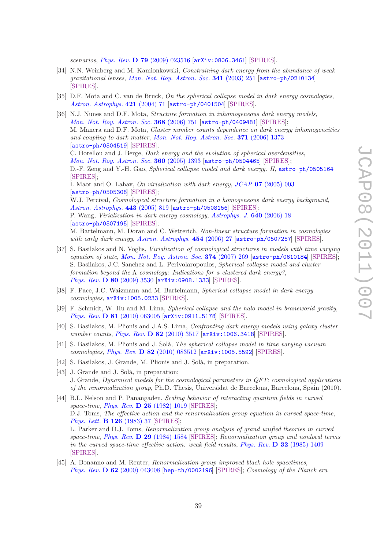scenarios, Phys. Rev. D 79 [\(2009\) 023516](http://dx.doi.org/10.1103/PhysRevD.79.023516) [[arXiv:0806.3461](http://arxiv.org/abs/0806.3461)] [\[SPIRES\]](http://www-spires.slac.stanford.edu/spires/find/hep/www?eprint=0806.3461).

- <span id="page-41-7"></span>[34] N.N. Weinberg and M. Kamionkowski, Constraining dark energy from the abundance of weak gravitational lenses, [Mon. Not. Roy. Astron. Soc.](http://dx.doi.org/10.1046/j.1365-8711.2003.06421.x) 341 (2003) 251 [[astro-ph/0210134](http://arxiv.org/abs/astro-ph/0210134)] [\[SPIRES\]](http://www-spires.slac.stanford.edu/spires/find/hep/www?eprint=ASTRO-PH/0210134).
- <span id="page-41-5"></span>[35] D.F. Mota and C. van de Bruck, On the spherical collapse model in dark energy cosmologies, [Astron. Astrophys.](http://dx.doi.org/10.1051/0004-6361:20041090) 421 (2004) 71 [[astro-ph/0401504](http://arxiv.org/abs/astro-ph/0401504)] [\[SPIRES\]](http://www-spires.slac.stanford.edu/spires/find/hep/www?eprint=ASTRO-PH/0401504).
- [36] N.J. Nunes and D.F. Mota, Structure formation in inhomogeneous dark energy models, [Mon. Not. Roy. Astron. Soc.](http://dx.doi.org/10.1111/j.1365-2966.2006.10166.x) 368 (2006) 751 [[astro-ph/0409481](http://arxiv.org/abs/astro-ph/0409481)] [\[SPIRES\]](http://www-spires.slac.stanford.edu/spires/find/hep/www?eprint=ASTRO-PH/0409481); M. Manera and D.F. Mota, Cluster number counts dependence on dark energy inhomogeneities and coupling to dark matter, [Mon. Not. Roy. Astron. Soc.](http://dx.doi.org/10.1111/j.1365-2966.2006.10774.x) 371 (2006) 1373 [[astro-ph/0504519](http://arxiv.org/abs/astro-ph/0504519)] [\[SPIRES\]](http://www-spires.slac.stanford.edu/spires/find/hep/www?eprint=ASTRO-PH/0504519); C. Horellou and J. Berge, Dark energy and the evolution of spherical overdensities, [Mon. Not. Roy. Astron. Soc.](http://dx.doi.org/10.1111/j.1365-2966.2005.09140.x) 360 (2005) 1393 [[astro-ph/0504465](http://arxiv.org/abs/astro-ph/0504465)] [\[SPIRES\]](http://www-spires.slac.stanford.edu/spires/find/hep/www?eprint=ASTRO-PH/0504465); D.-F. Zeng and Y.-H. Gao, Spherical collapse model and dark energy. II, [astro-ph/0505164](http://arxiv.org/abs/astro-ph/0505164) [\[SPIRES\]](http://www-spires.slac.stanford.edu/spires/find/hep/www?eprint=ASTRO-PH/0505164); I. Maor and O. Lahav, On virialization with dark energy, JCAP 07 [\(2005\) 003](http://dx.doi.org/10.1088/1475-7516/2005/07/003) [[astro-ph/0505308](http://arxiv.org/abs/astro-ph/0505308)] [\[SPIRES\]](http://www-spires.slac.stanford.edu/spires/find/hep/www?eprint=ASTRO-PH/0505308); W.J. Percival, Cosmological structure formation in a homogeneous dark energy background, [Astron. Astrophys.](http://dx.doi.org/10.1051/0004-6361:20053637) 443 (2005) 819 [[astro-ph/0508156](http://arxiv.org/abs/astro-ph/0508156)] [\[SPIRES\]](http://www-spires.slac.stanford.edu/spires/find/hep/www?eprint=ASTRO-PH/0508156); P. Wang, Virialization in dark energy cosmology, [Astrophys. J.](http://dx.doi.org/10.1086/500074) 640 (2006) 18 [[astro-ph/0507195](http://arxiv.org/abs/astro-ph/0507195)] [\[SPIRES\]](http://www-spires.slac.stanford.edu/spires/find/hep/www?eprint=ASTRO-PH/0507195); M. Bartelmann, M. Doran and C. Wetterich, Non-linear structure formation in cosmologies with early dark energy, [Astron. Astrophys.](http://dx.doi.org/10.1051/0004-6361:20053922) 454 (2006) 27 [[astro-ph/0507257](http://arxiv.org/abs/astro-ph/0507257)] [\[SPIRES\]](http://www-spires.slac.stanford.edu/spires/find/hep/www?eprint=ASTRO-PH/0507257).
- [37] S. Basilakos and N. Voglis, Virialization of cosmological structures in models with time varying equation of state, [Mon. Not. Roy. Astron. Soc.](http://dx.doi.org/10.1111/j.1365-2966.2006.11158.x) 374 (2007) 269 [[astro-ph/0610184](http://arxiv.org/abs/astro-ph/0610184)] [\[SPIRES\]](http://www-spires.slac.stanford.edu/spires/find/hep/www?eprint=ASTRO-PH/0610184); S. Basilakos, J.C. Sanchez and L. Perivolaropoulos, Spherical collapse model and cluster formation beyond the  $\Lambda$  cosmology: Indications for a clustered dark energy?, Phys. Rev. D 80 [\(2009\) 3530](http://dx.doi.org/10.1103/PhysRevD.80.043530) [[arXiv:0908.1333](http://arxiv.org/abs/0908.1333)] [\[SPIRES\]](http://www-spires.slac.stanford.edu/spires/find/hep/www?eprint=0908.1333).
- <span id="page-41-8"></span>[38] F. Pace, J.C. Waizmann and M. Bartelmann, Spherical collapse model in dark energy cosmologies, [arXiv:1005.0233](http://arxiv.org/abs/1005.0233) [\[SPIRES\]](http://www-spires.slac.stanford.edu/spires/find/hep/www?eprint=1005.0233).
- <span id="page-41-6"></span>[39] F. Schmidt, W. Hu and M. Lima, Spherical collapse and the halo model in braneworld gravity, Phys. Rev. D 81 [\(2010\) 063005](http://dx.doi.org/10.1103/PhysRevD.81.063005) [[arXiv:0911.5178](http://arxiv.org/abs/0911.5178)] [\[SPIRES\]](http://www-spires.slac.stanford.edu/spires/find/hep/www?eprint=0911.5178).
- <span id="page-41-9"></span>[40] S. Basilakos, M. Plionis and J.A.S. Lima, Confronting dark energy models using galaxy cluster number counts, *Phys. Rev.* **D 82** [\(2010\) 3517](http://dx.doi.org/10.1103/PhysRevD.82.083517) [[arXiv:1006.3418](http://arxiv.org/abs/1006.3418)] [\[SPIRES\]](http://www-spires.slac.stanford.edu/spires/find/hep/www?eprint=1006.3418).
- <span id="page-41-0"></span>[41] S. Basilakos, M. Plionis and J. Solà, *The spherical collapse model in time varying vacuum* cosmologies, Phys. Rev. D 82 [\(2010\) 083512](http://dx.doi.org/10.1103/PhysRevD.82.083512) [[arXiv:1005.5592](http://arxiv.org/abs/1005.5592)] [\[SPIRES\]](http://www-spires.slac.stanford.edu/spires/find/hep/www?eprint=1005.5592).
- <span id="page-41-1"></span>[42] S. Basilakos, J. Grande, M. Plionis and J. Solà, in preparation.
- <span id="page-41-2"></span>[43] J. Grande and J. Solà, in preparation; J. Grande, Dynamical models for the cosmological parameters in QFT: cosmological applications of the renormalization group, Ph.D. Thesis, Universidat de Barcelona, Barcelona, Spain (2010).
- <span id="page-41-3"></span>[44] B.L. Nelson and P. Panangaden, Scaling behavior of interacting quantum fields in curved space-time, Phys. Rev.  $\bf{D}$  25 [\(1982\) 1019](http://dx.doi.org/10.1103/PhysRevD.25.1019) [\[SPIRES\]](http://www-spires.slac.stanford.edu/spires/find/hep/www?j=PHRVA,D25,1019); D.J. Toms, The effective action and the renormalization group equation in curved space-time, [Phys. Lett.](http://dx.doi.org/10.1016/0370-2693(83)90011-4) B 126 (1983) 37 [\[SPIRES\]](http://www-spires.slac.stanford.edu/spires/find/hep/www?j=PHLTA,B126,37); L. Parker and D.J. Toms, Renormalization group analysis of grand unified theories in curved space-time, Phys. Rev. **D 29** [\(1984\) 1584](http://dx.doi.org/10.1103/PhysRevD.29.1584) [\[SPIRES\]](http://www-spires.slac.stanford.edu/spires/find/hep/www?j=PHRVA,D29,1584); Renormalization group and nonlocal terms in the curved space-time effective action: weak field results, Phys. Rev.  $\bf{D}$  32 [\(1985\) 1409](http://dx.doi.org/10.1103/PhysRevD.32.1409) [\[SPIRES\]](http://www-spires.slac.stanford.edu/spires/find/hep/www?j=PHRVA,D32,1409).
- <span id="page-41-4"></span>[45] A. Bonanno and M. Reuter, Renormalization group improved black hole spacetimes, Phys. Rev. D 62 [\(2000\) 043008](http://dx.doi.org/10.1103/PhysRevD.62.043008) [[hep-th/0002196](http://arxiv.org/abs/hep-th/0002196)] [\[SPIRES\]](http://www-spires.slac.stanford.edu/spires/find/hep/www?eprint=HEP-TH/0002196); Cosmology of the Planck era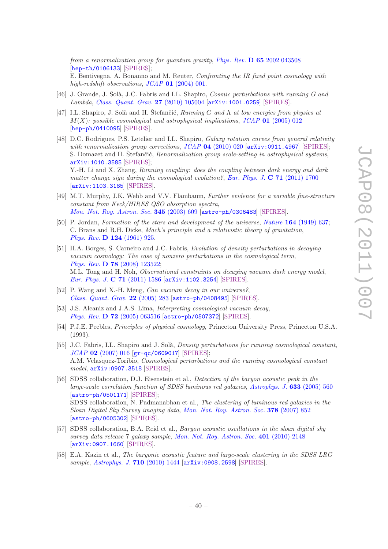from a renormalization group for quantum gravity, *Phys. Rev.* **D 65** [2002 043508](http://dx.doi.org/10.1103/PhysRevD.65.043508) [[hep-th/0106133](http://arxiv.org/abs/hep-th/0106133)] [\[SPIRES\]](http://www-spires.slac.stanford.edu/spires/find/hep/www?eprint=HEP-TH/0106133);

E. Bentivegna, A. Bonanno and M. Reuter, Confronting the IR fixed point cosmology with high-redshift observations, JCAP 01 [\(2004\) 001.](http://dx.doi.org/10.1088/1475-7516/2004/01/001)

- <span id="page-42-0"></span>[46] J. Grande, J. Solà, J.C. Fabris and I.L. Shapiro, *Cosmic perturbations with running G and* Lambda, [Class. Quant. Grav.](http://dx.doi.org/10.1088/0264-9381/27/10/105004) 27 (2010) 105004 [[arXiv:1001.0259](http://arxiv.org/abs/1001.0259)] [\[SPIRES\]](http://www-spires.slac.stanford.edu/spires/find/hep/www?eprint=1001.0259).
- <span id="page-42-4"></span>[47] I.L. Shapiro, J. Solà and H. Štefančić,  $Running G$  and  $\Lambda$  at low energies from physics at  $M(X)$ : possible cosmological and astrophysical implications, JCAP 01 [\(2005\) 012](http://dx.doi.org/10.1088/1475-7516/2005/01/012) [[hep-ph/0410095](http://arxiv.org/abs/hep-ph/0410095)] [\[SPIRES\]](http://www-spires.slac.stanford.edu/spires/find/hep/www?eprint=HEP-PH/0410095).
- <span id="page-42-1"></span>[48] D.C. Rodrigues, P.S. Letelier and I.L. Shapiro, *Galaxy rotation curves from general relativity* with renormalization group corrections,  $JCAP$  04 [\(2010\) 020](http://dx.doi.org/10.1088/1475-7516/2010/04/020)  $[\text{arXiv:0911.4967}]$  $[\text{arXiv:0911.4967}]$  $[\text{arXiv:0911.4967}]$  [\[SPIRES\]](http://www-spires.slac.stanford.edu/spires/find/hep/www?eprint=0911.4967); S. Domazet and H. Štefančić, *Renormalization group scale-setting in astrophysical systems*, [arXiv:1010.3585](http://arxiv.org/abs/1010.3585) [\[SPIRES\]](http://www-spires.slac.stanford.edu/spires/find/hep/www?eprint=1010.3585); Y.-H. Li and X. Zhang, Running coupling: does the coupling between dark energy and dark matter change sign during the cosmological evolution?, [Eur. Phys. J.](http://dx.doi.org/10.1140/epjc/s10052-011-1700-8)  $C 71$  (2011) 1700 [[arXiv:1103.3185](http://arxiv.org/abs/1103.3185)] [\[SPIRES\]](http://www-spires.slac.stanford.edu/spires/find/hep/www?eprint=1103.3185).
- <span id="page-42-2"></span>[49] M.T. Murphy, J.K. Webb and V.V. Flambaum, Further evidence for a variable fine-structure constant from Keck/HIRES QSO absorption spectra, [Mon. Not. Roy. Astron. Soc.](http://dx.doi.org/10.1046/j.1365-8711.2003.06970.x) 345 (2003) 609 [[astro-ph/0306483](http://arxiv.org/abs/astro-ph/0306483)] [\[SPIRES\]](http://www-spires.slac.stanford.edu/spires/find/hep/www?eprint=ASTRO-PH/0306483).
- <span id="page-42-3"></span>[50] P. Jordan, Formation of the stars and development of the universe, Nature 164 [\(1949\) 637;](http://dx.doi.org/10.1038/164637a0) C. Brans and R.H. Dicke, Mach's principle and a relativistic theory of gravitation, Phys. Rev. D 124 [\(1961\) 925.](http://dx.doi.org/10.1103/PhysRev.124.925)
- <span id="page-42-5"></span>[51] H.A. Borges, S. Carneiro and J.C. Fabris, Evolution of density perturbations in decaying vacuum cosmology: The case of nonzero perturbations in the cosmological term, Phys. Rev. D 78 [\(2008\) 123522;](http://dx.doi.org/10.1103/PhysRevD.78.123522) M.L. Tong and H. Noh, Observational constraints on decaying vacuum dark energy model, [Eur. Phys. J.](http://dx.doi.org/10.1140/epjc/s10052-011-1586-5) C 71 (2011) 1586 [[arXiv:1102.3254](http://arxiv.org/abs/1102.3254)] [\[SPIRES\]](http://www-spires.slac.stanford.edu/spires/find/hep/www?eprint=1102.3254).
- <span id="page-42-7"></span>[52] P. Wang and X.-H. Meng, Can vacuum decay in our universe?, [Class. Quant. Grav.](http://dx.doi.org/10.1088/0264-9381/22/2/003) 22 (2005) 283 [[astro-ph/0408495](http://arxiv.org/abs/astro-ph/0408495)] [\[SPIRES\]](http://www-spires.slac.stanford.edu/spires/find/hep/www?eprint=ASTRO-PH/0408495).
- <span id="page-42-8"></span>[53] J.S. Alcaniz and J.A.S. Lima, *Interpreting cosmological vacuum decay*, Phys. Rev. D 72 [\(2005\) 063516](http://dx.doi.org/10.1103/PhysRevD.72.063516) [[astro-ph/0507372](http://arxiv.org/abs/astro-ph/0507372)] [\[SPIRES\]](http://www-spires.slac.stanford.edu/spires/find/hep/www?eprint=ASTRO-PH/0507372).
- <span id="page-42-6"></span>[54] P.J.E. Peebles, Principles of physical cosmology, Princeton University Press, Princeton U.S.A. (1993).
- <span id="page-42-9"></span>[55] J.C. Fabris, I.L. Shapiro and J. Solà, *Density perturbations for running cosmological constant*, JCAP 02 [\(2007\) 016](http://dx.doi.org/10.1088/1475-7516/2007/02/016) [[gr-qc/0609017](http://arxiv.org/abs/gr-qc/0609017)] [\[SPIRES\]](http://www-spires.slac.stanford.edu/spires/find/hep/www?eprint=GR-QC/0609017); A.M. Velasquez-Toribio, *Cosmological perturbations and the running cosmological constant* model, [arXiv:0907.3518](http://arxiv.org/abs/0907.3518) [\[SPIRES\]](http://www-spires.slac.stanford.edu/spires/find/hep/www?eprint=0907.3518).
- <span id="page-42-10"></span>[56] SDSS collaboration, D.J. Eisenstein et al., Detection of the baryon acoustic peak in the large-scale correlation function of SDSS luminous red galaxies, [Astrophys. J.](http://dx.doi.org/10.1086/466512) 633 (2005) 560 [[astro-ph/0501171](http://arxiv.org/abs/astro-ph/0501171)] [\[SPIRES\]](http://www-spires.slac.stanford.edu/spires/find/hep/www?eprint=ASTRO-PH/0501171); SDSS collaboration, N. Padmanabhan et al., The clustering of luminous red galaxies in the Sloan Digital Sky Survey imaging data, [Mon. Not. Roy. Astron. Soc.](http://dx.doi.org/10.1111/j.1365-2966.2007.11593.x) 378 (2007) 852 [[astro-ph/0605302](http://arxiv.org/abs/astro-ph/0605302)] [\[SPIRES\]](http://www-spires.slac.stanford.edu/spires/find/hep/www?eprint=ASTRO-PH/0605302).
- <span id="page-42-11"></span>[57] SDSS collaboration, B.A. Reid et al., *Baryon acoustic oscillations in the sloan digital sky* survey data release 7 galaxy sample, [Mon. Not. Roy. Astron. Soc.](http://dx.doi.org/10.1111/j.1365-2966.2009.15812.x) 401 (2010) 2148 [[arXiv:0907.1660](http://arxiv.org/abs/0907.1660)] [\[SPIRES\]](http://www-spires.slac.stanford.edu/spires/find/hep/www?eprint=0907.1660).
- <span id="page-42-12"></span>[58] E.A. Kazin et al., The baryonic acoustic feature and large-scale clustering in the SDSS LRG sample, [Astrophys. J.](http://dx.doi.org/10.1088/0004-637X/710/2/1444) 710 (2010) 1444 [[arXiv:0908.2598](http://arxiv.org/abs/0908.2598)] [\[SPIRES\]](http://www-spires.slac.stanford.edu/spires/find/hep/www?eprint=0908.2598).